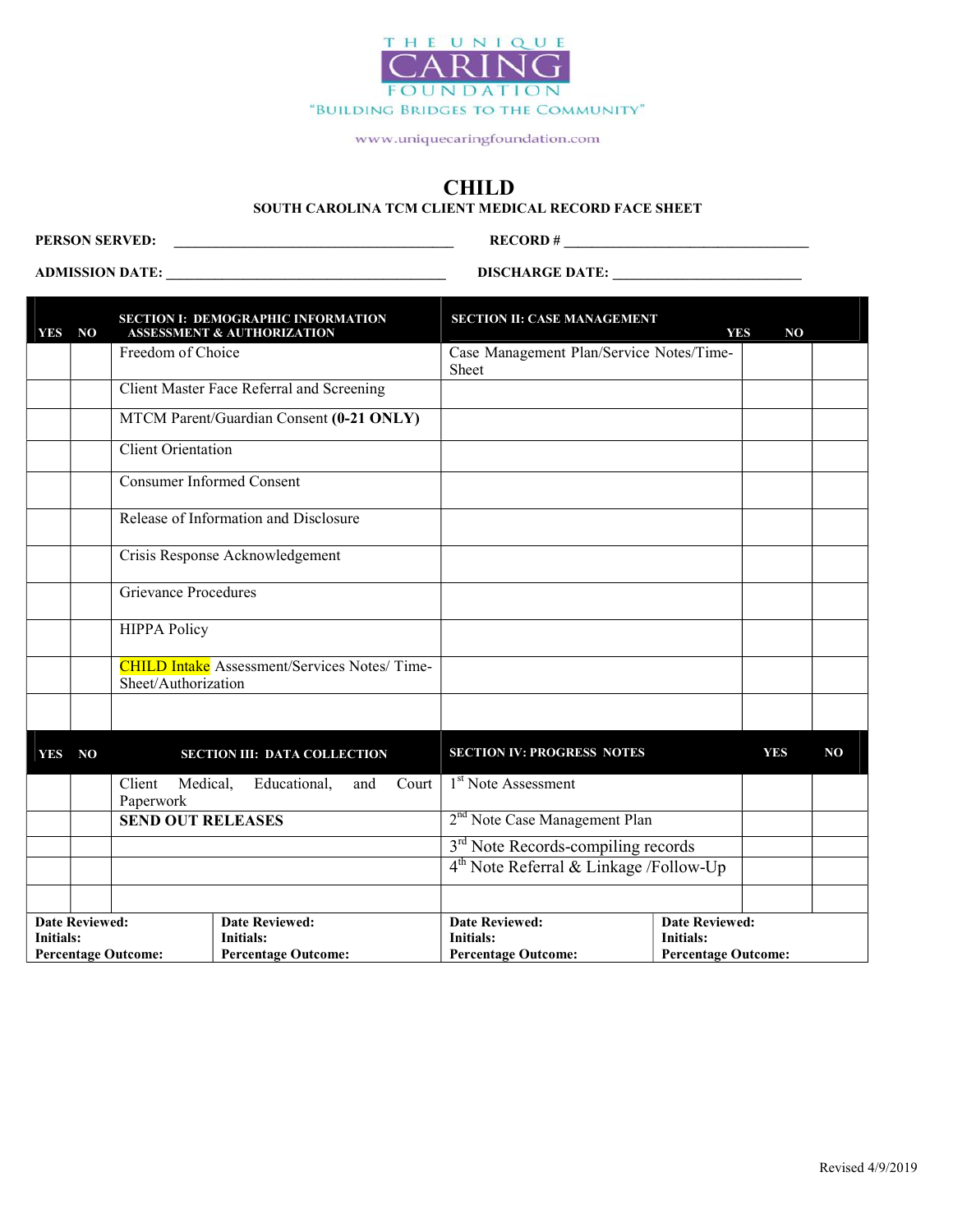

#### CHILD

#### SOUTH CAROLINA TCM CLIENT MEDICAL RECORD FACE SHEET

PERSON SERVED: \_\_\_\_\_\_\_\_\_\_\_\_\_\_\_\_\_\_\_\_\_\_\_\_\_\_\_\_\_\_\_\_\_\_\_\_\_\_\_\_ RECORD # \_\_\_\_\_\_\_\_\_\_\_\_\_\_\_\_\_\_\_\_\_\_\_\_\_\_\_\_\_\_\_\_\_\_\_

ADMISSION DATE: \_\_\_\_\_\_\_\_\_\_\_\_\_\_\_\_\_\_\_\_\_\_\_\_\_\_\_\_\_\_\_\_\_\_\_\_\_\_\_\_ DISCHARGE DATE: \_\_\_\_\_\_\_\_\_\_\_\_\_\_\_\_\_\_\_\_\_\_\_\_\_\_\_

Percentage Outcome:

Percentage Outcome:

| <b>YES</b>                                                                                                    | N <sub>O</sub> |                                  | <b>SECTION I: DEMOGRAPHIC INFORMATION</b><br><b>ASSESSMENT &amp; AUTHORIZATION</b> | <b>SECTION II: CASE MANAGEMENT</b>                                      | <b>YES</b>                                                       | NO         |                |
|---------------------------------------------------------------------------------------------------------------|----------------|----------------------------------|------------------------------------------------------------------------------------|-------------------------------------------------------------------------|------------------------------------------------------------------|------------|----------------|
|                                                                                                               |                | Freedom of Choice                |                                                                                    | Case Management Plan/Service Notes/Time-<br>Sheet                       |                                                                  |            |                |
|                                                                                                               |                |                                  | Client Master Face Referral and Screening                                          |                                                                         |                                                                  |            |                |
|                                                                                                               |                |                                  | MTCM Parent/Guardian Consent (0-21 ONLY)                                           |                                                                         |                                                                  |            |                |
|                                                                                                               |                | <b>Client Orientation</b>        |                                                                                    |                                                                         |                                                                  |            |                |
|                                                                                                               |                | <b>Consumer Informed Consent</b> |                                                                                    |                                                                         |                                                                  |            |                |
|                                                                                                               |                |                                  | Release of Information and Disclosure                                              |                                                                         |                                                                  |            |                |
|                                                                                                               |                |                                  | Crisis Response Acknowledgement                                                    |                                                                         |                                                                  |            |                |
|                                                                                                               |                | Grievance Procedures             |                                                                                    |                                                                         |                                                                  |            |                |
|                                                                                                               |                | <b>HIPPA Policy</b>              |                                                                                    |                                                                         |                                                                  |            |                |
|                                                                                                               |                | Sheet/Authorization              | <b>CHILD Intake</b> Assessment/Services Notes/Time-                                |                                                                         |                                                                  |            |                |
|                                                                                                               |                |                                  |                                                                                    |                                                                         |                                                                  |            |                |
| <b>YES</b>                                                                                                    | NO             |                                  | <b>SECTION III: DATA COLLECTION</b>                                                | <b>SECTION IV: PROGRESS NOTES</b>                                       |                                                                  | <b>YES</b> | N <sub>O</sub> |
|                                                                                                               |                | Client<br>Medical,<br>Paperwork  | Educational,<br>Court  <br>and                                                     | 1 <sup>st</sup> Note Assessment                                         |                                                                  |            |                |
|                                                                                                               |                | <b>SEND OUT RELEASES</b>         |                                                                                    | 2 <sup>nd</sup> Note Case Management Plan                               |                                                                  |            |                |
|                                                                                                               |                |                                  |                                                                                    | 3 <sup>rd</sup> Note Records-compiling records                          |                                                                  |            |                |
|                                                                                                               |                |                                  |                                                                                    | 4 <sup>th</sup> Note Referral & Linkage /Follow-Up                      |                                                                  |            |                |
|                                                                                                               |                |                                  |                                                                                    |                                                                         |                                                                  |            |                |
| <b>Date Reviewed:</b><br><b>Date Reviewed:</b><br>Initials:<br><b>Initials:</b><br><b>Percentage Outcome:</b> |                |                                  | <b>Percentage Outcome:</b>                                                         | <b>Date Reviewed:</b><br><b>Initials:</b><br><b>Percentage Outcome:</b> | <b>Date Reviewed:</b><br>Initials:<br><b>Percentage Outcome:</b> |            |                |

Percentage Outcome:

Percentage Outcome: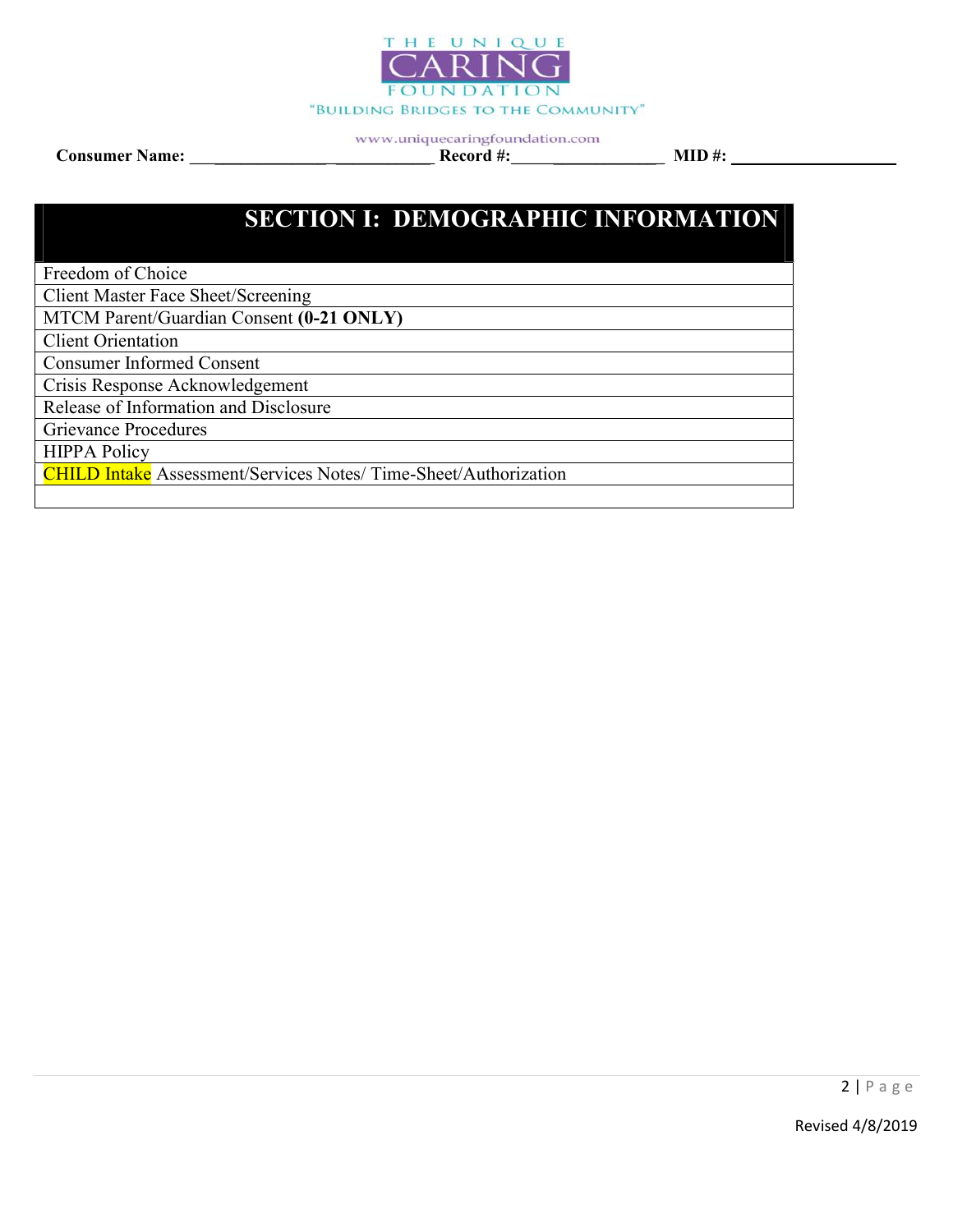

www.uniquecaringfoundation.com Consumer Name: \_\_\_\_\_\_\_\_\_\_\_\_\_ \_\_\_\_\_\_\_\_\_\_\_ Record #: \_\_\_\_\_\_\_\_\_\_\_\_ MID #:

# SECTION I: DEMOGRAPHIC INFORMATION

Freedom of Choice

Client Master Face Sheet/Screening

MTCM Parent/Guardian Consent (0-21 ONLY)

Client Orientation

Consumer Informed Consent

Crisis Response Acknowledgement

Release of Information and Disclosure

Grievance Procedures

HIPPA Policy

CHILD Intake Assessment/Services Notes/ Time-Sheet/Authorization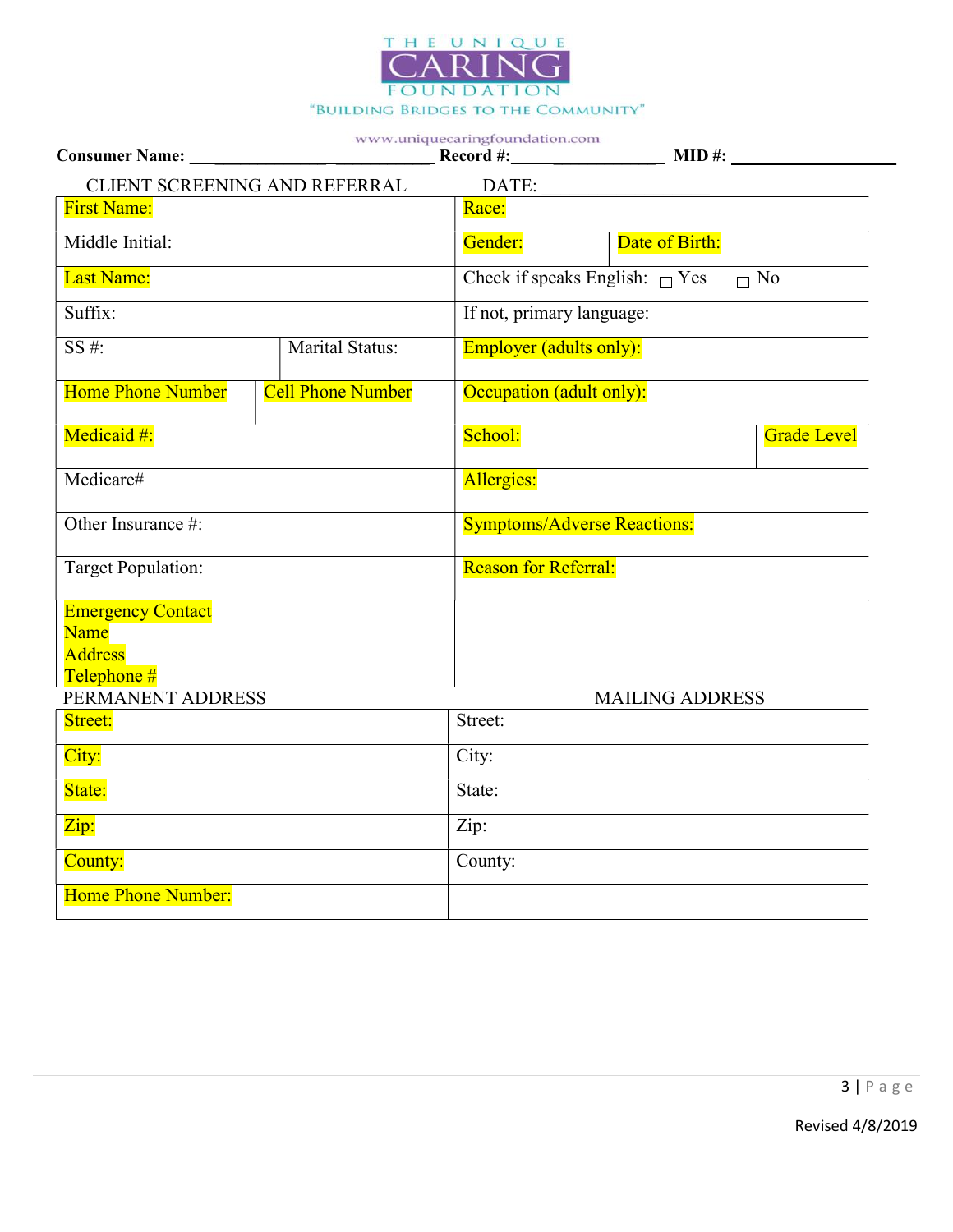

| CLIENT SCREENING AND REFERRAL                                     |                          | DATE:                              |                                                  |  |  |
|-------------------------------------------------------------------|--------------------------|------------------------------------|--------------------------------------------------|--|--|
| <b>First Name:</b>                                                |                          | Race:                              |                                                  |  |  |
| Middle Initial:                                                   |                          | Gender:                            | Date of Birth:                                   |  |  |
| Last Name:                                                        |                          |                                    | Check if speaks English: $\Box$ Yes<br>$\Box$ No |  |  |
| Suffix:                                                           |                          | If not, primary language:          |                                                  |  |  |
| $SS#$ :                                                           | <b>Marital Status:</b>   | <b>Employer</b> (adults only):     |                                                  |  |  |
| <b>Home Phone Number</b>                                          | <b>Cell Phone Number</b> | Occupation (adult only):           |                                                  |  |  |
| Medicaid #:                                                       |                          | School:                            | <b>Grade Level</b>                               |  |  |
| Medicare#                                                         |                          | Allergies:                         |                                                  |  |  |
| Other Insurance #:                                                |                          | <b>Symptoms/Adverse Reactions:</b> |                                                  |  |  |
| <b>Target Population:</b>                                         |                          | <b>Reason for Referral:</b>        |                                                  |  |  |
| <b>Emergency Contact</b><br>Name<br><b>Address</b><br>Telephone # |                          |                                    |                                                  |  |  |
| PERMANENT ADDRESS                                                 |                          | <b>MAILING ADDRESS</b>             |                                                  |  |  |
| Street:                                                           |                          | Street:                            |                                                  |  |  |
| City:                                                             |                          | City:                              |                                                  |  |  |
| State:                                                            |                          | State:                             |                                                  |  |  |
| $\overline{\mathrm{Zip:}}$                                        |                          | Zip:                               |                                                  |  |  |
| County:                                                           |                          | County:                            |                                                  |  |  |
| <b>Home Phone Number:</b>                                         |                          |                                    |                                                  |  |  |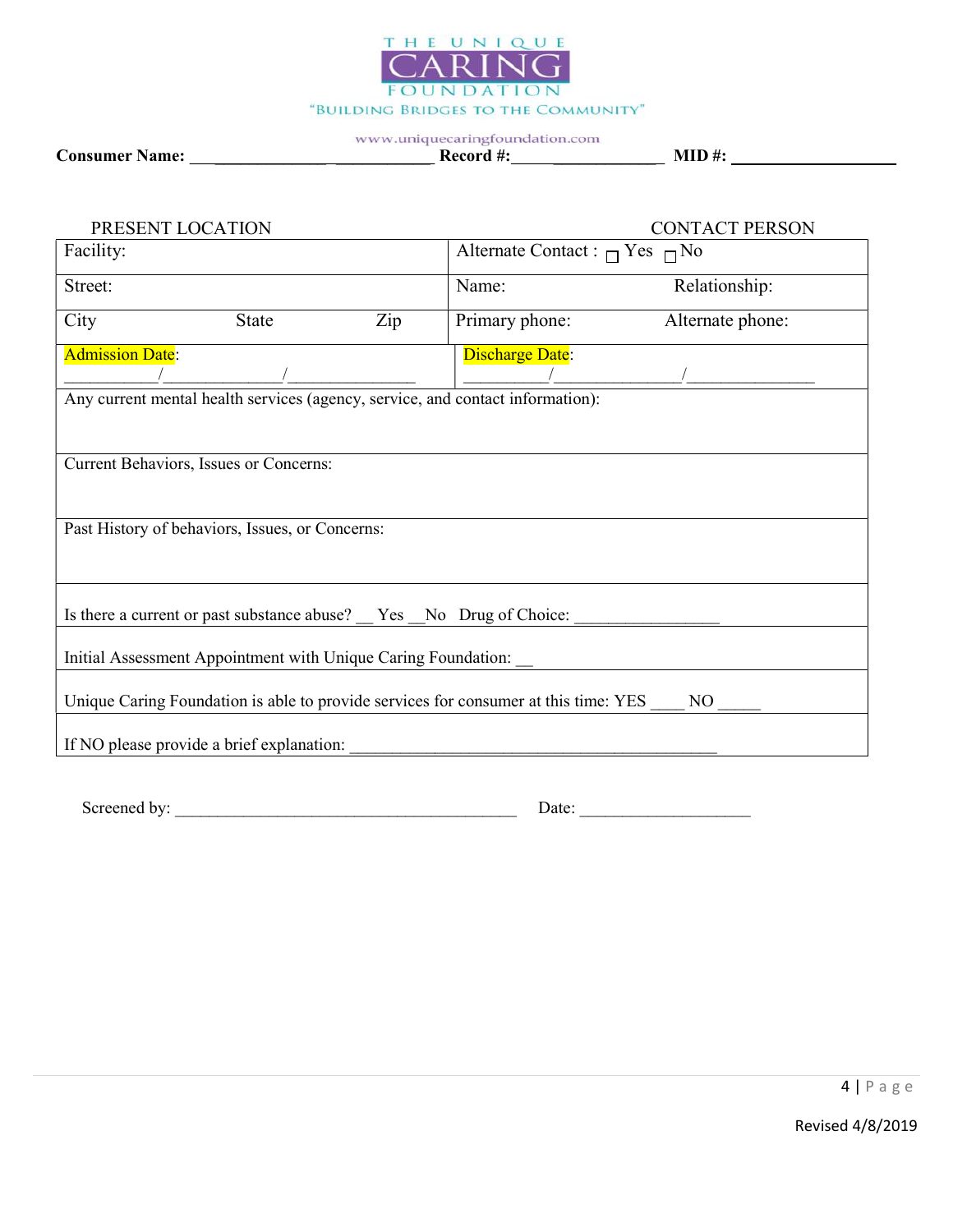

#### www.uniquecaringfoundation.com Consumer Name: \_\_\_\_\_\_\_\_\_\_\_\_\_ \_\_\_\_\_\_\_\_\_\_\_ Record #: \_\_\_\_\_\_\_\_\_\_\_\_ MID #:

| PRESENT LOCATION                                                                                      |                                                | <b>CONTACT PERSON</b> |  |  |  |
|-------------------------------------------------------------------------------------------------------|------------------------------------------------|-----------------------|--|--|--|
| Facility:                                                                                             | Alternate Contact : $\bigcap$ Yes $\bigcap$ No |                       |  |  |  |
| Street:                                                                                               | Name:                                          | Relationship:         |  |  |  |
| City<br>Zip<br><b>State</b>                                                                           | Primary phone:                                 | Alternate phone:      |  |  |  |
| <b>Admission Date:</b>                                                                                | <b>Discharge Date:</b>                         |                       |  |  |  |
| Any current mental health services (agency, service, and contact information):                        |                                                |                       |  |  |  |
| Current Behaviors, Issues or Concerns:                                                                |                                                |                       |  |  |  |
| Past History of behaviors, Issues, or Concerns:                                                       |                                                |                       |  |  |  |
| Is there a current or past substance abuse? _ Yes _ No Drug of Choice:                                |                                                |                       |  |  |  |
| Initial Assessment Appointment with Unique Caring Foundation:                                         |                                                |                       |  |  |  |
| Unique Caring Foundation is able to provide services for consumer at this time: YES<br>N <sub>O</sub> |                                                |                       |  |  |  |
| If NO please provide a brief explanation:                                                             |                                                |                       |  |  |  |

Screened by: \_\_\_\_\_\_\_\_\_\_\_\_\_\_\_\_\_\_\_\_\_\_\_\_\_\_\_\_\_\_\_\_\_\_\_\_\_\_\_\_ Date: \_\_\_\_\_\_\_\_\_\_\_\_\_\_\_\_\_\_\_\_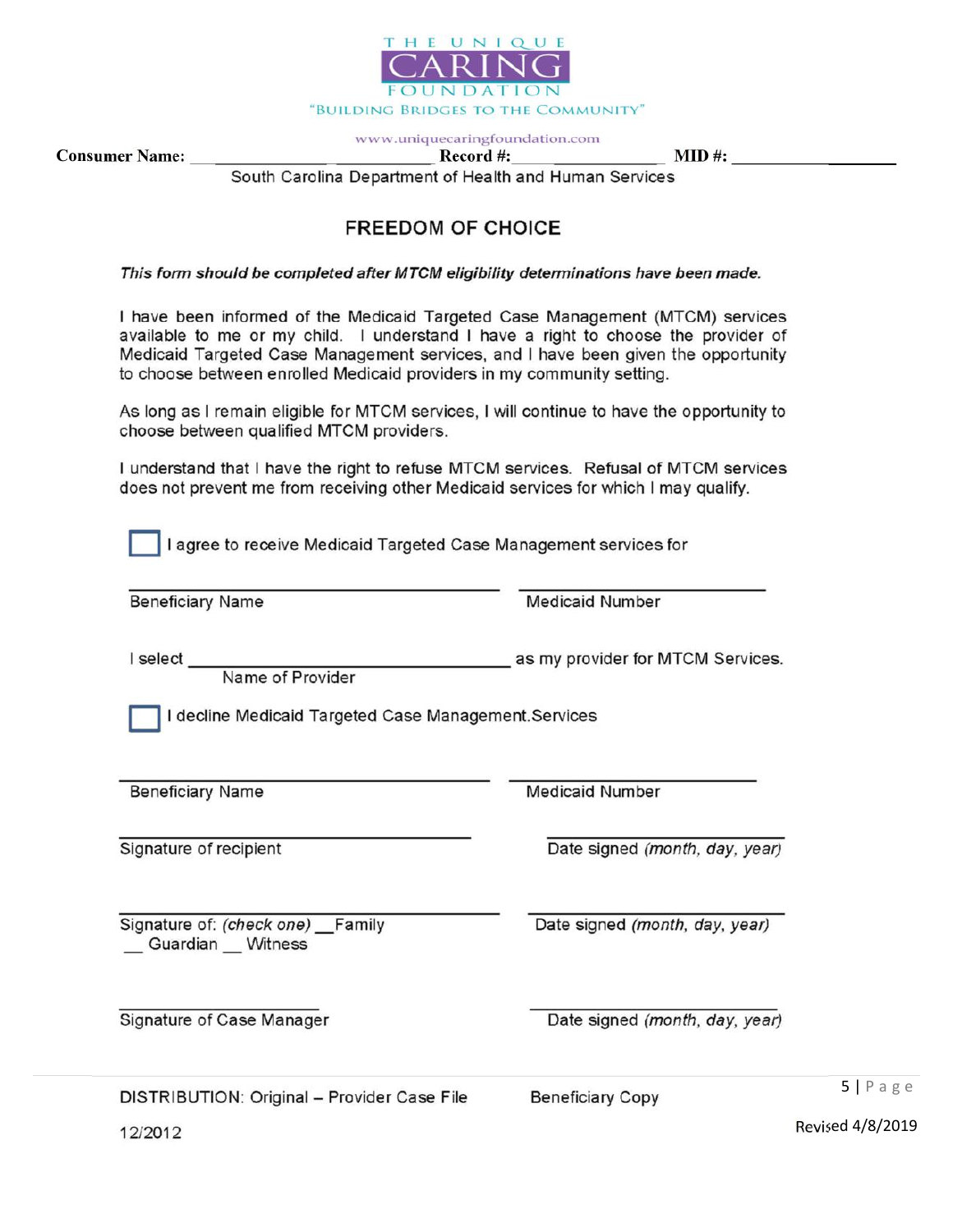

Consumer Name: \_\_\_\_\_\_\_\_\_\_\_\_\_ \_\_\_\_\_\_\_\_\_\_\_ Record #: \_\_\_\_\_\_\_\_\_\_\_\_ MID #: South Carolina Department of Health and Human Services

# **FREEDOM OF CHOICE**

This form should be completed after MTCM eligibility determinations have been made.

I have been informed of the Medicaid Targeted Case Management (MTCM) services available to me or my child. I understand I have a right to choose the provider of Medicaid Targeted Case Management services, and I have been given the opportunity to choose between enrolled Medicaid providers in my community setting.

As long as I remain eligible for MTCM services, I will continue to have the opportunity to choose between qualified MTCM providers.

I understand that I have the right to refuse MTCM services. Refusal of MTCM services does not prevent me from receiving other Medicaid services for which I may qualify.

I agree to receive Medicaid Targeted Case Management services for

| <b>Beneficiary Name</b> |  |
|-------------------------|--|
|-------------------------|--|

**Medicaid Number** 

I select

Name of Provider

I decline Medicaid Targeted Case Management. Services

**Beneficiary Name** 

Signature of recipient

**Medicaid Number** 

Date signed (month, day, year)

as my provider for MTCM Services.

Signature of: (check one) Family Guardian \_\_ Witness

Signature of Case Manager

Date signed (month, day, year)

Date signed (month, day, year)

DISTRIBUTION: Original - Provider Case File

**Beneficiary Copy** 

5 | P a g e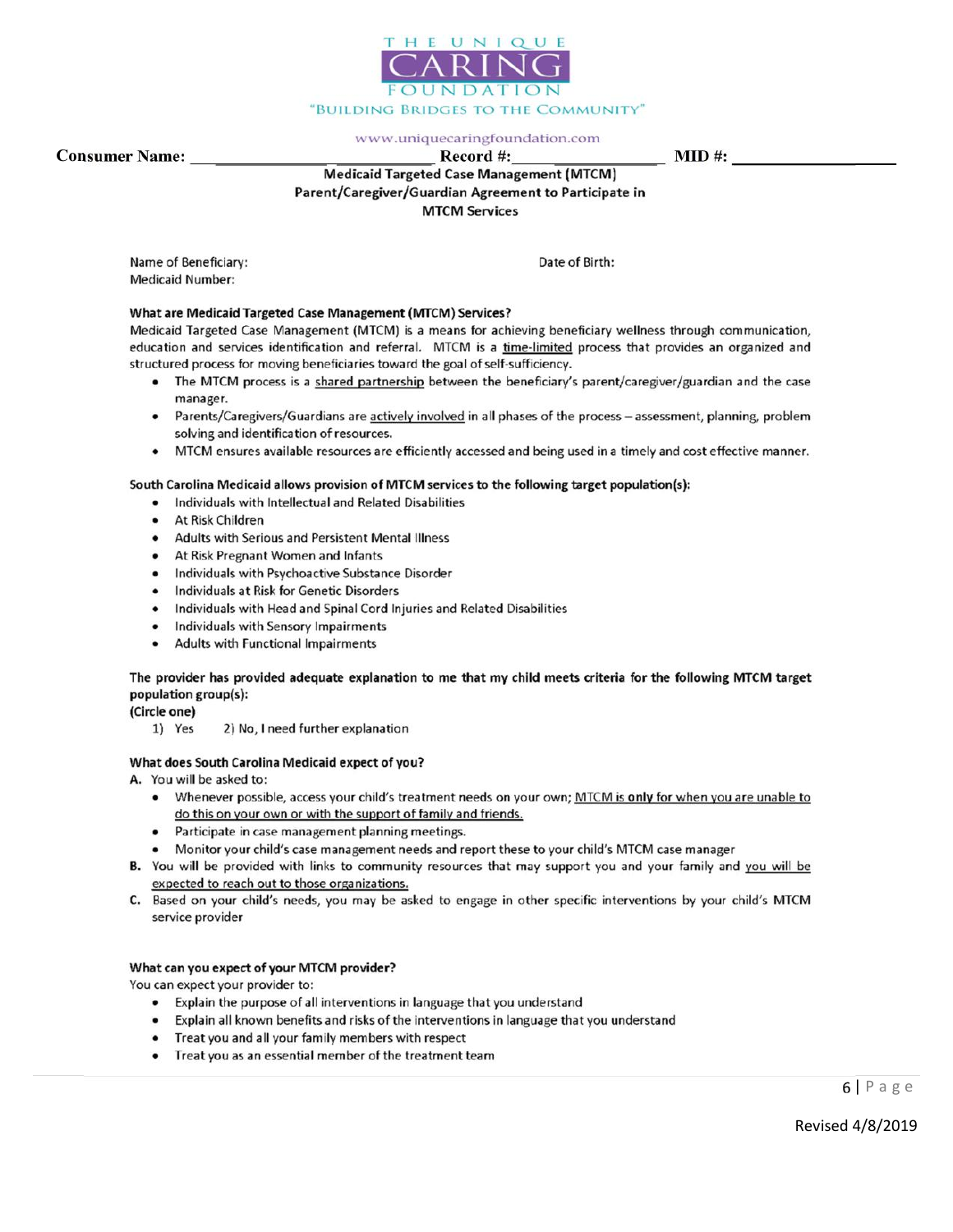

Date of Birth:

Consumer Name: \_\_\_\_\_\_\_\_\_\_\_\_\_ \_\_\_\_\_\_\_\_\_\_\_ Record #: \_\_\_\_\_\_\_\_\_\_\_\_ MID #: Parent/Caregiver/Guardian Agreement to Participate in **MTCM Services** 

> Name of Beneficiary: **Medicaid Number:**

#### What are Medicaid Targeted Case Management (MTCM) Services?

Medicaid Targeted Case Management (MTCM) is a means for achieving beneficiary wellness through communication, education and services identification and referral. MTCM is a time-limited process that provides an organized and structured process for moving beneficiaries toward the goal of self-sufficiency.

- . The MTCM process is a shared partnership between the beneficiary's parent/caregiver/guardian and the case manager.
- Parents/Caregivers/Guardians are actively involved in all phases of the process assessment, planning, problem solving and identification of resources.
- MTCM ensures available resources are efficiently accessed and being used in a timely and cost effective manner.

#### South Carolina Medicaid allows provision of MTCM services to the following target population(s):

- . Individuals with Intellectual and Related Disabilities
- At Risk Children
- $\bullet$ Adults with Serious and Persistent Mental Illness
- At Risk Pregnant Women and Infants
- Individuals with Psychoactive Substance Disorder  $\bullet$
- Individuals at Risk for Genetic Disorders  $\bullet$
- Individuals with Head and Spinal Cord Injuries and Related Disabilities
- Individuals with Sensory Impairments
- Adults with Functional Impairments  $\bullet$

#### The provider has provided adequate explanation to me that my child meets criteria for the following MTCM target population group(s):

(Circle one)

1) Yes 2) No, I need further explanation

#### What does South Carolina Medicaid expect of you?

A. You will be asked to:

- Whenever possible, access your child's treatment needs on your own; MTCM is only for when you are unable to do this on your own or with the support of family and friends.
- Participate in case management planning meetings.
- Monitor your child's case management needs and report these to your child's MTCM case manager
- B. You will be provided with links to community resources that may support you and your family and you will be expected to reach out to those organizations.
- C. Based on your child's needs, you may be asked to engage in other specific interventions by your child's MTCM service provider

#### What can you expect of your MTCM provider?

You can expect your provider to:

- Explain the purpose of all interventions in language that you understand
- Explain all known benefits and risks of the interventions in language that you understand
- Treat you and all your family members with respect
- Treat you as an essential member of the treatment team

6 | P a g e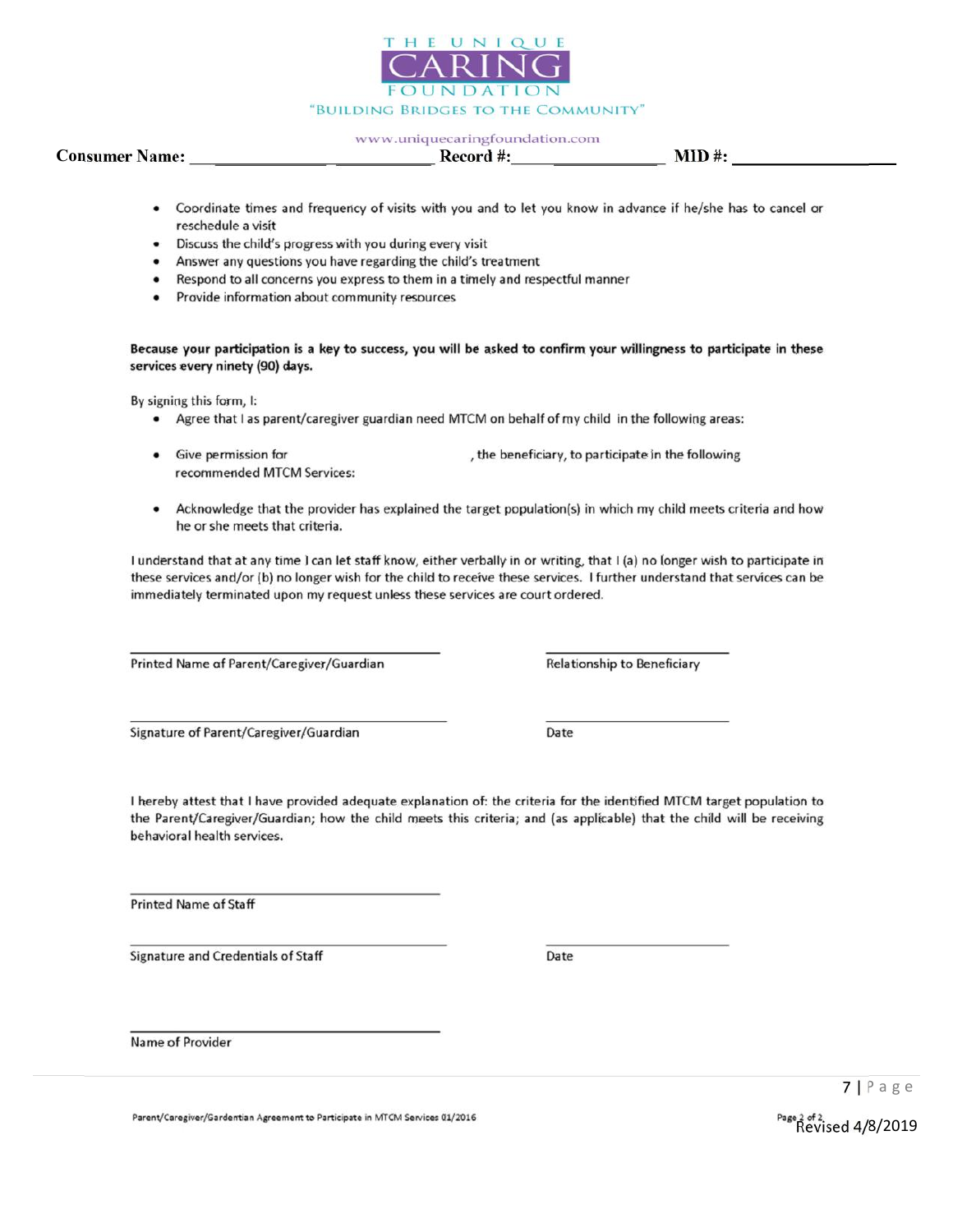

## Consumer Name: \_\_\_\_\_\_\_\_\_\_\_\_\_ \_\_\_\_\_\_\_\_\_\_\_ Record #: \_\_\_\_\_\_\_\_\_\_\_\_ MID #:

- Coordinate times and frequency of visits with you and to let you know in advance if he/she has to cancel or reschedule a visit
- Discuss the child's progress with you during every visit
- Answer any questions you have regarding the child's treatment
- Respond to all concerns you express to them in a timely and respectful manner
- $\bullet$ Provide information about community resources

Because your participation is a key to success, you will be asked to confirm your willingness to participate in these services every ninety (90) days.

By signing this form, I:

- Agree that I as parent/caregiver guardian need MTCM on behalf of my child in the following areas:
- Give permission for , the beneficiary, to participate in the following recommended MTCM Services:
- Acknowledge that the provider has explained the target population(s) in which my child meets criteria and how  $\bullet$ he or she meets that criteria.

I understand that at any time I can let staff know, either verbally in or writing, that I (a) no longer wish to participate in these services and/or (b) no longer wish for the child to receive these services. I further understand that services can be immediately terminated upon my request unless these services are court ordered.

Printed Name of Parent/Caregiver/Guardian

Relationship to Beneficiary

Signature of Parent/Caregiver/Guardian

Date

I hereby attest that I have provided adequate explanation of: the criteria for the identified MTCM target population to the Parent/Caregiver/Guardian; how the child meets this criteria; and (as applicable) that the child will be receiving behavioral health services.

Printed Name of Staff

Signature and Credentials of Staff

Date

Name of Provider

Parent/Caregiver/Gardentian Agreement to Participate in MTCM Services 01/2016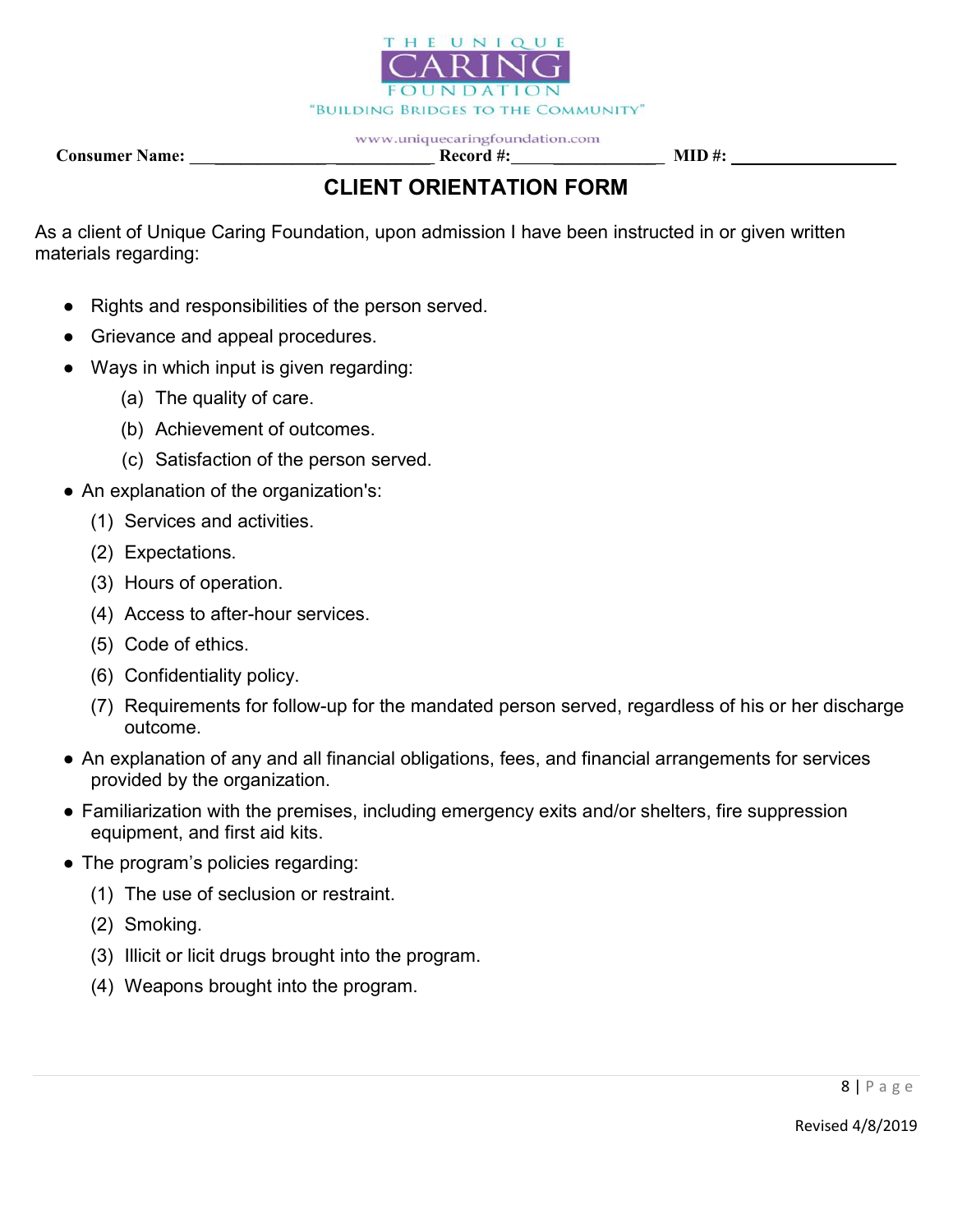

Consumer Name:  $\qquad \qquad$  Record #:  $\qquad \qquad$  MID #:

# CLIENT ORIENTATION FORM

As a client of Unique Caring Foundation, upon admission I have been instructed in or given written materials regarding:

- Rights and responsibilities of the person served.
- Grievance and appeal procedures.
- Ways in which input is given regarding:
	- (a) The quality of care.
	- (b) Achievement of outcomes.
	- (c) Satisfaction of the person served.
- An explanation of the organization's:
	- (1) Services and activities.
	- (2) Expectations.
	- (3) Hours of operation.
	- (4) Access to after-hour services.
	- (5) Code of ethics.
	- (6) Confidentiality policy.
	- (7) Requirements for follow-up for the mandated person served, regardless of his or her discharge outcome.
- An explanation of any and all financial obligations, fees, and financial arrangements for services provided by the organization.
- Familiarization with the premises, including emergency exits and/or shelters, fire suppression equipment, and first aid kits.
- The program's policies regarding:
	- (1) The use of seclusion or restraint.
	- (2) Smoking.
	- (3) Illicit or licit drugs brought into the program.
	- (4) Weapons brought into the program.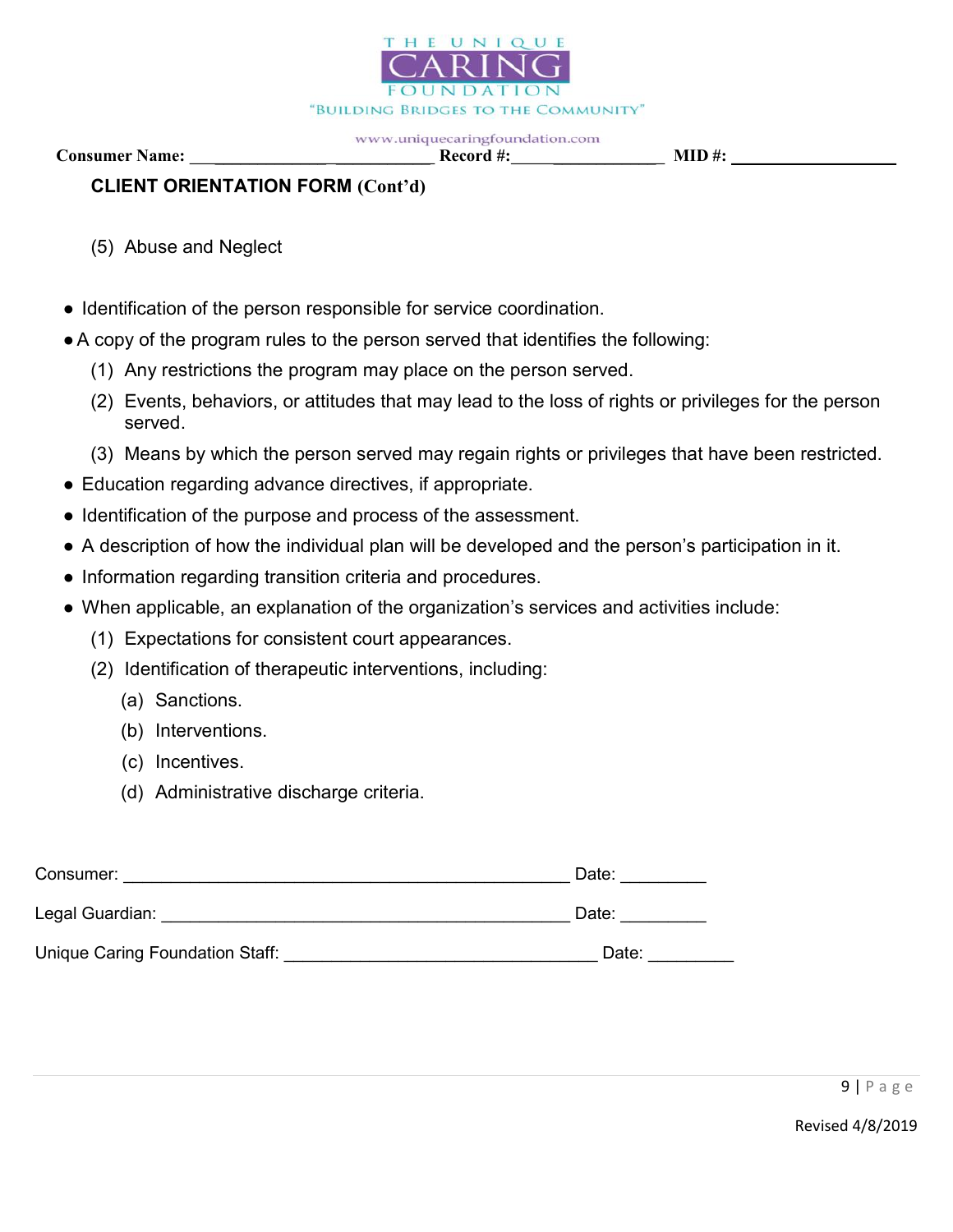

Consumer Name: \_\_\_\_\_\_\_\_\_\_\_\_\_ \_\_\_\_\_\_\_\_\_\_\_ Record #: \_\_\_\_\_\_\_\_\_\_\_\_ MID #:

# CLIENT ORIENTATION FORM (Cont'd)

- (5) Abuse and Neglect
- Identification of the person responsible for service coordination.
- A copy of the program rules to the person served that identifies the following:
	- (1) Any restrictions the program may place on the person served.
	- (2) Events, behaviors, or attitudes that may lead to the loss of rights or privileges for the person served.
	- (3) Means by which the person served may regain rights or privileges that have been restricted.
- Education regarding advance directives, if appropriate.
- Identification of the purpose and process of the assessment.
- A description of how the individual plan will be developed and the person's participation in it.
- Information regarding transition criteria and procedures.
- When applicable, an explanation of the organization's services and activities include:
	- (1) Expectations for consistent court appearances.
	- (2) Identification of therapeutic interventions, including:
		- (a) Sanctions.
		- (b) Interventions.
		- (c) Incentives.
		- (d) Administrative discharge criteria.

| Consumer:                       | Date: |
|---------------------------------|-------|
| Legal Guardian:                 | Date: |
| Unique Caring Foundation Staff: | Date: |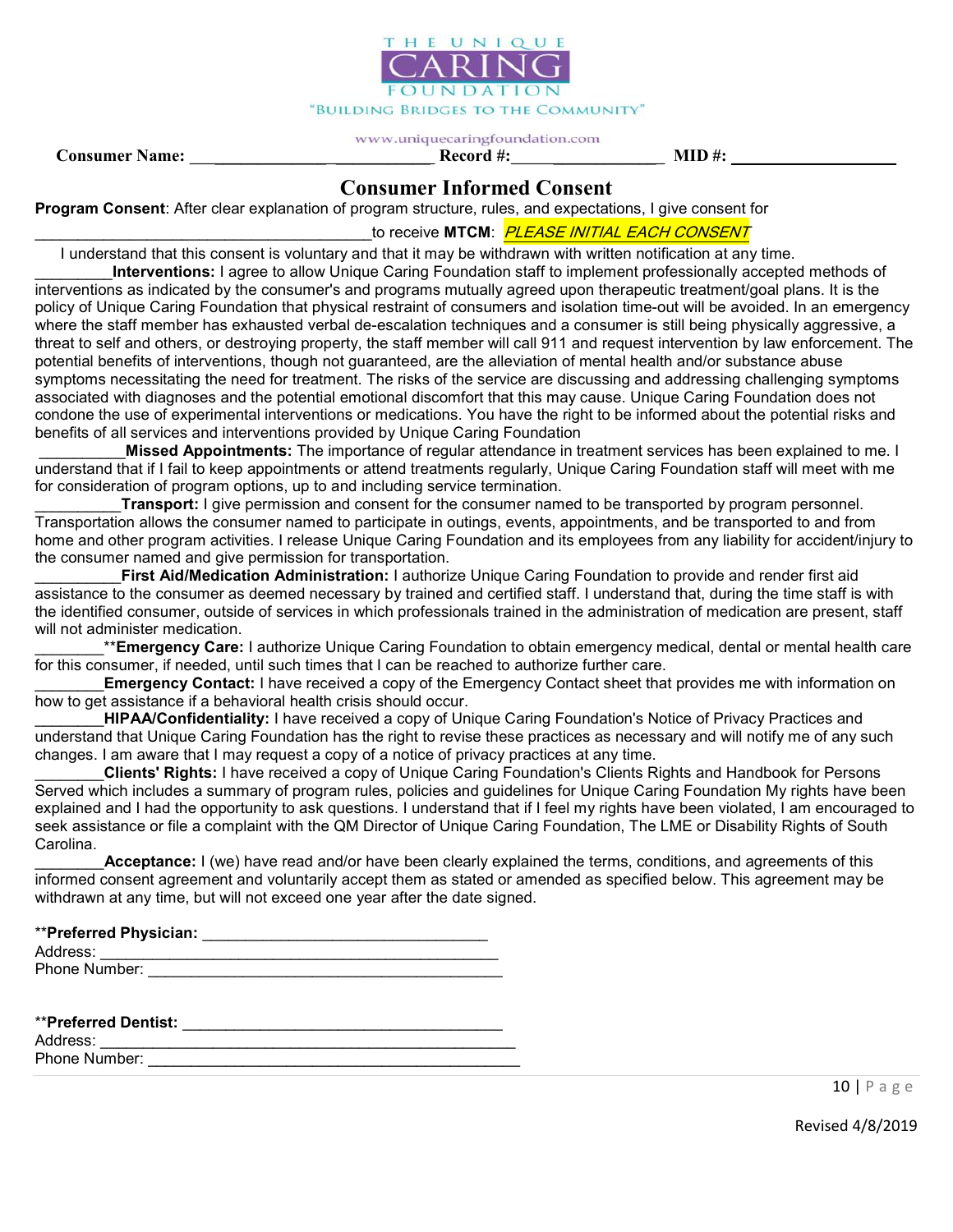

#### www.uniquecaringfoundation.com Consumer Name: \_\_\_\_\_\_\_\_\_\_\_\_\_ \_\_\_\_\_\_\_\_\_\_\_ Record #: \_\_\_\_\_\_\_\_\_\_\_\_ MID #:

## Consumer Informed Consent

Program Consent: After clear explanation of program structure, rules, and expectations, I give consent for

to receive MTCM: *PLEASE INITIAL EACH CONSENT* 

 I understand that this consent is voluntary and that it may be withdrawn with written notification at any time. Interventions: I agree to allow Unique Caring Foundation staff to implement professionally accepted methods of

interventions as indicated by the consumer's and programs mutually agreed upon therapeutic treatment/goal plans. It is the policy of Unique Caring Foundation that physical restraint of consumers and isolation time-out will be avoided. In an emergency where the staff member has exhausted verbal de-escalation techniques and a consumer is still being physically aggressive, a threat to self and others, or destroying property, the staff member will call 911 and request intervention by law enforcement. The potential benefits of interventions, though not guaranteed, are the alleviation of mental health and/or substance abuse symptoms necessitating the need for treatment. The risks of the service are discussing and addressing challenging symptoms associated with diagnoses and the potential emotional discomfort that this may cause. Unique Caring Foundation does not condone the use of experimental interventions or medications. You have the right to be informed about the potential risks and benefits of all services and interventions provided by Unique Caring Foundation

Missed Appointments: The importance of regular attendance in treatment services has been explained to me. I understand that if I fail to keep appointments or attend treatments regularly, Unique Caring Foundation staff will meet with me for consideration of program options, up to and including service termination.

Transport: I give permission and consent for the consumer named to be transported by program personnel. Transportation allows the consumer named to participate in outings, events, appointments, and be transported to and from home and other program activities. I release Unique Caring Foundation and its employees from any liability for accident/injury to the consumer named and give permission for transportation.

First Aid/Medication Administration: I authorize Unique Caring Foundation to provide and render first aid assistance to the consumer as deemed necessary by trained and certified staff. I understand that, during the time staff is with the identified consumer, outside of services in which professionals trained in the administration of medication are present, staff will not administer medication.

\*\*Emergency Care: I authorize Unique Caring Foundation to obtain emergency medical, dental or mental health care for this consumer, if needed, until such times that I can be reached to authorize further care.

**Emergency Contact:** I have received a copy of the Emergency Contact sheet that provides me with information on how to get assistance if a behavioral health crisis should occur.

HIPAA/Confidentiality: I have received a copy of Unique Caring Foundation's Notice of Privacy Practices and understand that Unique Caring Foundation has the right to revise these practices as necessary and will notify me of any such changes. I am aware that I may request a copy of a notice of privacy practices at any time.

\_\_\_\_\_\_\_\_Clients' Rights: I have received a copy of Unique Caring Foundation's Clients Rights and Handbook for Persons Served which includes a summary of program rules, policies and guidelines for Unique Caring Foundation My rights have been explained and I had the opportunity to ask questions. I understand that if I feel my rights have been violated, I am encouraged to seek assistance or file a complaint with the QM Director of Unique Caring Foundation, The LME or Disability Rights of South Carolina.

Acceptance: I (we) have read and/or have been clearly explained the terms, conditions, and agreements of this informed consent agreement and voluntarily accept them as stated or amended as specified below. This agreement may be withdrawn at any time, but will not exceed one year after the date signed.

|  | <b>**Preferred Physician:</b> |  |
|--|-------------------------------|--|
|  |                               |  |

Address:

| Phone Number: |  |  |  |
|---------------|--|--|--|
|               |  |  |  |

| <b>**Preferred Dentist:</b> |  |
|-----------------------------|--|
| Address:                    |  |

Phone Number: **Example 20** and 20 and 20 and 20 and 20 and 20 and 20 and 20 and 20 and 20 and 20 and 20 and 20 and 20 and 20 and 20 and 20 and 20 and 20 and 20 and 20 and 20 and 20 and 20 and 20 and 20 and 20 and 20 and 20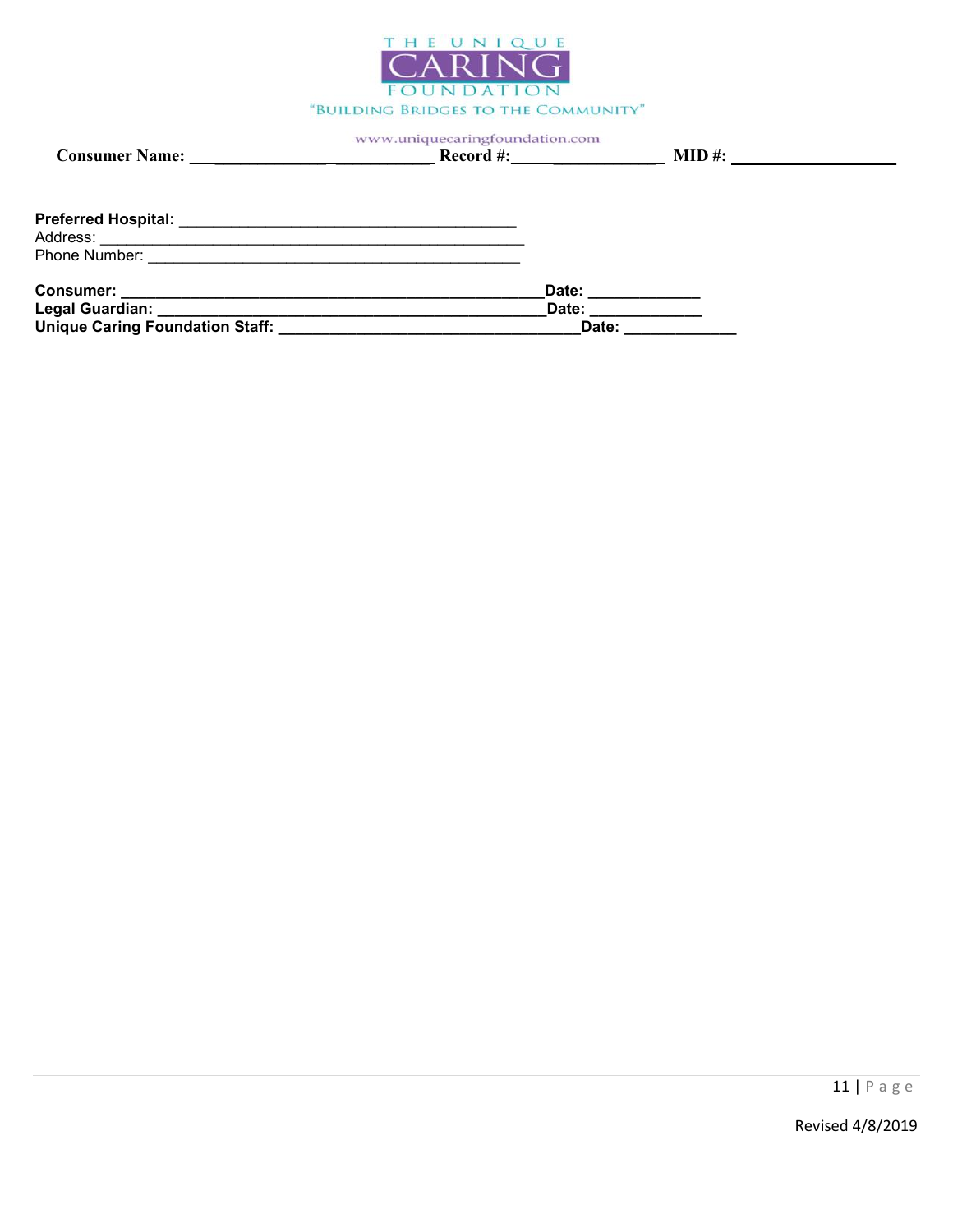

|                                                                         | $\textbf{Record}\#:\qquad \qquad \qquad$ | $\bf{MID}$ #:      |  |
|-------------------------------------------------------------------------|------------------------------------------|--------------------|--|
|                                                                         |                                          |                    |  |
| Preferred Hospital:                                                     |                                          |                    |  |
| Address:<br><u> 1989 - Johann Stoff, amerikansk politiker (d. 1989)</u> |                                          |                    |  |
|                                                                         |                                          |                    |  |
|                                                                         |                                          | Date: ____________ |  |
| Legal Guardian: __________________________________                      | Date:                                    |                    |  |
| Unique Caring Foundation Staff:                                         |                                          | Date:              |  |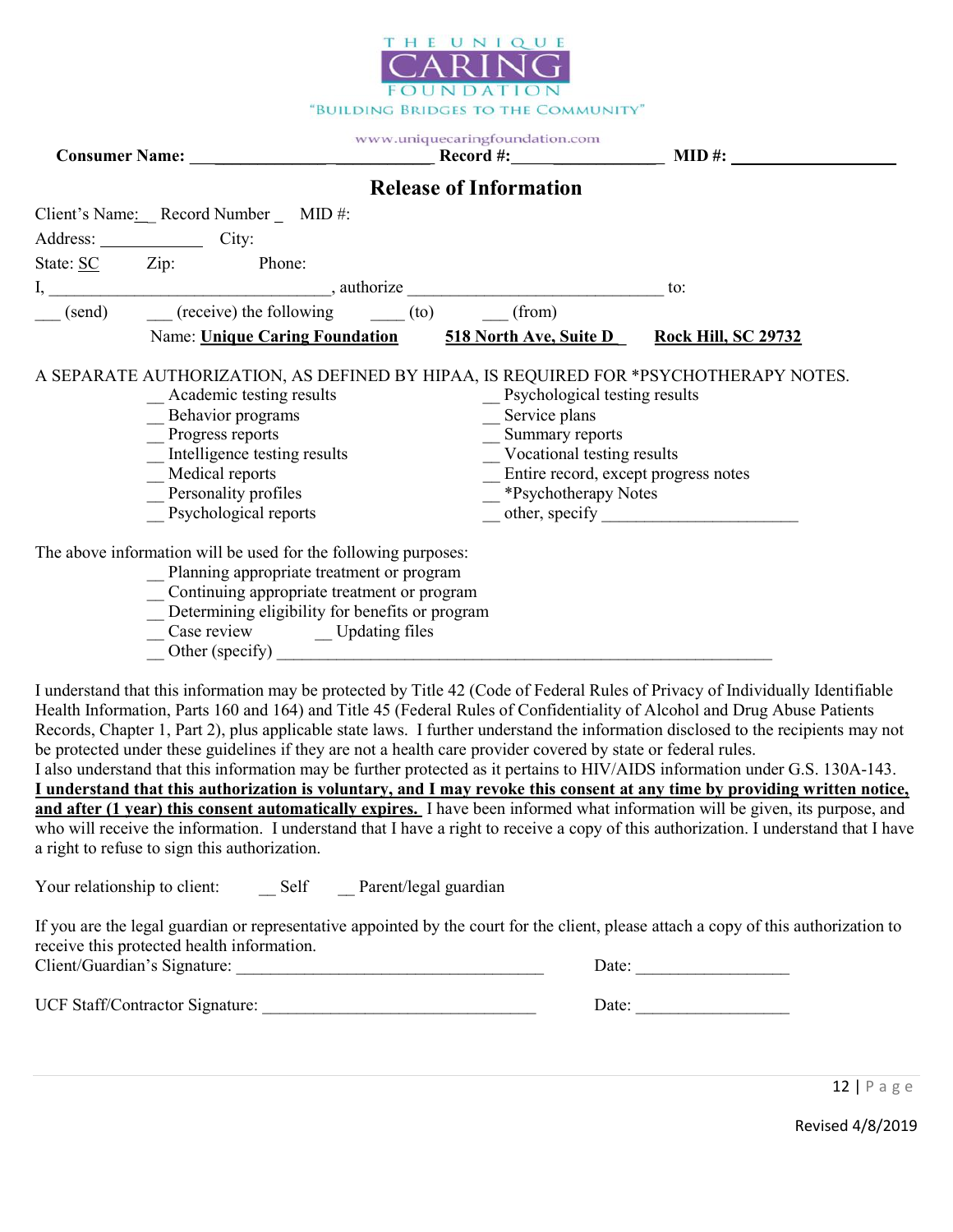

|                                                                                                                                                                                                                                                                        | www.uniquecaringfoundation.com                                                                                                                                          |     |
|------------------------------------------------------------------------------------------------------------------------------------------------------------------------------------------------------------------------------------------------------------------------|-------------------------------------------------------------------------------------------------------------------------------------------------------------------------|-----|
|                                                                                                                                                                                                                                                                        | <b>Release of Information</b>                                                                                                                                           |     |
| Client's Name: Record Number _ MID #:                                                                                                                                                                                                                                  |                                                                                                                                                                         |     |
| Address: City:                                                                                                                                                                                                                                                         |                                                                                                                                                                         |     |
| State: SC Zip: Phone:                                                                                                                                                                                                                                                  |                                                                                                                                                                         |     |
|                                                                                                                                                                                                                                                                        |                                                                                                                                                                         | to: |
| $\begin{array}{ccc} \text{(send)} & \text{(receive)} \text{ the following} & \text{(to)} \end{array}$                                                                                                                                                                  | (from)                                                                                                                                                                  |     |
| Name: Unique Caring Foundation 518 North Ave, Suite D Rock Hill, SC 29732                                                                                                                                                                                              |                                                                                                                                                                         |     |
| _Academic testing results<br>Behavior programs<br>_Progress reports<br>_ Intelligence testing results<br>_Medical reports<br>Personality profiles<br>Psychological reports                                                                                             | Psychological testing results<br>$S$ ervice plans<br>_ Summary reports<br>_Vocational testing results<br>Entire record, except progress notes<br>- *Psychotherapy Notes |     |
| The above information will be used for the following purposes:<br>Planning appropriate treatment or program<br>Continuing appropriate treatment or program<br>Determining eligibility for benefits or program<br>_Case review ______ Updating files<br>Other (specify) |                                                                                                                                                                         |     |

I understand that this information may be protected by Title 42 (Code of Federal Rules of Privacy of Individually Identifiable Health Information, Parts 160 and 164) and Title 45 (Federal Rules of Confidentiality of Alcohol and Drug Abuse Patients Records, Chapter 1, Part 2), plus applicable state laws. I further understand the information disclosed to the recipients may not be protected under these guidelines if they are not a health care provider covered by state or federal rules.

I also understand that this information may be further protected as it pertains to HIV/AIDS information under G.S. 130A-143. I understand that this authorization is voluntary, and I may revoke this consent at any time by providing written notice, and after (1 year) this consent automatically expires. I have been informed what information will be given, its purpose, and who will receive the information. I understand that I have a right to receive a copy of this authorization. I understand that I have a right to refuse to sign this authorization.

Your relationship to client: Self Parent/legal guardian

If you are the legal guardian or representative appointed by the court for the client, please attach a copy of this authorization to receive this protected health information.

UCF Staff/Contractor Signature: \_\_\_\_\_\_\_\_\_\_\_\_\_\_\_\_\_\_\_\_\_\_\_\_\_\_\_\_\_\_\_\_ Date: \_\_\_\_\_\_\_\_\_\_\_\_\_\_\_\_\_\_

Client/Guardian's Signature:  $\Box$ 

12 | P a g e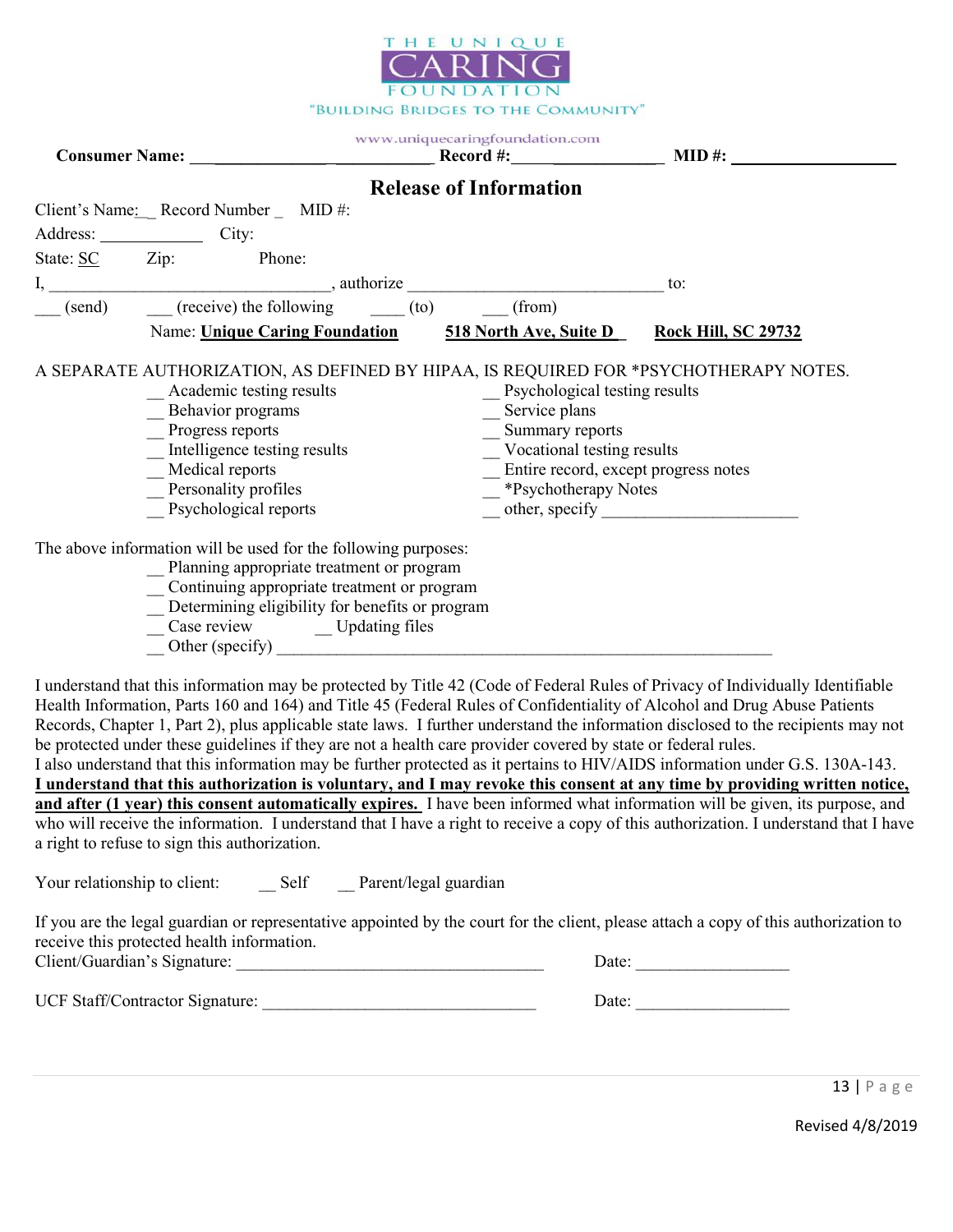

|                                                                |  |                                                                                                                                                                                                                   | www.uniquecaringfoundation.com |                               |                                                                                                                                                                      |                                                                           |  |
|----------------------------------------------------------------|--|-------------------------------------------------------------------------------------------------------------------------------------------------------------------------------------------------------------------|--------------------------------|-------------------------------|----------------------------------------------------------------------------------------------------------------------------------------------------------------------|---------------------------------------------------------------------------|--|
|                                                                |  |                                                                                                                                                                                                                   |                                | <b>Release of Information</b> |                                                                                                                                                                      |                                                                           |  |
| Client's Name: Record Number _ MID #:                          |  |                                                                                                                                                                                                                   |                                |                               |                                                                                                                                                                      |                                                                           |  |
| Address: City:                                                 |  |                                                                                                                                                                                                                   |                                |                               |                                                                                                                                                                      |                                                                           |  |
| State: SC Zip: Phone:                                          |  |                                                                                                                                                                                                                   |                                |                               |                                                                                                                                                                      |                                                                           |  |
|                                                                |  |                                                                                                                                                                                                                   |                                |                               |                                                                                                                                                                      | to:                                                                       |  |
| (send) (receive) the following (to) (from)                     |  |                                                                                                                                                                                                                   |                                |                               |                                                                                                                                                                      |                                                                           |  |
|                                                                |  |                                                                                                                                                                                                                   |                                |                               |                                                                                                                                                                      | Name: Unique Caring Foundation 518 North Ave, Suite D Rock Hill, SC 29732 |  |
|                                                                |  | _Academic testing results<br>$\frac{1}{\sqrt{1-\frac{1}{2}}\sqrt{1-\frac{1}{2}}\cos\theta}$ Progress reports<br>Intelligence testing results<br>_Medical reports<br>Personality profiles<br>Psychological reports |                                |                               | Psychological testing results<br>_Service plans<br>Summary reports<br>Vocational testing results<br>_ Entire record, except progress notes<br>- *Psychotherapy Notes |                                                                           |  |
| The above information will be used for the following purposes: |  | _ Planning appropriate treatment or program<br>Continuing appropriate treatment or program<br>_ Determining eligibility for benefits or program<br>__Case review ________Updating files<br>Other (specify)        |                                |                               |                                                                                                                                                                      |                                                                           |  |

I understand that this information may be protected by Title 42 (Code of Federal Rules of Privacy of Individually Identifiable Health Information, Parts 160 and 164) and Title 45 (Federal Rules of Confidentiality of Alcohol and Drug Abuse Patients Records, Chapter 1, Part 2), plus applicable state laws. I further understand the information disclosed to the recipients may not be protected under these guidelines if they are not a health care provider covered by state or federal rules.

I also understand that this information may be further protected as it pertains to HIV/AIDS information under G.S. 130A-143. I understand that this authorization is voluntary, and I may revoke this consent at any time by providing written notice, and after (1 year) this consent automatically expires. I have been informed what information will be given, its purpose, and who will receive the information. I understand that I have a right to receive a copy of this authorization. I understand that I have a right to refuse to sign this authorization.

Your relationship to client: Self Parent/legal guardian

If you are the legal guardian or representative appointed by the court for the client, please attach a copy of this authorization to receive this protected health information. Client/Guardian's Signature:  $\Box$ 

UCF Staff/Contractor Signature: \_\_\_\_\_\_\_\_\_\_\_\_\_\_\_\_\_\_\_\_\_\_\_\_\_\_\_\_\_\_\_\_ Date: \_\_\_\_\_\_\_\_\_\_\_\_\_\_\_\_\_\_

13 | P a g e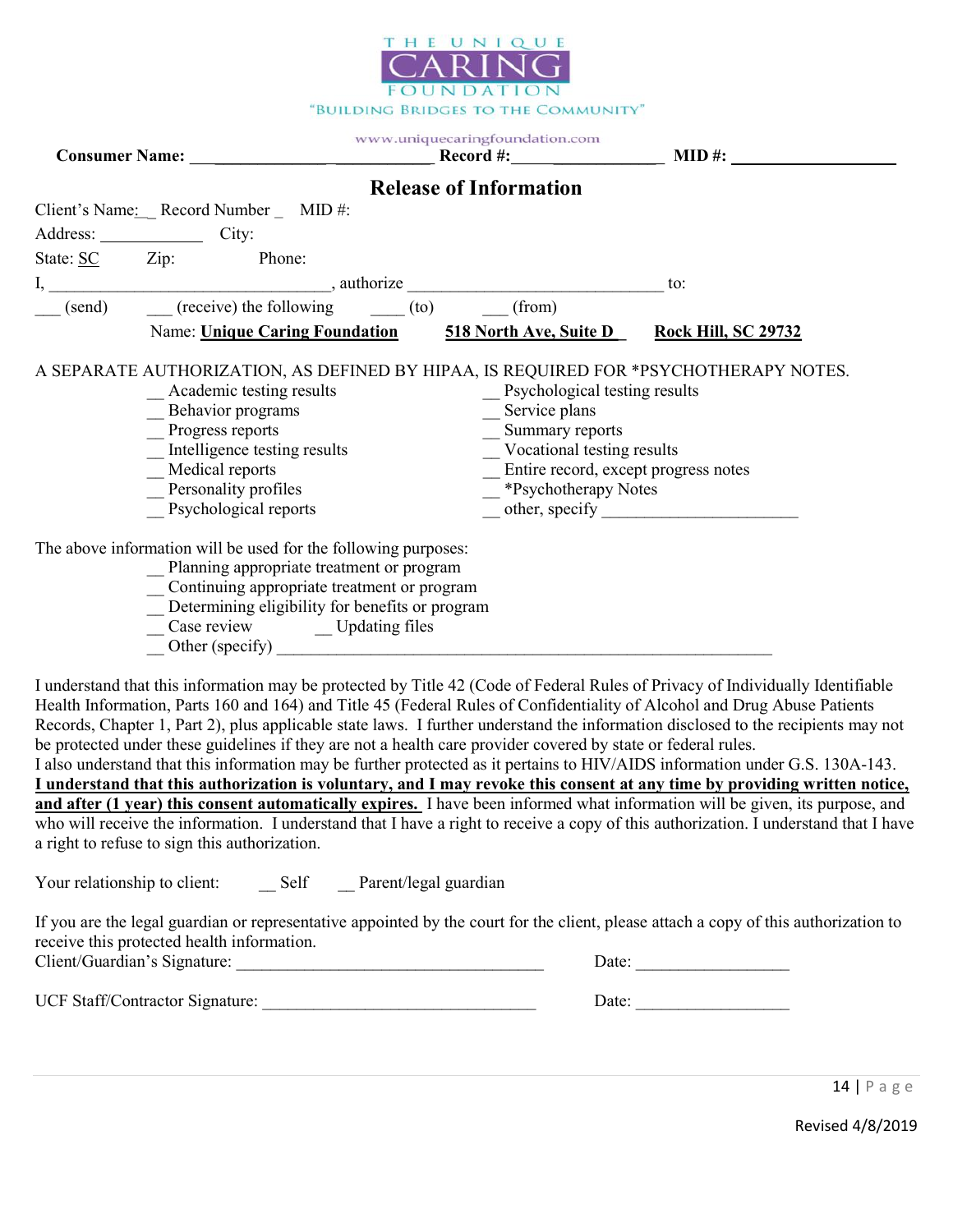

|                                                                                                                                                                                                                                                           | www.uniquecaringfoundation.com                                                                                                                                             |                                                                                      |  |
|-----------------------------------------------------------------------------------------------------------------------------------------------------------------------------------------------------------------------------------------------------------|----------------------------------------------------------------------------------------------------------------------------------------------------------------------------|--------------------------------------------------------------------------------------|--|
|                                                                                                                                                                                                                                                           | <b>Release of Information</b>                                                                                                                                              |                                                                                      |  |
| Client's Name: Record Number _ MID #:                                                                                                                                                                                                                     |                                                                                                                                                                            |                                                                                      |  |
| Address: City:                                                                                                                                                                                                                                            |                                                                                                                                                                            |                                                                                      |  |
| State: SC Zip: Phone:                                                                                                                                                                                                                                     |                                                                                                                                                                            |                                                                                      |  |
|                                                                                                                                                                                                                                                           |                                                                                                                                                                            | to:                                                                                  |  |
| (send) (receive) the following (to) (from)                                                                                                                                                                                                                |                                                                                                                                                                            |                                                                                      |  |
|                                                                                                                                                                                                                                                           | Name: Unique Caring Foundation 518 North Ave, Suite D Rock Hill, SC 29732                                                                                                  |                                                                                      |  |
| _Academic testing results<br>_Behavior programs<br>$\overline{\phantom{0}}$ Progress reports<br>Intelligence testing results<br>_Medical reports<br>Personality profiles<br>Psychological reports                                                         | _ Psychological testing results<br>_Service plans<br>_ Summary reports<br>_ Vocational testing results<br>_ Entire record, except progress notes<br>- *Psychotherapy Notes | A SEPARATE AUTHORIZATION, AS DEFINED BY HIPAA, IS REQUIRED FOR *PSYCHOTHERAPY NOTES. |  |
| The above information will be used for the following purposes:<br>_ Planning appropriate treatment or program<br>_ Continuing appropriate treatment or program<br>_ Determining eligibility for benefits or program<br>_Case review ______ Updating files |                                                                                                                                                                            |                                                                                      |  |

I understand that this information may be protected by Title 42 (Code of Federal Rules of Privacy of Individually Identifiable Health Information, Parts 160 and 164) and Title 45 (Federal Rules of Confidentiality of Alcohol and Drug Abuse Patients Records, Chapter 1, Part 2), plus applicable state laws. I further understand the information disclosed to the recipients may not be protected under these guidelines if they are not a health care provider covered by state or federal rules. I also understand that this information may be further protected as it pertains to HIV/AIDS information under G.S. 130A-143.

I understand that this authorization is voluntary, and I may revoke this consent at any time by providing written notice, and after (1 year) this consent automatically expires. I have been informed what information will be given, its purpose, and who will receive the information. I understand that I have a right to receive a copy of this authorization. I understand that I have a right to refuse to sign this authorization.

Your relationship to client: Self Parent/legal guardian

If you are the legal guardian or representative appointed by the court for the client, please attach a copy of this authorization to receive this protected health information. Client/Guardian's Signature:  $\Box$ 

UCF Staff/Contractor Signature: \_\_\_\_\_\_\_\_\_\_\_\_\_\_\_\_\_\_\_\_\_\_\_\_\_\_\_\_\_\_\_\_ Date: \_\_\_\_\_\_\_\_\_\_\_\_\_\_\_\_\_\_

14 | P a g e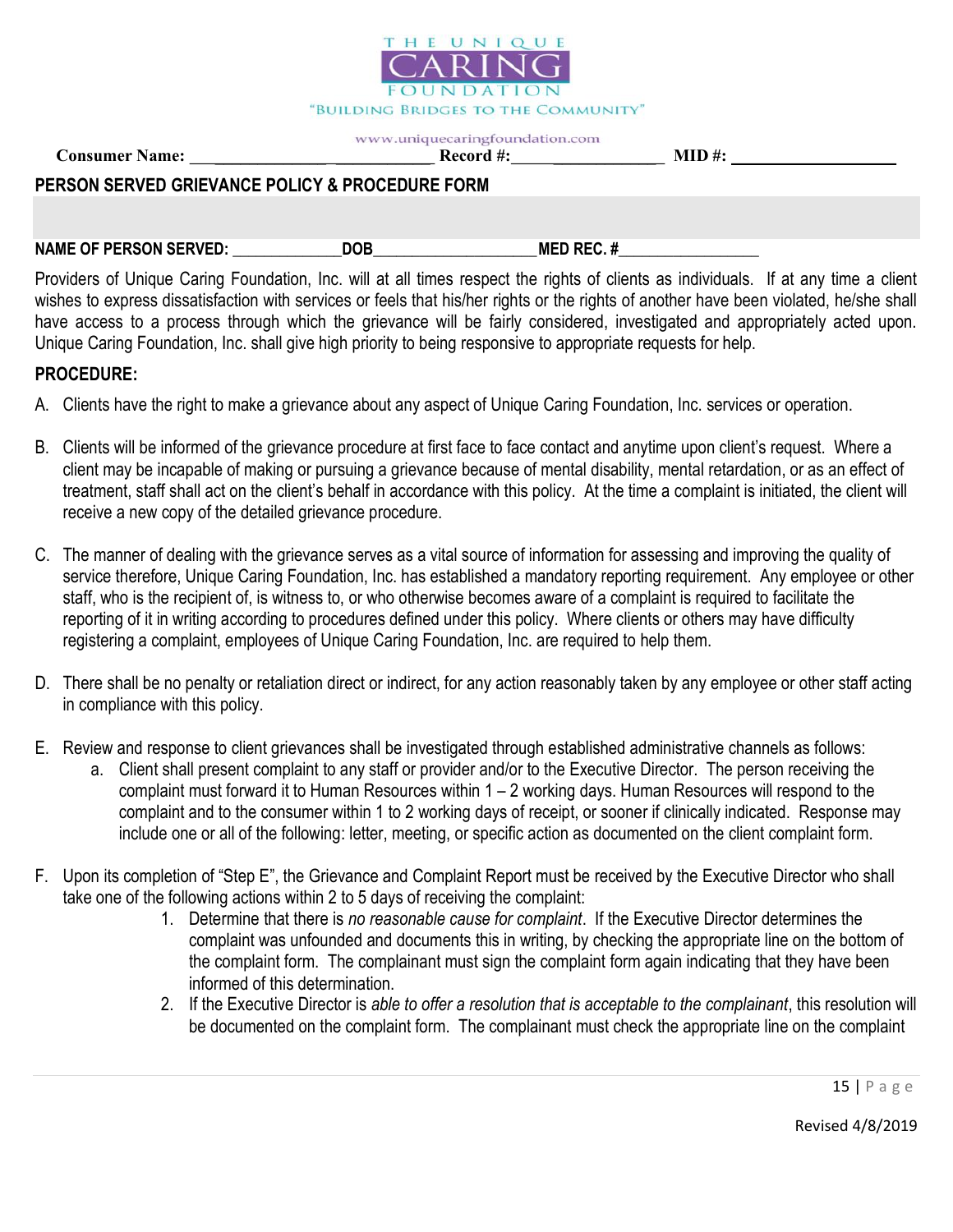

Consumer Name: \_\_\_\_\_\_\_\_\_\_\_\_\_ \_\_\_\_\_\_\_\_\_\_\_ Record #: \_\_\_\_\_\_\_\_\_\_\_\_ MID #:

#### PERSON SERVED GRIEVANCE POLICY & PROCEDURE FORM

NAME OF PERSON SERVED: \_\_\_\_\_\_\_\_\_\_\_\_\_\_DOB\_\_\_\_\_\_\_\_\_\_\_\_\_\_\_\_\_\_\_\_\_ MED REC. #\_\_\_\_\_\_\_\_\_\_\_\_\_\_\_\_\_\_

Providers of Unique Caring Foundation, Inc. will at all times respect the rights of clients as individuals. If at any time a client wishes to express dissatisfaction with services or feels that his/her rights or the rights of another have been violated, he/she shall have access to a process through which the grievance will be fairly considered, investigated and appropriately acted upon. Unique Caring Foundation, Inc. shall give high priority to being responsive to appropriate requests for help.

#### PROCEDURE:

- A. Clients have the right to make a grievance about any aspect of Unique Caring Foundation, Inc. services or operation.
- B. Clients will be informed of the grievance procedure at first face to face contact and anytime upon client's request. Where a client may be incapable of making or pursuing a grievance because of mental disability, mental retardation, or as an effect of treatment, staff shall act on the client's behalf in accordance with this policy. At the time a complaint is initiated, the client will receive a new copy of the detailed grievance procedure.
- C. The manner of dealing with the grievance serves as a vital source of information for assessing and improving the quality of service therefore, Unique Caring Foundation, Inc. has established a mandatory reporting requirement. Any employee or other staff, who is the recipient of, is witness to, or who otherwise becomes aware of a complaint is required to facilitate the reporting of it in writing according to procedures defined under this policy. Where clients or others may have difficulty registering a complaint, employees of Unique Caring Foundation, Inc. are required to help them.
- D. There shall be no penalty or retaliation direct or indirect, for any action reasonably taken by any employee or other staff acting in compliance with this policy.
- E. Review and response to client grievances shall be investigated through established administrative channels as follows:
	- a. Client shall present complaint to any staff or provider and/or to the Executive Director. The person receiving the complaint must forward it to Human Resources within 1 – 2 working days. Human Resources will respond to the complaint and to the consumer within 1 to 2 working days of receipt, or sooner if clinically indicated. Response may include one or all of the following: letter, meeting, or specific action as documented on the client complaint form.
- F. Upon its completion of "Step E", the Grievance and Complaint Report must be received by the Executive Director who shall take one of the following actions within 2 to 5 days of receiving the complaint:
	- 1. Determine that there is no reasonable cause for complaint. If the Executive Director determines the complaint was unfounded and documents this in writing, by checking the appropriate line on the bottom of the complaint form. The complainant must sign the complaint form again indicating that they have been informed of this determination.
	- 2. If the Executive Director is able to offer a resolution that is acceptable to the complainant, this resolution will be documented on the complaint form. The complainant must check the appropriate line on the complaint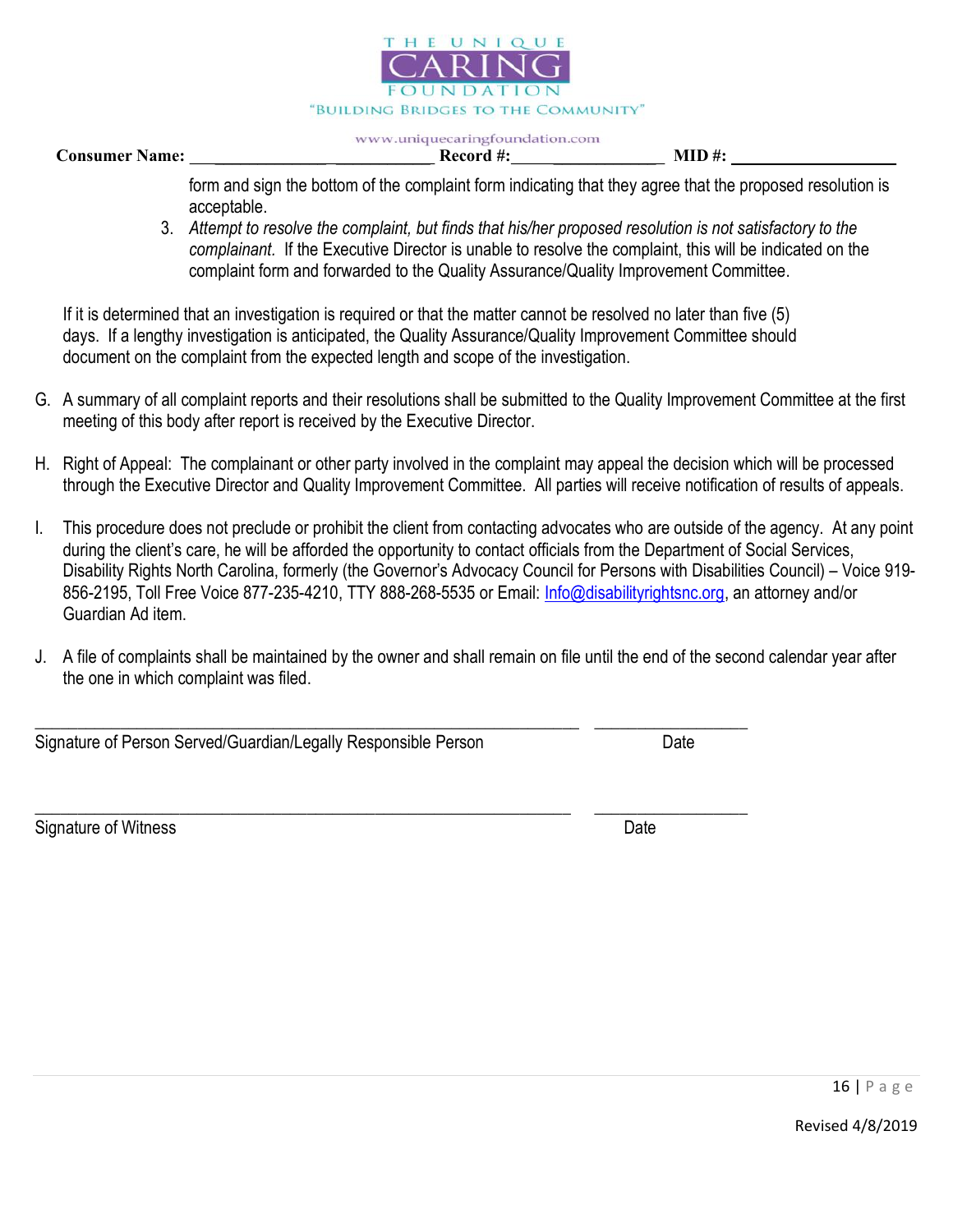

Consumer Name: \_\_\_\_\_\_\_\_\_\_\_\_\_ \_\_\_\_\_\_\_\_\_\_\_ Record #: \_\_\_\_\_\_\_\_\_\_\_\_ MID #:

form and sign the bottom of the complaint form indicating that they agree that the proposed resolution is acceptable.

3. Attempt to resolve the complaint, but finds that his/her proposed resolution is not satisfactory to the complainant. If the Executive Director is unable to resolve the complaint, this will be indicated on the complaint form and forwarded to the Quality Assurance/Quality Improvement Committee.

If it is determined that an investigation is required or that the matter cannot be resolved no later than five (5) days. If a lengthy investigation is anticipated, the Quality Assurance/Quality Improvement Committee should document on the complaint from the expected length and scope of the investigation.

- G. A summary of all complaint reports and their resolutions shall be submitted to the Quality Improvement Committee at the first meeting of this body after report is received by the Executive Director.
- H. Right of Appeal: The complainant or other party involved in the complaint may appeal the decision which will be processed through the Executive Director and Quality Improvement Committee. All parties will receive notification of results of appeals.
- I. This procedure does not preclude or prohibit the client from contacting advocates who are outside of the agency. At any point during the client's care, he will be afforded the opportunity to contact officials from the Department of Social Services, Disability Rights North Carolina, formerly (the Governor's Advocacy Council for Persons with Disabilities Council) – Voice 919- 856-2195, Toll Free Voice 877-235-4210, TTY 888-268-5535 or Email: Info@disabilityrightsnc.org, an attorney and/or Guardian Ad item.
- J. A file of complaints shall be maintained by the owner and shall remain on file until the end of the second calendar year after the one in which complaint was filed.

\_\_\_\_\_\_\_\_\_\_\_\_\_\_\_\_\_\_\_\_\_\_\_\_\_\_\_\_\_\_\_\_\_\_\_\_\_\_\_\_\_\_\_\_\_\_\_\_\_\_\_\_\_\_\_\_\_\_\_\_\_\_\_\_ \_\_\_\_\_\_\_\_\_\_\_\_\_\_\_\_\_\_

Signature of Person Served/Guardian/Legally Responsible Person Date

\_\_\_\_\_\_\_\_\_\_\_\_\_\_\_\_\_\_\_\_\_\_\_\_\_\_\_\_\_\_\_\_\_\_\_\_\_\_\_\_\_\_\_\_\_\_\_\_\_\_\_\_\_\_\_\_\_\_\_\_\_\_\_ \_\_\_\_\_\_\_\_\_\_\_\_\_\_\_\_\_\_ Signature of Witness Date Date Communications and the Date Date Date Date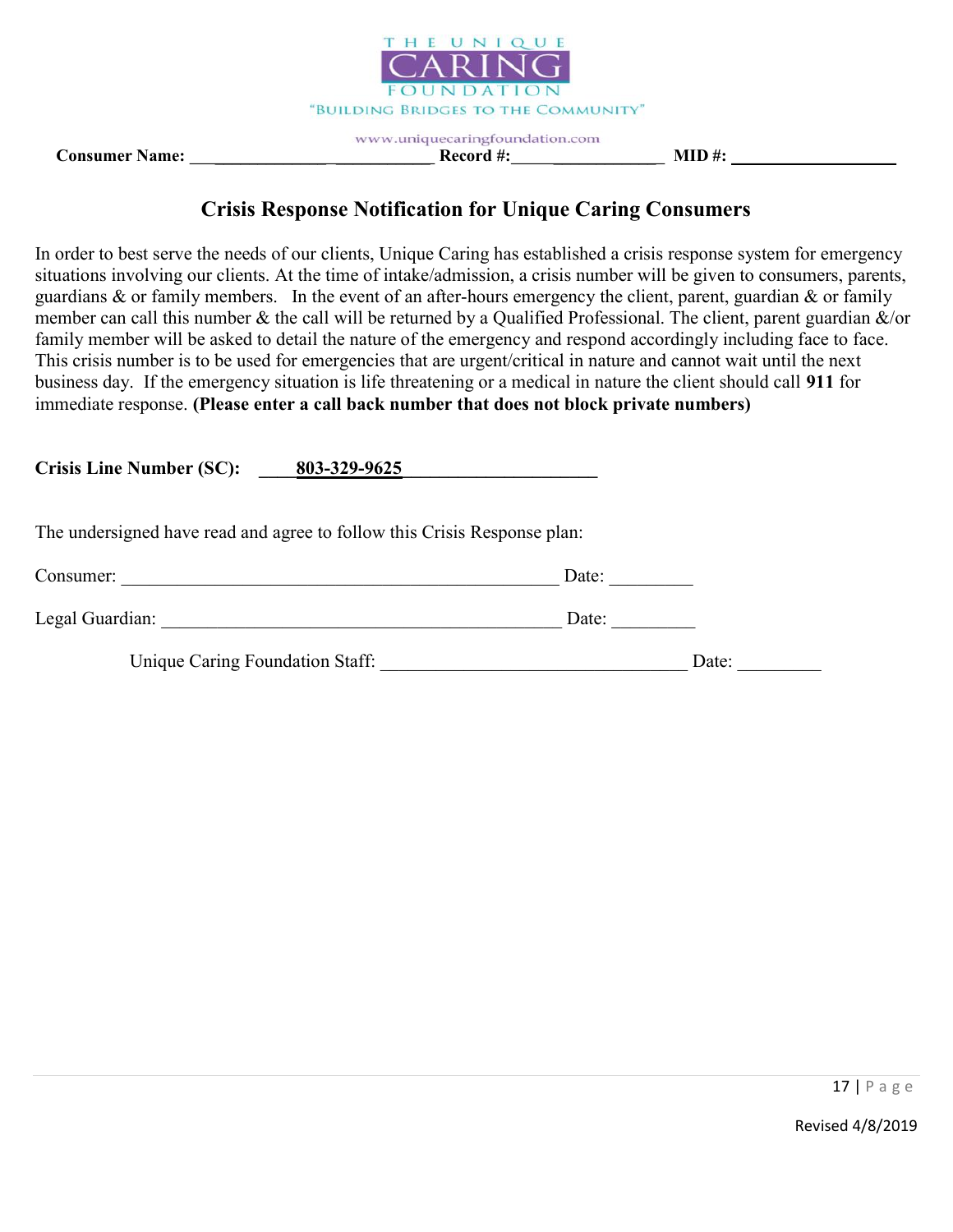

www.uniquecaringfoundation.com Consumer Name: \_\_\_\_\_\_\_\_\_\_\_\_\_ \_\_\_\_\_\_\_\_\_\_\_ Record #: \_\_\_\_\_\_\_\_\_\_\_\_ MID #:

# Crisis Response Notification for Unique Caring Consumers

In order to best serve the needs of our clients, Unique Caring has established a crisis response system for emergency situations involving our clients. At the time of intake/admission, a crisis number will be given to consumers, parents, guardians  $\&$  or family members. In the event of an after-hours emergency the client, parent, guardian  $\&$  or family member can call this number & the call will be returned by a Qualified Professional. The client, parent guardian &/or family member will be asked to detail the nature of the emergency and respond accordingly including face to face. This crisis number is to be used for emergencies that are urgent/critical in nature and cannot wait until the next business day. If the emergency situation is life threatening or a medical in nature the client should call 911 for immediate response. (Please enter a call back number that does not block private numbers)

Crisis Line Number (SC): <u>803-329-9625</u>

| The undersigned have read and agree to follow this Crisis Response plan: |
|--------------------------------------------------------------------------|
|--------------------------------------------------------------------------|

| Consumer:       | Date: |
|-----------------|-------|
| Legal Guardian: | Date: |

Unique Caring Foundation Staff: \_\_\_\_\_\_\_\_\_\_\_\_\_\_\_\_\_\_\_\_\_\_\_\_\_\_\_\_\_\_\_\_\_ Date: \_\_\_\_\_\_\_\_\_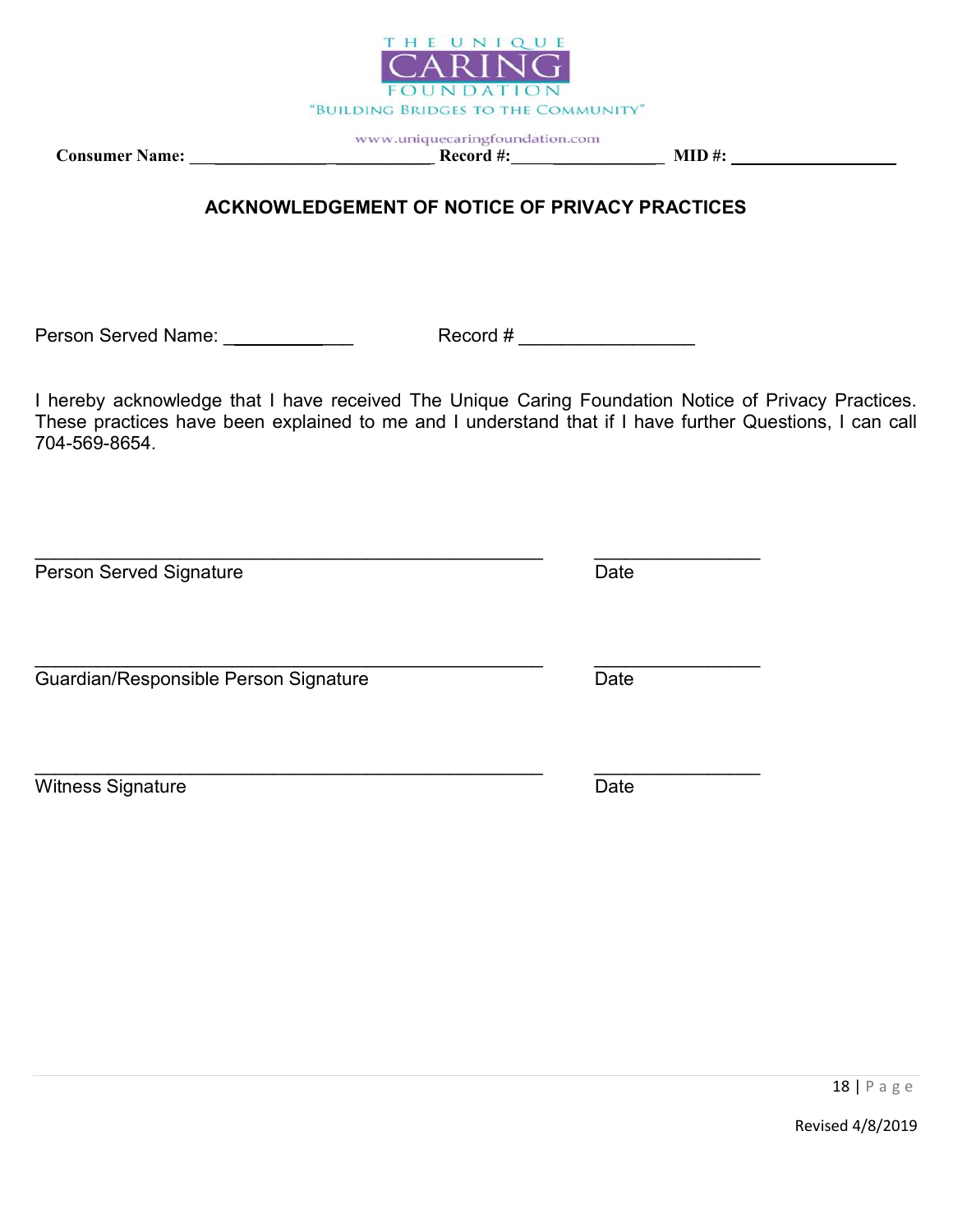

Consumer Name: \_\_\_\_\_\_\_\_\_\_\_\_\_ \_\_\_\_\_\_\_\_\_\_\_ Record #: \_\_\_\_\_\_\_\_\_\_\_\_ MID #:

# ACKNOWLEDGEMENT OF NOTICE OF PRIVACY PRACTICES

Person Served Name: \_ \_\_\_\_\_\_\_\_\_\_\_ Record # \_\_\_\_\_\_\_\_\_\_\_\_\_\_\_\_\_

I hereby acknowledge that I have received The Unique Caring Foundation Notice of Privacy Practices. These practices have been explained to me and I understand that if I have further Questions, I can call 704-569-8654.

Person Served Signature **Date** Date Date  $\_$  , and the set of the set of the set of the set of the set of the set of the set of the set of the set of the set of the set of the set of the set of the set of the set of the set of the set of the set of the set of th Guardian/Responsible Person Signature **Date** Date  $\_$  , and the set of the set of the set of the set of the set of the set of the set of the set of the set of the set of the set of the set of the set of the set of the set of the set of the set of the set of the set of th Witness Signature Date

 $\_$  , and the set of the set of the set of the set of the set of the set of the set of the set of the set of the set of the set of the set of the set of the set of the set of the set of the set of the set of the set of th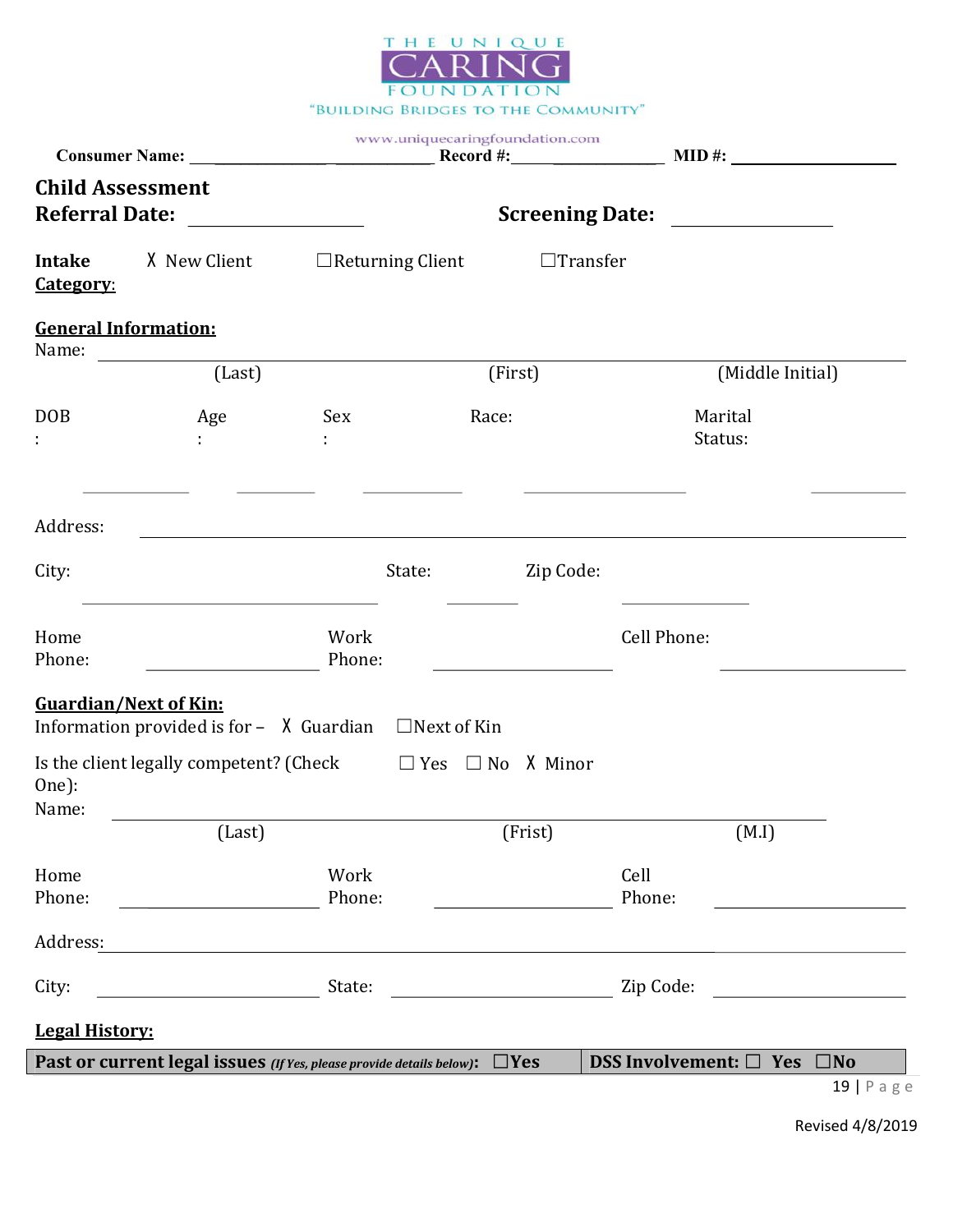

|                                                  |                                                                                                                       | www.uniquecaringfoundation.com                                                                                        |                         |                 |                |                                                    |
|--------------------------------------------------|-----------------------------------------------------------------------------------------------------------------------|-----------------------------------------------------------------------------------------------------------------------|-------------------------|-----------------|----------------|----------------------------------------------------|
| <b>Child Assessment</b><br><b>Referral Date:</b> |                                                                                                                       |                                                                                                                       |                         |                 |                | Screening Date: _______________                    |
| <b>Intake</b><br><u>Category:</u>                | X New Client                                                                                                          |                                                                                                                       | $\Box$ Returning Client | $\Box$ Transfer |                |                                                    |
| <b>General Information:</b><br>Name:             |                                                                                                                       |                                                                                                                       |                         |                 |                |                                                    |
|                                                  | (Last)                                                                                                                |                                                                                                                       | (First)                 |                 |                | (Middle Initial)                                   |
| <b>DOB</b>                                       | Age                                                                                                                   | Sex                                                                                                                   | Race:                   |                 |                | Marital<br>Status:                                 |
| Address:                                         |                                                                                                                       | <u> 1989 - Johann Stoff, deutscher Stoffen und der Stoffen und der Stoffen und der Stoffen und der Stoffen und de</u> |                         |                 |                |                                                    |
| City:                                            |                                                                                                                       | State:                                                                                                                |                         | Zip Code:       |                |                                                    |
| Home<br>Phone:                                   |                                                                                                                       | Work<br>Phone:                                                                                                        |                         |                 | Cell Phone:    |                                                    |
| <b>Guardian/Next of Kin:</b>                     | Information provided is for - $\lambda$ Guardian $\Box$ Next of Kin                                                   |                                                                                                                       |                         |                 |                |                                                    |
| One):<br>Name:                                   | Is the client legally competent? (Check $\Box$ Yes $\Box$ No X Minor                                                  |                                                                                                                       |                         |                 |                |                                                    |
|                                                  | (Last)                                                                                                                |                                                                                                                       |                         | (Frist)         |                | (M.I)                                              |
| Home<br>Phone:                                   | <u> 1980 - Johann Stoff, fransk politik (</u>                                                                         | Work<br>Phone:                                                                                                        |                         |                 | Cell<br>Phone: |                                                    |
| Address:                                         | <u> 1989 - Johann Stoff, deutscher Stoff, der Stoff, der Stoff, der Stoff, der Stoff, der Stoff, der Stoff, der S</u> |                                                                                                                       |                         |                 |                |                                                    |
| City:                                            |                                                                                                                       |                                                                                                                       |                         |                 |                |                                                    |
| <b>Legal History:</b>                            |                                                                                                                       |                                                                                                                       |                         |                 |                |                                                    |
|                                                  | Past or current legal issues (If Yes, please provide details below): $\Box$ Yes                                       |                                                                                                                       |                         |                 |                | DSS Involvement: $\Box$ Yes $\Box$ No<br>19   Page |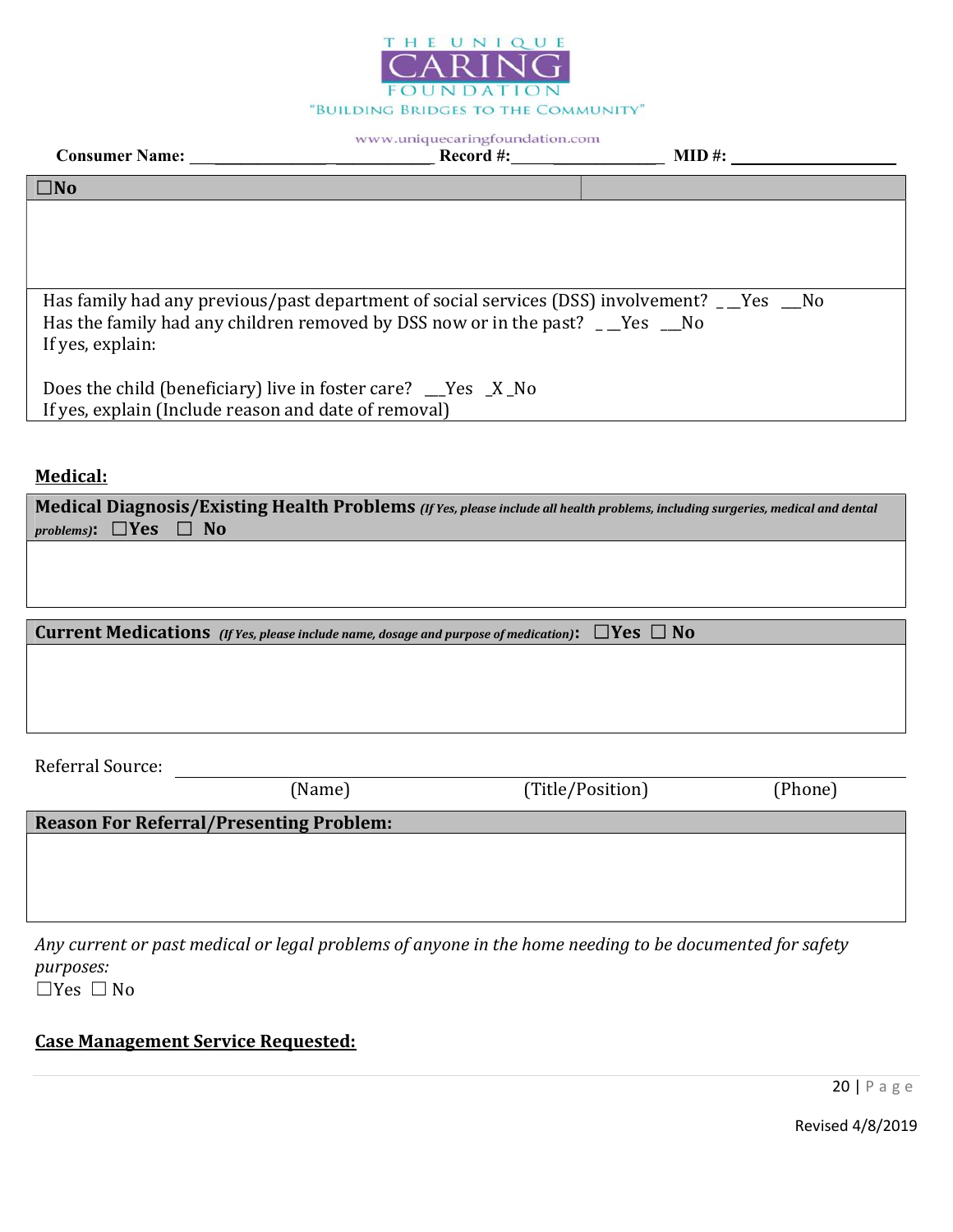

| <b>Consumer Name:</b>                                                                                                                                                                                        | Record #: | $\bf MID \#:$ |
|--------------------------------------------------------------------------------------------------------------------------------------------------------------------------------------------------------------|-----------|---------------|
| $\square$ No                                                                                                                                                                                                 |           |               |
|                                                                                                                                                                                                              |           |               |
|                                                                                                                                                                                                              |           |               |
|                                                                                                                                                                                                              |           |               |
| Has family had any previous/past department of social services (DSS) involvement? _ _Yes __No<br>Has the family had any children removed by DSS now or in the past? $\Box$ Yes $\Box$ No<br>If yes, explain: |           |               |
| Does the child (beneficiary) live in foster care? $\angle$ Yes $\angle$ X No<br>If yes, explain (Include reason and date of removal)                                                                         |           |               |

### Medical:

| Medical Diagnosis/Existing Health Problems (If Yes, please include all health problems, including surgeries, medical and dental |        |                                                                                                                  |         |  |  |
|---------------------------------------------------------------------------------------------------------------------------------|--------|------------------------------------------------------------------------------------------------------------------|---------|--|--|
| problems): $\Box$ Yes $\Box$ No                                                                                                 |        |                                                                                                                  |         |  |  |
|                                                                                                                                 |        |                                                                                                                  |         |  |  |
|                                                                                                                                 |        |                                                                                                                  |         |  |  |
|                                                                                                                                 |        |                                                                                                                  |         |  |  |
|                                                                                                                                 |        |                                                                                                                  |         |  |  |
|                                                                                                                                 |        | <b>Current Medications</b> (If Yes, please include name, dosage and purpose of medication): $\Box$ Yes $\Box$ No |         |  |  |
|                                                                                                                                 |        |                                                                                                                  |         |  |  |
|                                                                                                                                 |        |                                                                                                                  |         |  |  |
|                                                                                                                                 |        |                                                                                                                  |         |  |  |
|                                                                                                                                 |        |                                                                                                                  |         |  |  |
|                                                                                                                                 |        |                                                                                                                  |         |  |  |
| Referral Source:                                                                                                                |        |                                                                                                                  |         |  |  |
|                                                                                                                                 | (Name) | (Title/Position)                                                                                                 | (Phone) |  |  |
|                                                                                                                                 |        |                                                                                                                  |         |  |  |
| <b>Reason For Referral/Presenting Problem:</b>                                                                                  |        |                                                                                                                  |         |  |  |

Any current or past medical or legal problems of anyone in the home needing to be documented for safety purposes:

☐Yes ☐ No

## Case Management Service Requested: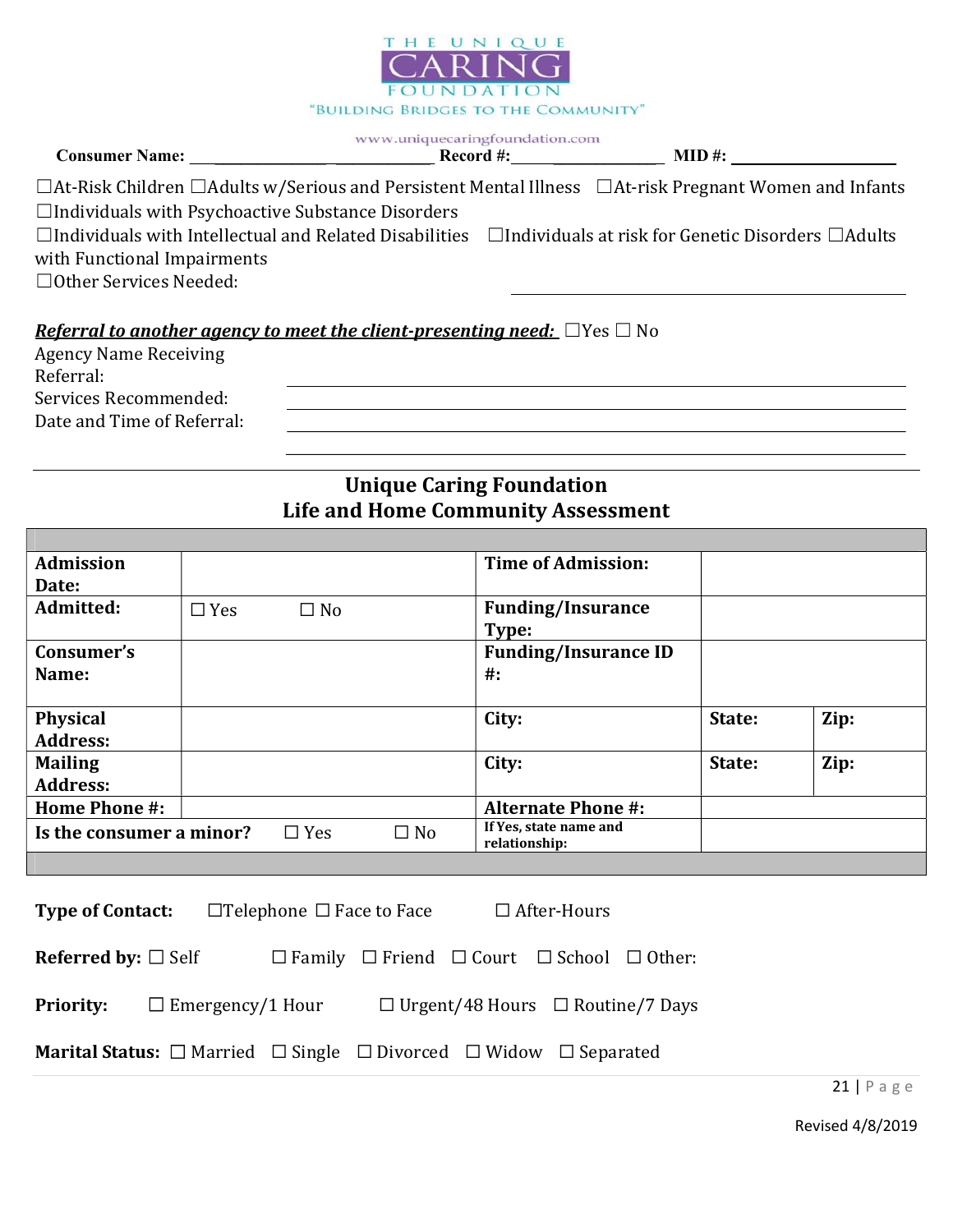

| <b>Consumer Name:</b> | Record #:<br>$\mathbf{u}$ $\pi$ | MID |  |
|-----------------------|---------------------------------|-----|--|
|                       |                                 |     |  |

| $\Box$ At-Risk Children $\Box$ Adults w/Serious and Persistent Mental Illness $\Box$ At-risk Pregnant Women and Infants      |  |
|------------------------------------------------------------------------------------------------------------------------------|--|
| $\Box$ Individuals with Psychoactive Substance Disorders                                                                     |  |
| $\Box$ Individuals with Intellectual and Related Disabilities $\Box$ Individuals at risk for Genetic Disorders $\Box$ Adults |  |
| with Functional Impairments                                                                                                  |  |
|                                                                                                                              |  |

☐Other Services Needed:

# Referral to another agency to meet the client-presenting need:  $\Box$  Yes  $\Box$  No

| <b>Agency Name Receiving</b> |
|------------------------------|
| Referral:                    |
| Services Recommended:        |
| Date and Time of Referral:   |

# Unique Caring Foundation Life and Home Community Assessment

| <b>Admission</b>         |            |            |           | <b>Time of Admission:</b>               |        |      |
|--------------------------|------------|------------|-----------|-----------------------------------------|--------|------|
| Date:                    |            |            |           |                                         |        |      |
| Admitted:                | $\Box$ Yes | $\Box$ No  |           | <b>Funding/Insurance</b>                |        |      |
|                          |            |            |           | Type:                                   |        |      |
| Consumer's               |            |            |           | <b>Funding/Insurance ID</b>             |        |      |
| <b>Name:</b>             |            |            |           | $#$ :                                   |        |      |
|                          |            |            |           |                                         |        |      |
| <b>Physical</b>          |            |            |           | City:                                   | State: | Zip: |
| <b>Address:</b>          |            |            |           |                                         |        |      |
| <b>Mailing</b>           |            |            |           | City:                                   | State: | Zip: |
| <b>Address:</b>          |            |            |           |                                         |        |      |
| <b>Home Phone #:</b>     |            |            |           | <b>Alternate Phone #:</b>               |        |      |
| Is the consumer a minor? |            | $\Box$ Yes | $\Box$ No | If Yes, state name and<br>relationship: |        |      |
|                          |            |            |           |                                         |        |      |

| <b>Type of Contact:</b>                                                                           |                         | $\Box$ Telephone $\Box$ Face to Face |                                                                      | $\Box$ After-Hours                           |  |
|---------------------------------------------------------------------------------------------------|-------------------------|--------------------------------------|----------------------------------------------------------------------|----------------------------------------------|--|
| <b>Referred by:</b> $\square$ Self                                                                |                         |                                      | $\Box$ Family $\Box$ Friend $\Box$ Court $\Box$ School $\Box$ Other: |                                              |  |
| <b>Priority:</b>                                                                                  | $\Box$ Emergency/1 Hour |                                      |                                                                      | $\Box$ Urgent/48 Hours $\Box$ Routine/7 Days |  |
| <b>Marital Status:</b> $\Box$ Married $\Box$ Single $\Box$ Divorced $\Box$ Widow $\Box$ Separated |                         |                                      |                                                                      |                                              |  |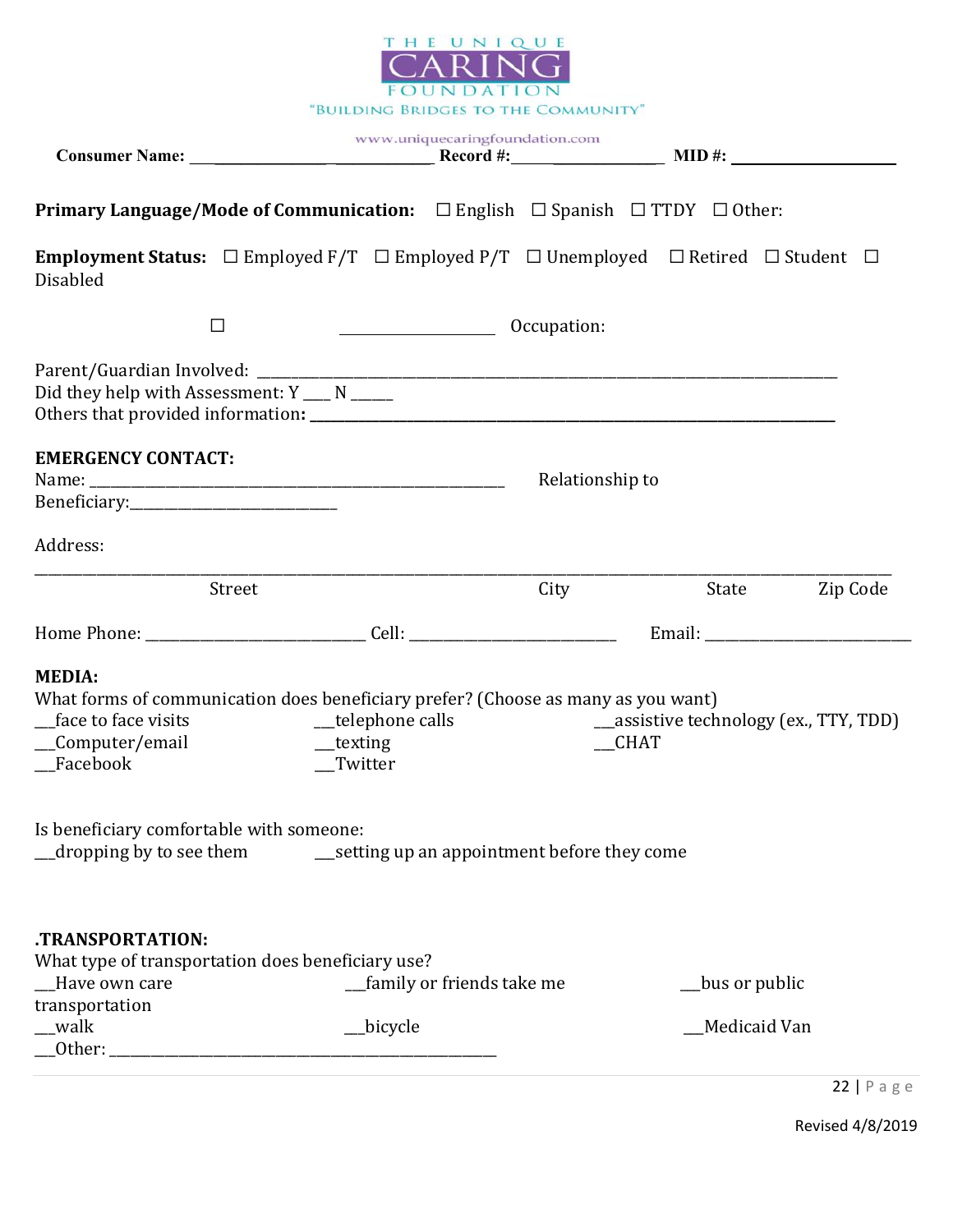

| $\Box$                                            |                                                                                                                                    |                 |                                                                                                                                                                                                                                                                                                                                                                                                                                                   |
|---------------------------------------------------|------------------------------------------------------------------------------------------------------------------------------------|-----------------|---------------------------------------------------------------------------------------------------------------------------------------------------------------------------------------------------------------------------------------------------------------------------------------------------------------------------------------------------------------------------------------------------------------------------------------------------|
|                                                   |                                                                                                                                    |                 |                                                                                                                                                                                                                                                                                                                                                                                                                                                   |
| <b>EMERGENCY CONTACT:</b>                         |                                                                                                                                    |                 |                                                                                                                                                                                                                                                                                                                                                                                                                                                   |
|                                                   |                                                                                                                                    |                 |                                                                                                                                                                                                                                                                                                                                                                                                                                                   |
| Street                                            | City                                                                                                                               | State           | Zip Code                                                                                                                                                                                                                                                                                                                                                                                                                                          |
|                                                   |                                                                                                                                    |                 |                                                                                                                                                                                                                                                                                                                                                                                                                                                   |
|                                                   |                                                                                                                                    |                 |                                                                                                                                                                                                                                                                                                                                                                                                                                                   |
| $\equiv$ dropping by to see them                  |                                                                                                                                    |                 |                                                                                                                                                                                                                                                                                                                                                                                                                                                   |
| What type of transportation does beneficiary use? | __family or friends take me                                                                                                        | __bus or public |                                                                                                                                                                                                                                                                                                                                                                                                                                                   |
|                                                   | Did they help with Assessment: Y ___ N ____<br>_telephone calls<br>_texting<br>Twitter<br>Is beneficiary comfortable with someone: | Decupation:     | <b>Primary Language/Mode of Communication:</b> $\Box$ English $\Box$ Spanish $\Box$ TTDY $\Box$ Other:<br><b>Employment Status:</b> $\Box$ Employed F/T $\Box$ Employed P/T $\Box$ Unemployed $\Box$ Retired $\Box$ Student $\Box$<br>Relationship to<br>What forms of communication does beneficiary prefer? (Choose as many as you want)<br>__assistive technology (ex., TTY, TDD)<br><b>CHAT</b><br>setting up an appointment before they come |

22 | P a g e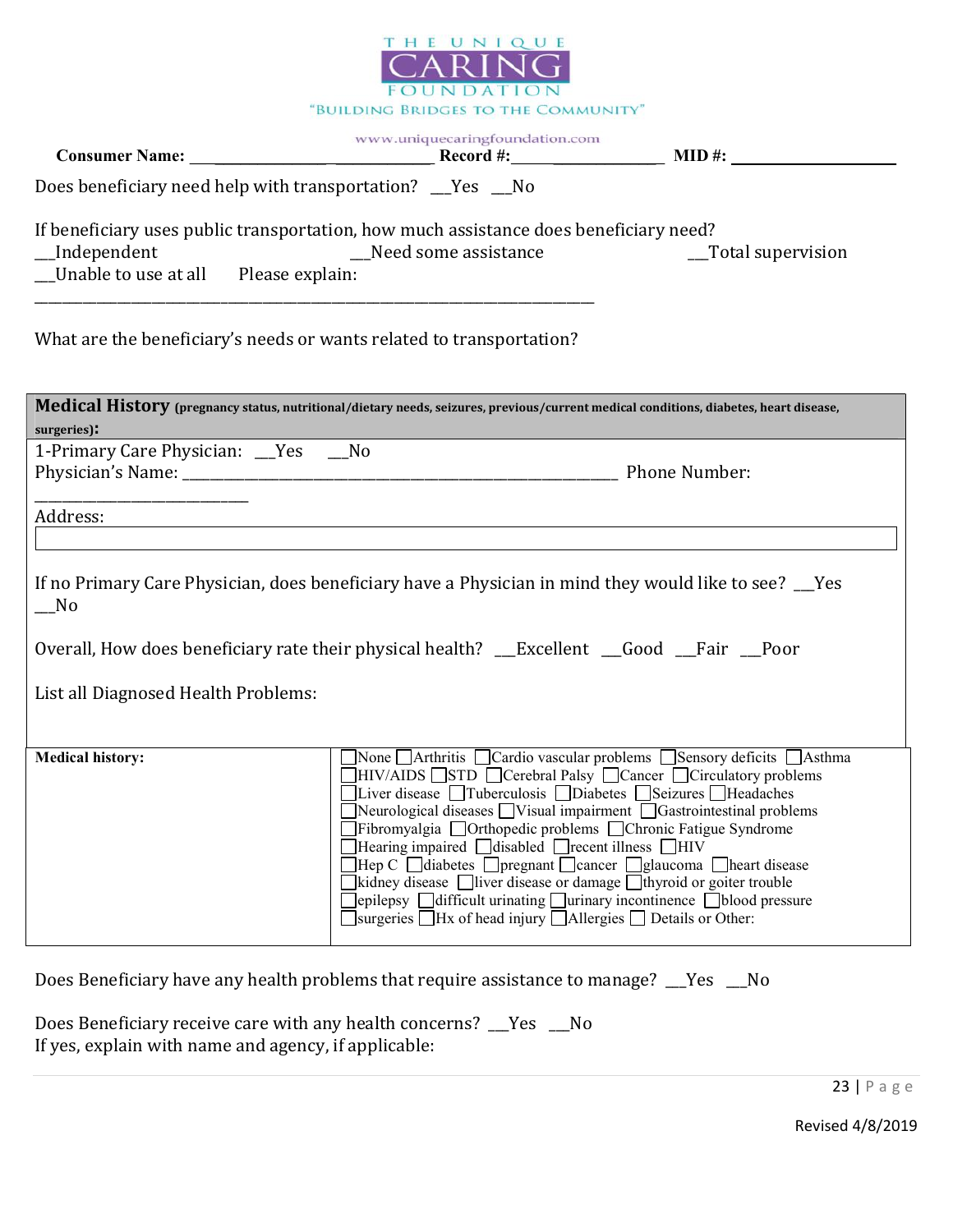

|                                                                                                                                                                                                                                | www.uniquecaringfoundation.com                                                                                                                                                                                                                                                                                                                                                                                                                                                                                                                                                                                                                                                                                                                              |                     |
|--------------------------------------------------------------------------------------------------------------------------------------------------------------------------------------------------------------------------------|-------------------------------------------------------------------------------------------------------------------------------------------------------------------------------------------------------------------------------------------------------------------------------------------------------------------------------------------------------------------------------------------------------------------------------------------------------------------------------------------------------------------------------------------------------------------------------------------------------------------------------------------------------------------------------------------------------------------------------------------------------------|---------------------|
| Does beneficiary need help with transportation? __Yes __No                                                                                                                                                                     |                                                                                                                                                                                                                                                                                                                                                                                                                                                                                                                                                                                                                                                                                                                                                             |                     |
| If beneficiary uses public transportation, how much assistance does beneficiary need?<br>_Independent<br>__Independent<br>__Unable to use at all Please explain:                                                               | Need some assistance                                                                                                                                                                                                                                                                                                                                                                                                                                                                                                                                                                                                                                                                                                                                        | __Total supervision |
| What are the beneficiary's needs or wants related to transportation?                                                                                                                                                           |                                                                                                                                                                                                                                                                                                                                                                                                                                                                                                                                                                                                                                                                                                                                                             |                     |
| Medical History (pregnancy status, nutritional/dietary needs, seizures, previous/current medical conditions, diabetes, heart disease,<br>surgeries):                                                                           |                                                                                                                                                                                                                                                                                                                                                                                                                                                                                                                                                                                                                                                                                                                                                             |                     |
| 1-Primary Care Physician: __Yes __No                                                                                                                                                                                           |                                                                                                                                                                                                                                                                                                                                                                                                                                                                                                                                                                                                                                                                                                                                                             |                     |
| Address: Address: Address: Address: Address: Address: Address: Address: Address: Address: Address: Address: Address: Address: Address: Address: Address: Address: Address: Address: Address: Address: Address: Address: Addres |                                                                                                                                                                                                                                                                                                                                                                                                                                                                                                                                                                                                                                                                                                                                                             |                     |
| If no Primary Care Physician, does beneficiary have a Physician in mind they would like to see? __Yes<br>$\sqrt{N}$                                                                                                            |                                                                                                                                                                                                                                                                                                                                                                                                                                                                                                                                                                                                                                                                                                                                                             |                     |
| Overall, How does beneficiary rate their physical health? __Excellent __Good __Fair __Poor                                                                                                                                     |                                                                                                                                                                                                                                                                                                                                                                                                                                                                                                                                                                                                                                                                                                                                                             |                     |
| List all Diagnosed Health Problems:                                                                                                                                                                                            |                                                                                                                                                                                                                                                                                                                                                                                                                                                                                                                                                                                                                                                                                                                                                             |                     |
| <b>Medical history:</b>                                                                                                                                                                                                        | None Arthritis Cardio vascular problems Sensory deficits Asthma<br>HIV/AIDS STD Cerebral Palsy Cancer Circulatory problems<br>Liver disease □ Tuberculosis □ Diabetes □ Seizures □ Headaches<br>Neurological diseases Visual impairment Gastrointestinal problems<br>Fibromyalgia □Orthopedic problems □Chronic Fatigue Syndrome<br>Hearing impaired disabled Frecent illness HIV<br>$\Box$ Hep C $\Box$ diabetes $\Box$ pregnant $\Box$ cancer $\Box$ glaucoma $\Box$ heart disease<br>Ikidney disease $\Box$ liver disease or damage $\Box$ thyroid or goiter trouble<br>$]$ epilepsy $\Box$ difficult urinating $\Box$ urinary incontinence $\Box$ blood pressure<br>$\Box$ surgeries $\Box$ Hx of head injury $\Box$ Allergies $\Box$ Details or Other: |                     |

Does Beneficiary have any health problems that require assistance to manage? \_\_Yes \_\_No

Does Beneficiary receive care with any health concerns? \_\_\_Yes \_\_\_No If yes, explain with name and agency, if applicable: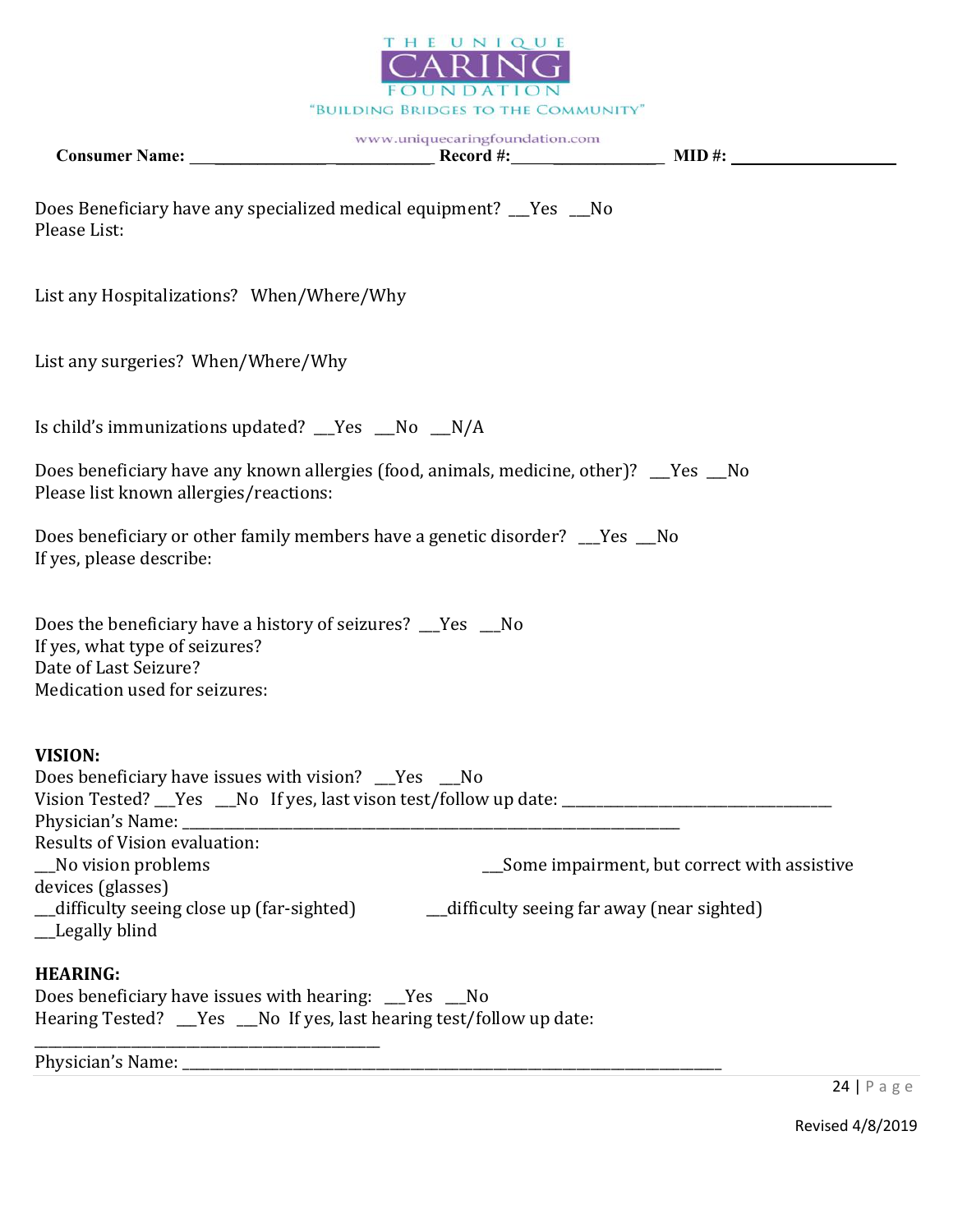

| Does Beneficiary have any specialized medical equipment? __Yes __No<br>Please List:                                                                                                                                                                                                                                                                                          |  |                                               |
|------------------------------------------------------------------------------------------------------------------------------------------------------------------------------------------------------------------------------------------------------------------------------------------------------------------------------------------------------------------------------|--|-----------------------------------------------|
| List any Hospitalizations? When/Where/Why                                                                                                                                                                                                                                                                                                                                    |  |                                               |
| List any surgeries? When/Where/Why                                                                                                                                                                                                                                                                                                                                           |  |                                               |
| Is child's immunizations updated? __Yes __No __N/A                                                                                                                                                                                                                                                                                                                           |  |                                               |
| Does beneficiary have any known allergies (food, animals, medicine, other)? __Yes __No<br>Please list known allergies/reactions:                                                                                                                                                                                                                                             |  |                                               |
| Does beneficiary or other family members have a genetic disorder? __Yes __No<br>If yes, please describe:                                                                                                                                                                                                                                                                     |  |                                               |
| Does the beneficiary have a history of seizures? __Yes __No<br>If yes, what type of seizures?<br>Date of Last Seizure?<br>Medication used for seizures:                                                                                                                                                                                                                      |  |                                               |
| <b>VISION:</b><br>Does beneficiary have issues with vision? __Yes __No<br>Vision Tested? __Yes __No If yes, last vison test/follow up date: __________________________________<br>Results of Vision evaluation:<br>_No vision problems<br>devices (glasses)<br>difficulty seeing close up (far-sighted) https://difficulty seeing far away (near sighted)<br>__Legally blind |  | __Some impairment, but correct with assistive |
| <b>HEARING:</b><br>Does beneficiary have issues with hearing: _Yes _No<br>Hearing Tested? __Yes __No If yes, last hearing test/follow up date:                                                                                                                                                                                                                               |  |                                               |

Physician's Name: \_\_\_\_\_\_\_\_\_\_\_\_\_\_\_\_\_\_\_\_\_\_\_\_\_\_\_\_\_\_\_\_\_\_\_\_\_\_\_\_\_\_\_\_\_\_\_\_\_\_\_\_\_\_\_\_\_\_\_\_\_\_\_\_\_\_\_\_\_\_\_\_\_\_\_\_\_\_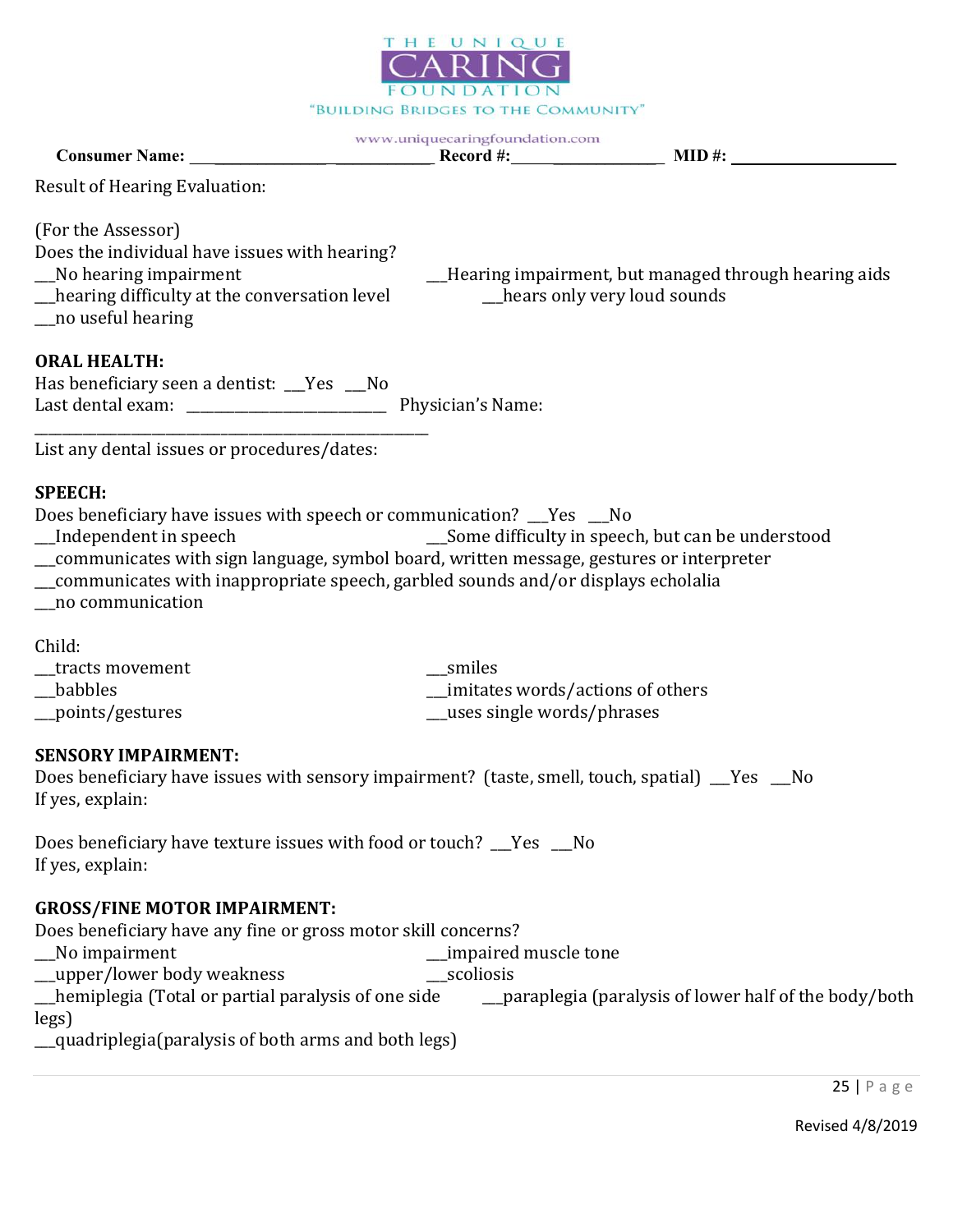

Consumer Name: \_\_\_\_\_\_\_\_\_\_\_\_\_ \_\_\_\_\_\_\_\_\_\_\_ Record #: \_\_\_\_\_\_\_\_\_\_\_\_ MID #:

Result of Hearing Evaluation:

(For the Assessor)

Does the individual have issues with hearing? \_\_\_No hearing impairment \_\_\_Hearing impairment, but managed through hearing aids

\_\_\_hearing difficulty at the conversation level \_\_\_hears only very loud sounds

\_\_\_no useful hearing

### ORAL HEALTH:

| Has beneficiary seen a dentist: Yes |  |                   |
|-------------------------------------|--|-------------------|
| Last dental exam:                   |  | Physician's Name: |
|                                     |  |                   |

List any dental issues or procedures/dates:

### SPEECH:

Does beneficiary have issues with speech or communication? \_\_\_Yes \_\_\_No

- \_\_\_Some difficulty in speech, but can be understood
- \_\_\_communicates with sign language, symbol board, written message, gestures or interpreter
- \_\_\_communicates with inappropriate speech, garbled sounds and/or displays echolalia
- \_\_\_no communication

Child:

| tracts movement   | smiles                           |
|-------------------|----------------------------------|
| <b>babbles</b>    | imitates words/actions of others |
| __points/gestures | uses single words/phrases        |

### SENSORY IMPAIRMENT:

Does beneficiary have issues with sensory impairment? (taste, smell, touch, spatial) \_\_\_Yes \_\_\_No If yes, explain:

Does beneficiary have texture issues with food or touch? \_\_\_Yes \_\_\_No If yes, explain:

### GROSS/FINE MOTOR IMPAIRMENT:

Does beneficiary have any fine or gross motor skill concerns? \_\_\_No impairment \_\_\_impaired muscle tone

\_\_\_upper/lower body weakness \_\_\_scoliosis

\_\_\_hemiplegia (Total or partial paralysis of one side \_\_\_paraplegia (paralysis of lower half of the body/both legs)

\_\_\_quadriplegia(paralysis of both arms and both legs)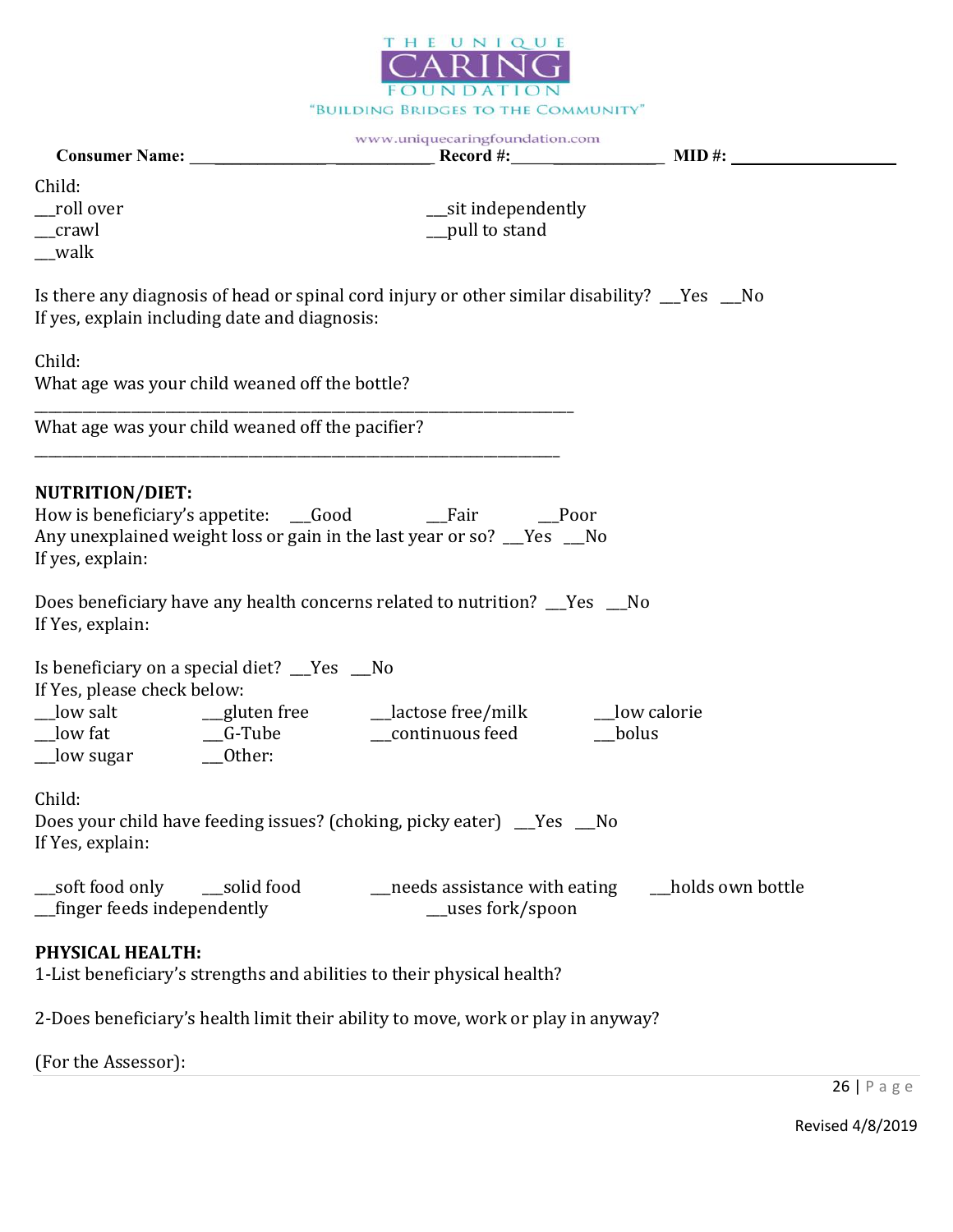

 $\mathcal{L} = \mathcal{L}$ 

|                                                                             | www.uniquecaringfoundation.com                                                                                                                       |                        |
|-----------------------------------------------------------------------------|------------------------------------------------------------------------------------------------------------------------------------------------------|------------------------|
| Child:<br>__roll over<br>_crawl<br>$\_\text{walk}$                          | __sit independently<br>pull to stand                                                                                                                 |                        |
| If yes, explain including date and diagnosis:                               | Is there any diagnosis of head or spinal cord injury or other similar disability? __Yes __No                                                         |                        |
| Child:<br>What age was your child weaned off the bottle?                    |                                                                                                                                                      |                        |
| What age was your child weaned off the pacifier?                            |                                                                                                                                                      |                        |
| <b>NUTRITION/DIET:</b><br>If yes, explain:<br>If Yes, explain:              | Any unexplained weight loss or gain in the last year or so? Thesert No<br>Does beneficiary have any health concerns related to nutrition? __Yes __No |                        |
| Is beneficiary on a special diet? __Yes __No<br>If Yes, please check below: |                                                                                                                                                      | __low calorie<br>bolus |
| Child:<br>If Yes, explain:                                                  | Does your child have feeding issues? (choking, picky eater) __Yes __No                                                                               |                        |
| soft food only<br>_solid food<br>_finger feeds independently                | needs assistance with eating<br>__uses fork/spoon                                                                                                    | holds own bottle       |
| PHYSICAL HEALTH:                                                            | 1-List beneficiary's strengths and abilities to their physical health?                                                                               |                        |

2-Does beneficiary's health limit their ability to move, work or play in anyway?

(For the Assessor):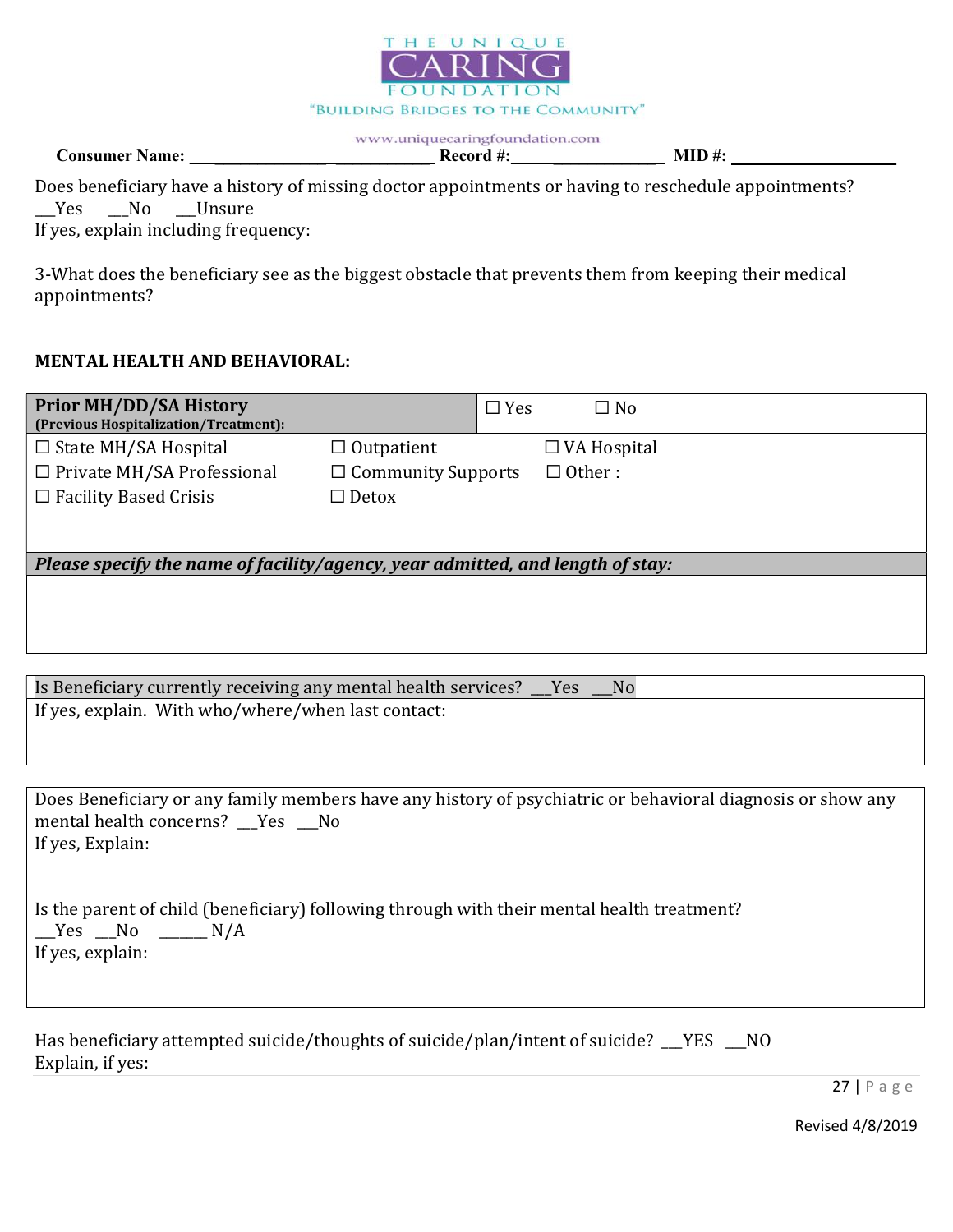

Consumer Name: \_\_\_\_\_\_\_\_\_\_\_\_\_ \_\_\_\_\_\_\_\_\_\_\_ Record #: \_\_\_\_\_\_\_\_\_\_\_\_ MID #:

|  |                                      | Does beneficiary have a history of missing doctor appointments or having to reschedule appointments? |
|--|--------------------------------------|------------------------------------------------------------------------------------------------------|
|  | __Yes __No __Unsure                  |                                                                                                      |
|  | If yes, explain including frequency: |                                                                                                      |

3-What does the beneficiary see as the biggest obstacle that prevents them from keeping their medical appointments?

# MENTAL HEALTH AND BEHAVIORAL:

| <b>Prior MH/DD/SA History</b><br>(Previous Hospitalization/Treatment):         |                           | $\Box$ Yes | $\square$ No       |
|--------------------------------------------------------------------------------|---------------------------|------------|--------------------|
| $\Box$ State MH/SA Hospital                                                    | $\Box$ Outpatient         |            | $\Box$ VA Hospital |
| $\Box$ Private MH/SA Professional                                              | $\Box$ Community Supports |            | $\Box$ Other :     |
| $\Box$ Facility Based Crisis                                                   | $\Box$ Detox              |            |                    |
|                                                                                |                           |            |                    |
| Please specify the name of facility/agency, year admitted, and length of stay: |                           |            |                    |
|                                                                                |                           |            |                    |
|                                                                                |                           |            |                    |
|                                                                                |                           |            |                    |

| Is Beneficiary currently receiving any mental health services? Thes<br>N <sub>0</sub> |  |
|---------------------------------------------------------------------------------------|--|
| If yes, explain. With who/where/when last contact:                                    |  |

Does Beneficiary or any family members have any history of psychiatric or behavioral diagnosis or show any mental health concerns? \_\_Yes \_\_No If yes, Explain:

|                  |  | Is the parent of child (beneficiary) following through with their mental health treatment? |
|------------------|--|--------------------------------------------------------------------------------------------|
| $Yes$ No $N/A$   |  |                                                                                            |
| If yes, explain: |  |                                                                                            |

| Has beneficiary attempted suicide/thoughts of suicide/plan/intent of suicide? TYES |  |
|------------------------------------------------------------------------------------|--|
| Explain, if yes:                                                                   |  |

27 | P a g e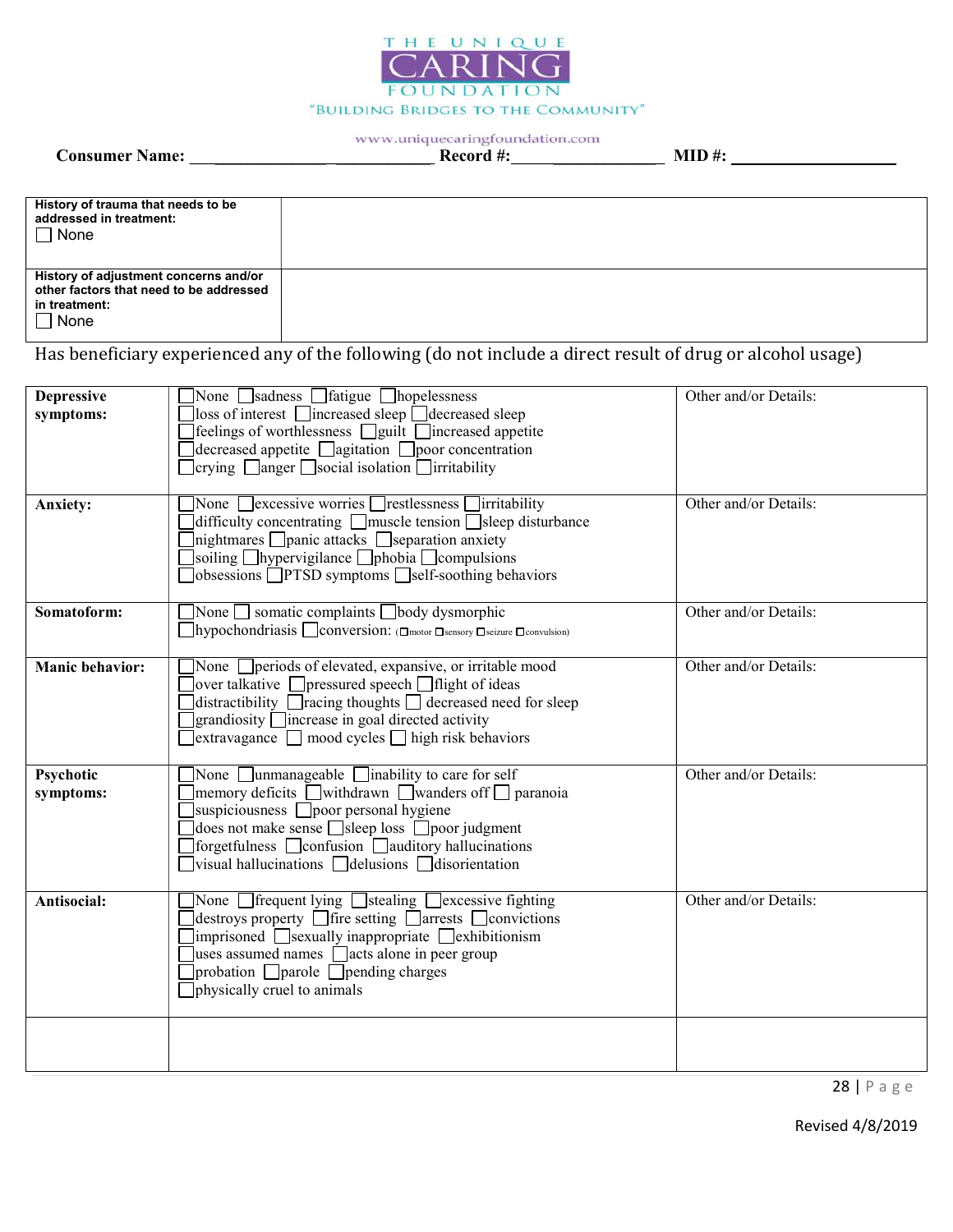

www.uniquecaringfoundation.com Consumer Name: \_\_\_\_\_\_\_\_\_\_\_\_\_ \_\_\_\_\_\_\_\_\_\_\_ Record #: \_\_\_\_\_\_\_\_\_\_\_\_ MID #:

| History of trauma that needs to be<br>addressed in treatment:<br>$\Box$ None                                       |  |
|--------------------------------------------------------------------------------------------------------------------|--|
| History of adjustment concerns and/or<br>other factors that need to be addressed<br>in treatment:<br>$\sqcap$ None |  |

Has beneficiary experienced any of the following (do not include a direct result of drug or alcohol usage)

| <b>Depressive</b><br>symptoms:<br><b>Anxiety:</b> | None Sadness Satigue Shopelessness<br>$\lfloor$ loss of interest $\lfloor$ increased sleep $\lfloor$ decreased sleep<br>] feelings of worthlessness □ guilt □ increased appetite<br>$\exists$ decreased appetite $\Box$ agitation $\Box$ poor concentration<br>$\Box$ crying $\Box$ anger $\Box$ social isolation $\Box$ irritability<br>None $\Box$ excessive worries $\Box$ restlessness $\Box$ irritability<br>difficulty concentrating $\Box$ muscle tension $\Box$ sleep disturbance<br>$\ln$ ightmares $\ln$ panic attacks $\ln$ separation anxiety<br>soiling $\Box$ hypervigilance $\Box$ phobia $\Box$ compulsions<br>obsessions <b>PTSD</b> symptoms self-soothing behaviors | Other and/or Details:<br>Other and/or Details: |
|---------------------------------------------------|----------------------------------------------------------------------------------------------------------------------------------------------------------------------------------------------------------------------------------------------------------------------------------------------------------------------------------------------------------------------------------------------------------------------------------------------------------------------------------------------------------------------------------------------------------------------------------------------------------------------------------------------------------------------------------------|------------------------------------------------|
| Somatoform:                                       | None $\Box$ somatic complaints $\Box$ body dysmorphic<br>1hypochondriasis conversion: (□motor □sensory □seizure □convulsion)                                                                                                                                                                                                                                                                                                                                                                                                                                                                                                                                                           | Other and/or Details:                          |
| <b>Manic behavior:</b>                            | None <i>periods</i> of elevated, expansive, or irritable mood<br>$\vert$ over talkative $\vert$ pressured speech $\vert$ flight of ideas<br>distractibility $\Box$ racing thoughts $\Box$ decreased need for sleep<br>$\Box$ grandiosity $\Box$ increase in goal directed activity<br>$]$ extravagance $\Box$ mood cycles $\Box$ high risk behaviors                                                                                                                                                                                                                                                                                                                                   | Other and/or Details:                          |
| Psychotic<br>symptoms:                            | None $\Box$ unmanageable $\Box$ inability to care for self<br>memory deficits withdrawn wanders of $\Box$ paranoia<br>suspiciousness <b>poor</b> personal hygiene<br>does not make sense $\Box$ sleep loss $\Box$ poor judgment<br>forgetfulness □ confusion □ auditory hallucinations<br>$ $ visual hallucinations $\Box$ delusions $\Box$ disorientation                                                                                                                                                                                                                                                                                                                             | Other and/or Details:                          |
| Antisocial:                                       | None <i>Separat Line Butching Bexeessive fighting</i><br>$\left]$ destroys property $\left[\right]$ fire setting $\left[\right]$ arrests $\left[\right]$ convictions<br>$\limpr$ isoned $\log$ sexually inappropriate $\log$ ckhibitionism<br>uses assumed names $\Box$ acts alone in peer group<br>$]$ probation $\Box$ parole $\Box$ pending charges<br>physically cruel to animals                                                                                                                                                                                                                                                                                                  | Other and/or Details:                          |
|                                                   |                                                                                                                                                                                                                                                                                                                                                                                                                                                                                                                                                                                                                                                                                        |                                                |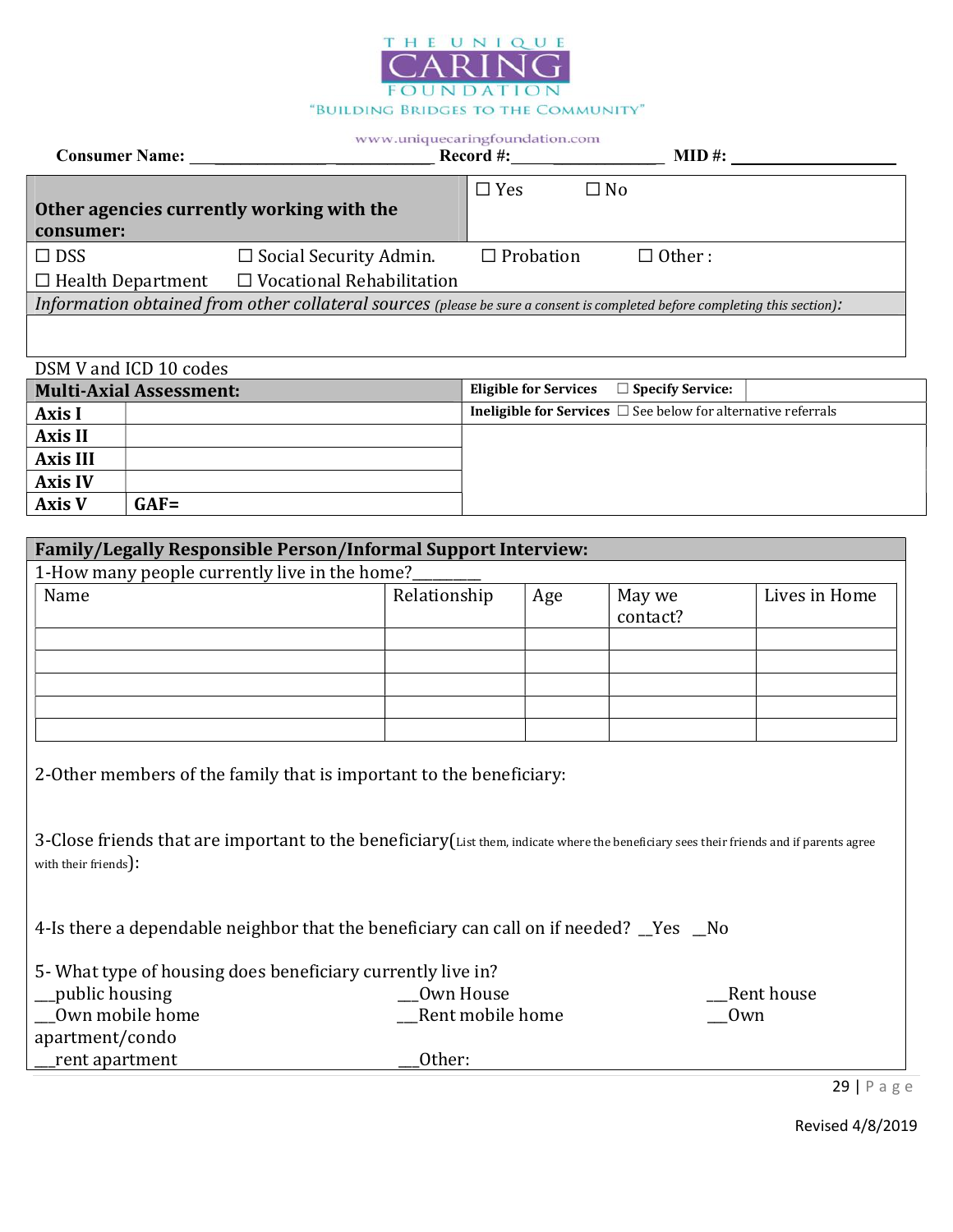

| <b>Consumer Name:</b>                     |                                                                                                                            | Record #:        |              | $MID \#$ :     |
|-------------------------------------------|----------------------------------------------------------------------------------------------------------------------------|------------------|--------------|----------------|
|                                           |                                                                                                                            | $\Box$ Yes       | $\square$ No |                |
| Other agencies currently working with the |                                                                                                                            |                  |              |                |
| consumer:                                 |                                                                                                                            |                  |              |                |
| $\Box$ DSS                                | $\Box$ Social Security Admin.                                                                                              | $\Box$ Probation |              | $\Box$ Other : |
|                                           | $\Box$ Health Department $\Box$ Vocational Rehabilitation                                                                  |                  |              |                |
|                                           | Information obtained from other collateral sources (please be sure a consent is completed before completing this section): |                  |              |                |
|                                           |                                                                                                                            |                  |              |                |

# DSM V and ICD 10 codes

| <b>Multi-Axial Assessment:</b> |         | Eligible for Services $\Box$ Specify Service: |                                                                           |  |
|--------------------------------|---------|-----------------------------------------------|---------------------------------------------------------------------------|--|
| Axis I                         |         |                                               | <b>Ineligible for Services</b> $\Box$ See below for alternative referrals |  |
| <b>Axis II</b>                 |         |                                               |                                                                           |  |
| <b>Axis III</b>                |         |                                               |                                                                           |  |
| <b>Axis IV</b>                 |         |                                               |                                                                           |  |
| <b>Axis V</b>                  | $GAF =$ |                                               |                                                                           |  |

| <b>Family/Legally Responsible Person/Informal Support Interview:</b>                                                                                                                                            |                  |     |                    |               |
|-----------------------------------------------------------------------------------------------------------------------------------------------------------------------------------------------------------------|------------------|-----|--------------------|---------------|
| 1-How many people currently live in the home?                                                                                                                                                                   |                  |     |                    |               |
| Name                                                                                                                                                                                                            | Relationship     | Age | May we<br>contact? | Lives in Home |
|                                                                                                                                                                                                                 |                  |     |                    |               |
|                                                                                                                                                                                                                 |                  |     |                    |               |
|                                                                                                                                                                                                                 |                  |     |                    |               |
|                                                                                                                                                                                                                 |                  |     |                    |               |
| 2-Other members of the family that is important to the beneficiary:<br>3-Close friends that are important to the beneficiary (List them, indicate where the beneficiary sees their friends and if parents agree |                  |     |                    |               |
| with their friends):<br>4-Is there a dependable neighbor that the beneficiary can call on if needed? Yes ho                                                                                                     |                  |     |                    |               |
| 5- What type of housing does beneficiary currently live in?                                                                                                                                                     |                  |     |                    |               |
| public housing                                                                                                                                                                                                  | Own House        |     |                    | Rent house    |
| Own mobile home                                                                                                                                                                                                 | Rent mobile home |     | Own                |               |
| apartment/condo                                                                                                                                                                                                 |                  |     |                    |               |
| rent apartment                                                                                                                                                                                                  | Other:           |     |                    |               |

29 | P a g e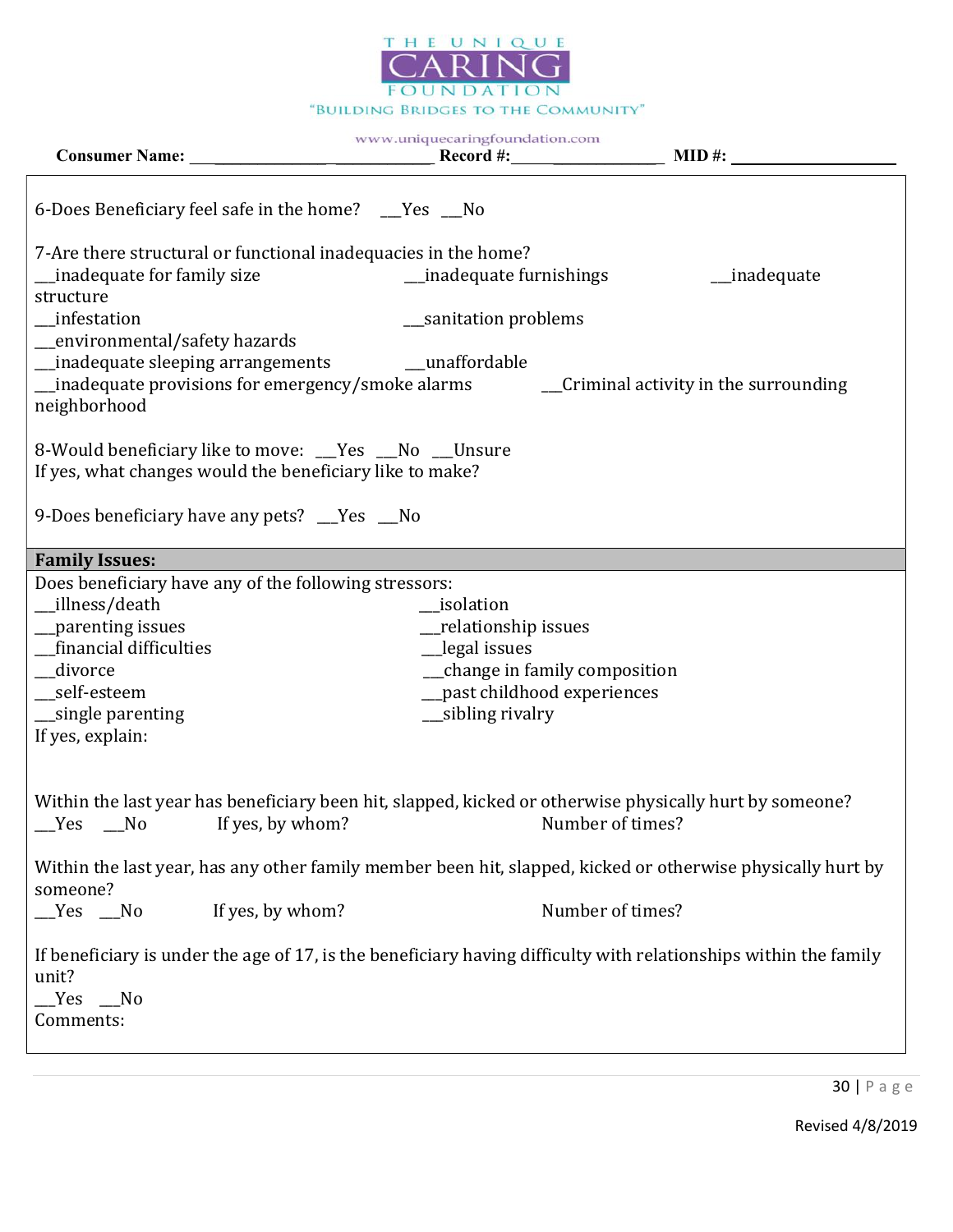

|                                                                                                                                                                                              | www.uniquecaringfoundation.com                                                                                                          |                                        |
|----------------------------------------------------------------------------------------------------------------------------------------------------------------------------------------------|-----------------------------------------------------------------------------------------------------------------------------------------|----------------------------------------|
| 6-Does Beneficiary feel safe in the home? __Yes __No                                                                                                                                         |                                                                                                                                         |                                        |
| 7-Are there structural or functional inadequacies in the home?<br>inadequate for family size                                                                                                 | _inadequate furnishings                                                                                                                 | __inadequate                           |
| structure<br>infestation                                                                                                                                                                     | __sanitation problems                                                                                                                   |                                        |
| _environmental/safety hazards<br>_inadequate sleeping arrangements<br>_inadequate provisions for emergency/smoke alarms<br>neighborhood                                                      | __unaffordable                                                                                                                          | __Criminal activity in the surrounding |
| 8-Would beneficiary like to move: __Yes __No __Unsure<br>If yes, what changes would the beneficiary like to make?                                                                            |                                                                                                                                         |                                        |
| 9-Does beneficiary have any pets? Thes Theory                                                                                                                                                |                                                                                                                                         |                                        |
| <b>Family Issues:</b>                                                                                                                                                                        |                                                                                                                                         |                                        |
| Does beneficiary have any of the following stressors:<br>__illness/death<br>_parenting issues<br>financial difficulties<br>__divorce<br>self-esteem<br>_single parenting<br>If yes, explain: | isolation<br>_relationship issues<br>_legal issues<br>__change in family composition<br>past childhood experiences<br>__sibling rivalry |                                        |
| Within the last year has beneficiary been hit, slapped, kicked or otherwise physically hurt by someone?<br>Yes<br>No<br>If yes, by whom?                                                     |                                                                                                                                         | Number of times?                       |
| Within the last year, has any other family member been hit, slapped, kicked or otherwise physically hurt by<br>someone?                                                                      |                                                                                                                                         |                                        |
| If yes, by whom?<br>$Yes$ No                                                                                                                                                                 |                                                                                                                                         | Number of times?                       |
| If beneficiary is under the age of 17, is the beneficiary having difficulty with relationships within the family<br>unit?<br>$Yes$ No<br>Comments:                                           |                                                                                                                                         |                                        |

30 | P a g e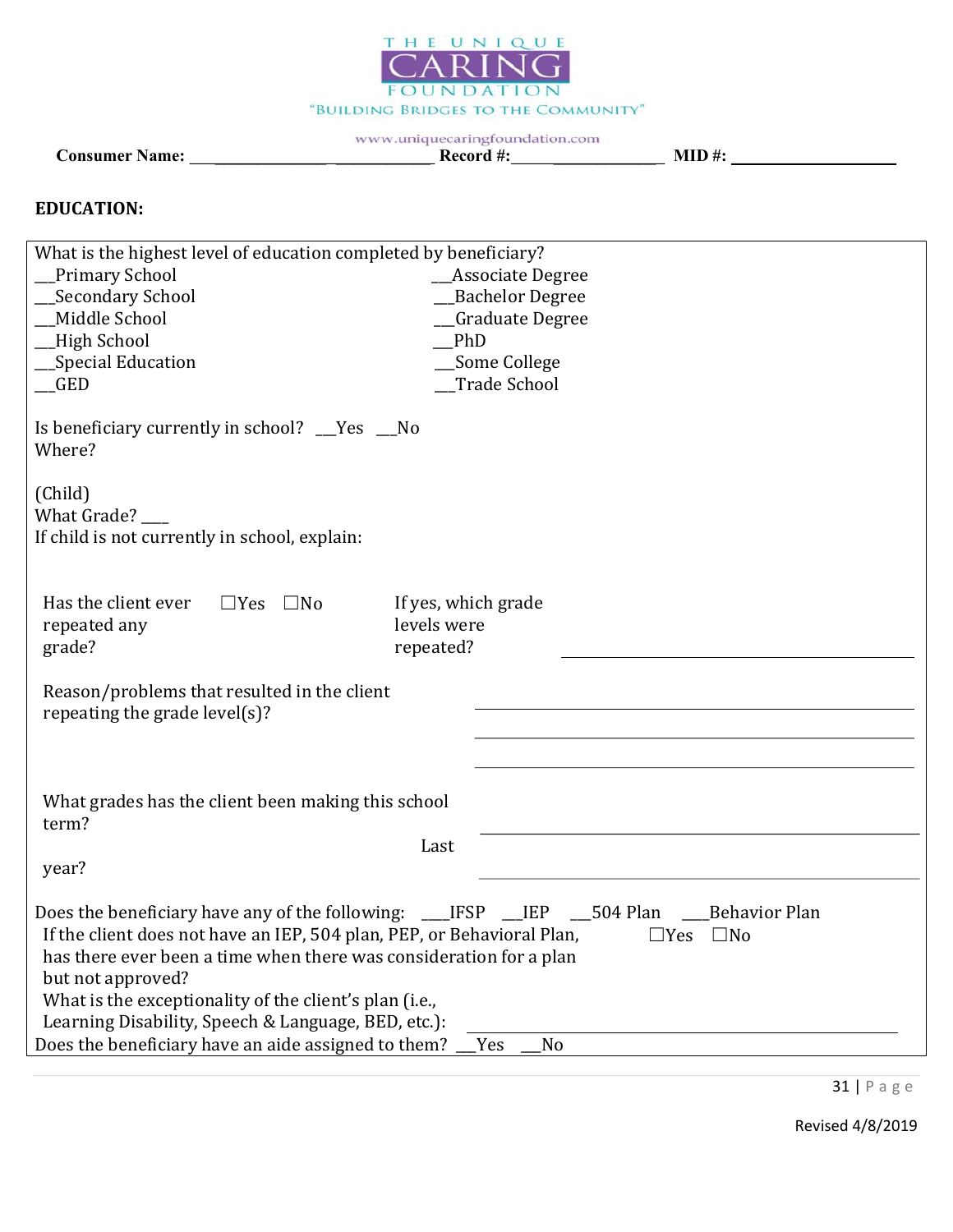

Consumer Name: \_\_\_\_\_\_\_\_\_\_\_\_\_ \_\_\_\_\_\_\_\_\_\_\_ Record #: \_\_\_\_\_\_\_\_\_\_\_\_ MID #:

#### EDUCATION:

| What is the highest level of education completed by beneficiary?                                                                                                                                                                                                                   |                                                                                                                       |
|------------------------------------------------------------------------------------------------------------------------------------------------------------------------------------------------------------------------------------------------------------------------------------|-----------------------------------------------------------------------------------------------------------------------|
| <b>Primary School</b>                                                                                                                                                                                                                                                              | <b>Associate Degree</b>                                                                                               |
| Secondary School                                                                                                                                                                                                                                                                   | <b>Bachelor Degree</b>                                                                                                |
| Middle School                                                                                                                                                                                                                                                                      | <b>Graduate Degree</b>                                                                                                |
| High School                                                                                                                                                                                                                                                                        | PhD                                                                                                                   |
| Special Education                                                                                                                                                                                                                                                                  | Some College                                                                                                          |
| <b>GED</b>                                                                                                                                                                                                                                                                         | Trade School                                                                                                          |
| Is beneficiary currently in school? __Yes __No<br>Where?                                                                                                                                                                                                                           |                                                                                                                       |
| (Child)<br>What Grade? ____<br>If child is not currently in school, explain:                                                                                                                                                                                                       |                                                                                                                       |
|                                                                                                                                                                                                                                                                                    |                                                                                                                       |
| Has the client ever<br>$\Box$ Yes $\Box$ No<br>repeated any<br>grade?                                                                                                                                                                                                              | If yes, which grade<br>levels were<br>repeated?                                                                       |
| Reason/problems that resulted in the client<br>repeating the grade level(s)?                                                                                                                                                                                                       |                                                                                                                       |
|                                                                                                                                                                                                                                                                                    |                                                                                                                       |
| What grades has the client been making this school<br>term?                                                                                                                                                                                                                        |                                                                                                                       |
|                                                                                                                                                                                                                                                                                    | Last                                                                                                                  |
| year?                                                                                                                                                                                                                                                                              |                                                                                                                       |
| If the client does not have an IEP, 504 plan, PEP, or Behavioral Plan,<br>has there ever been a time when there was consideration for a plan<br>but not approved?<br>What is the exceptionality of the client's plan (i.e.,<br>Learning Disability, Speech & Language, BED, etc.): | Does the beneficiary have any of the following: ____IFSP ___IEP ___504 Plan ____Behavior Plan<br>$\Box$ Yes $\Box$ No |
| Does the beneficiary have an aide assigned to them?                                                                                                                                                                                                                                | No<br>Yes                                                                                                             |

31 | P a g e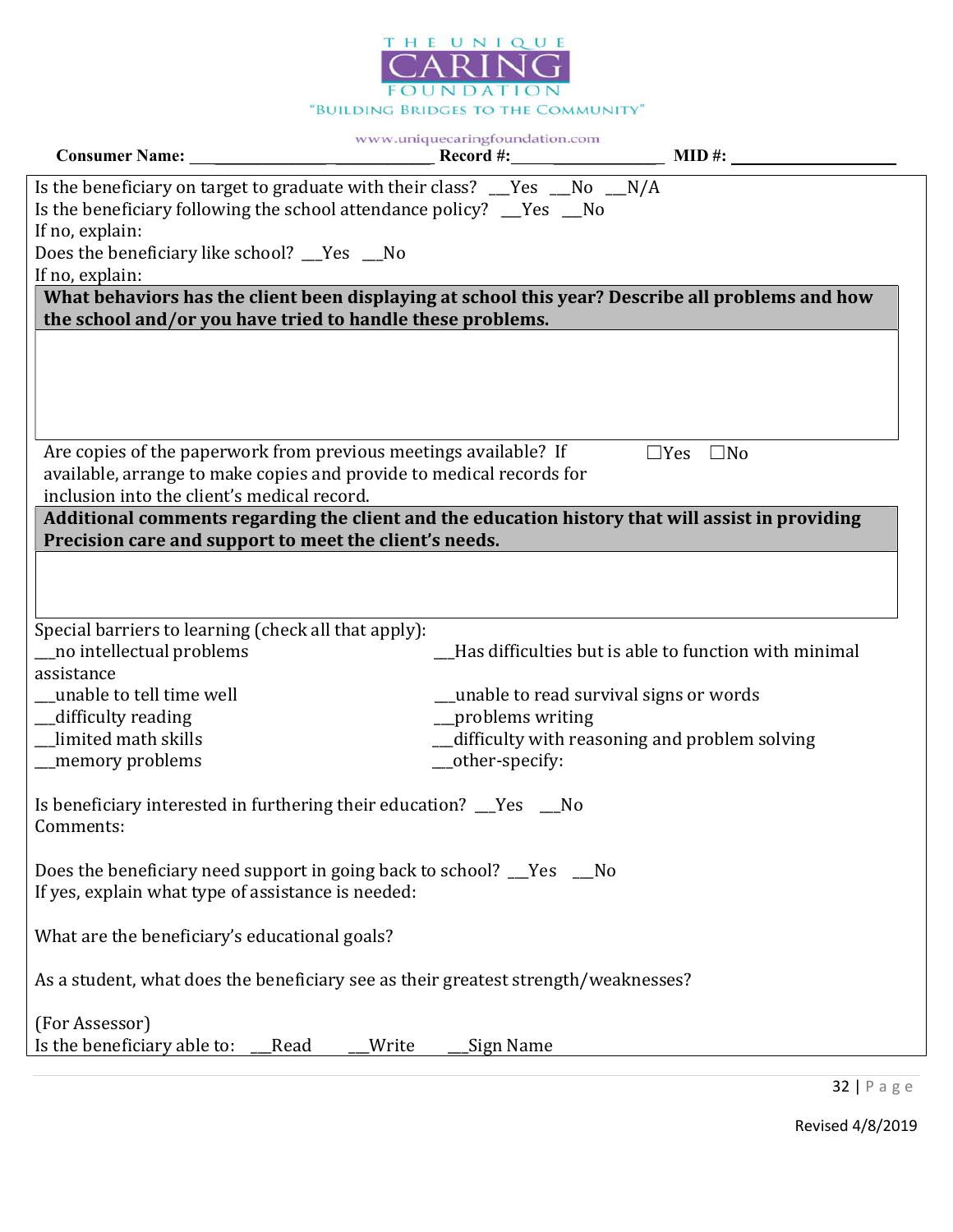

|                                                                                                                                                                                          | www.uniquecaringfoundation.com           |                                                       |
|------------------------------------------------------------------------------------------------------------------------------------------------------------------------------------------|------------------------------------------|-------------------------------------------------------|
| Is the beneficiary on target to graduate with their class? $\mu$ area $\mu$ and $\mu$ and $\mu$<br>Is the beneficiary following the school attendance policy? Thes No<br>If no, explain: |                                          |                                                       |
| Does the beneficiary like school? Tes Mo                                                                                                                                                 |                                          |                                                       |
| If no, explain:<br>What behaviors has the client been displaying at school this year? Describe all problems and how                                                                      |                                          |                                                       |
| the school and/or you have tried to handle these problems.                                                                                                                               |                                          |                                                       |
|                                                                                                                                                                                          |                                          |                                                       |
| Are copies of the paperwork from previous meetings available? If<br>available, arrange to make copies and provide to medical records for<br>inclusion into the client's medical record.  |                                          | $\Box$ Yes $\Box$ No                                  |
| Additional comments regarding the client and the education history that will assist in providing<br>Precision care and support to meet the client's needs.                               |                                          |                                                       |
|                                                                                                                                                                                          |                                          |                                                       |
| Special barriers to learning (check all that apply):<br>__no intellectual problems                                                                                                       |                                          | Has difficulties but is able to function with minimal |
| assistance                                                                                                                                                                               |                                          |                                                       |
| unable to tell time well                                                                                                                                                                 | __unable to read survival signs or words |                                                       |
| _difficulty reading                                                                                                                                                                      | _problems writing                        |                                                       |
| limited math skills                                                                                                                                                                      |                                          | __difficulty with reasoning and problem solving       |
| _memory problems                                                                                                                                                                         | __other-specify:                         |                                                       |
| Is beneficiary interested in furthering their education? __Yes __No<br>Comments:                                                                                                         |                                          |                                                       |
| Does the beneficiary need support in going back to school? Thes Tho<br>If yes, explain what type of assistance is needed:                                                                |                                          |                                                       |
| What are the beneficiary's educational goals?                                                                                                                                            |                                          |                                                       |
| As a student, what does the beneficiary see as their greatest strength/weaknesses?                                                                                                       |                                          |                                                       |
| (For Assessor)                                                                                                                                                                           |                                          |                                                       |
| Is the beneficiary able to:<br>Read                                                                                                                                                      | Write<br>Sign Name                       |                                                       |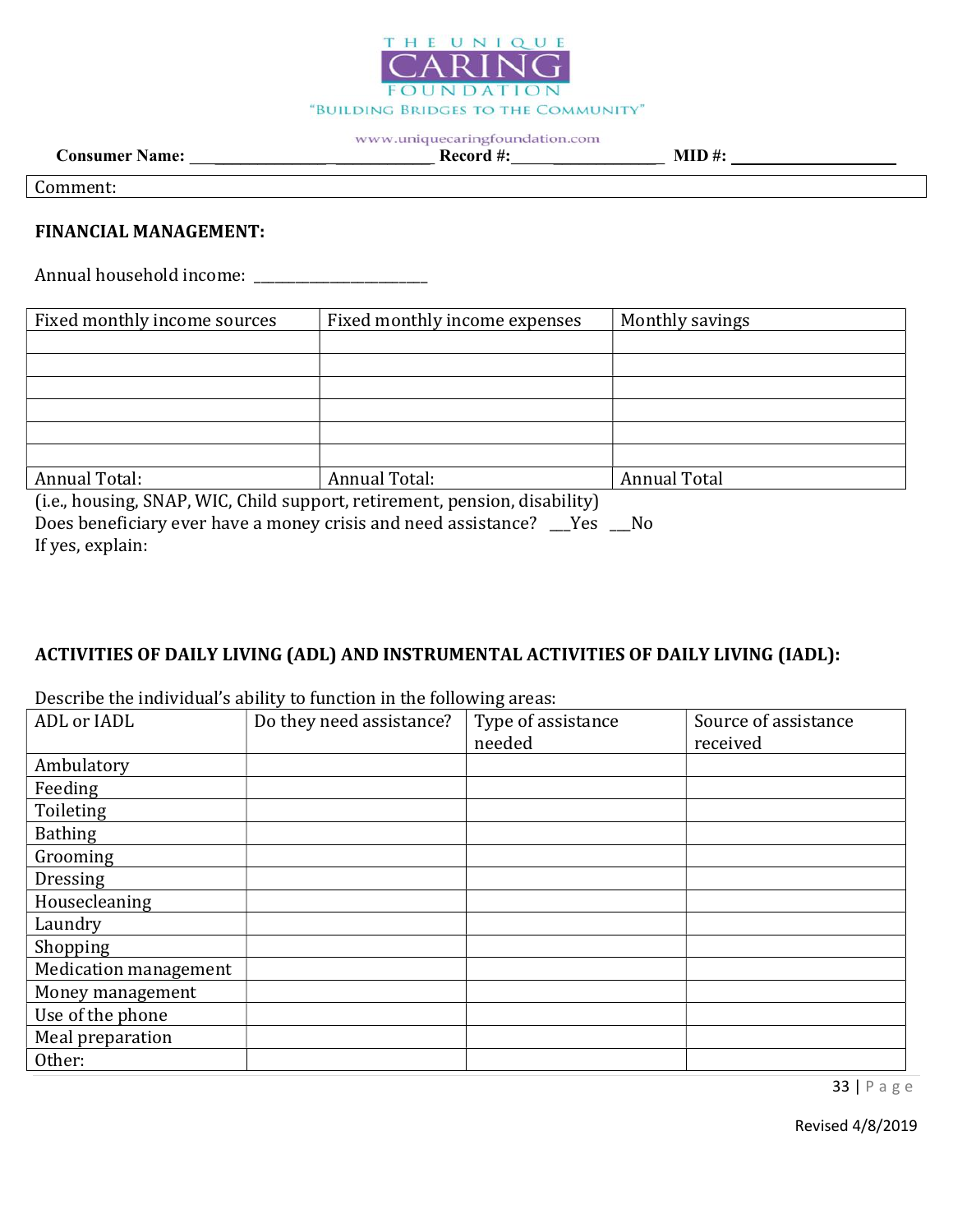

Consumer Name: \_\_\_\_\_\_\_\_\_\_\_\_\_ \_\_\_\_\_\_\_\_\_\_\_ Record #: \_\_\_\_\_\_\_\_\_\_\_\_ MID #:

Comment:

#### FINANCIAL MANAGEMENT:

Annual household income: \_\_\_\_\_\_\_\_\_\_\_\_\_\_\_\_\_\_\_\_\_\_\_\_\_

| Fixed monthly income sources | Fixed monthly income expenses | Monthly savings |
|------------------------------|-------------------------------|-----------------|
|                              |                               |                 |
|                              |                               |                 |
|                              |                               |                 |
|                              |                               |                 |
|                              |                               |                 |
|                              |                               |                 |
| Annual Total:                | Annual Total:                 | Annual Total    |

(i.e., housing, SNAP, WIC, Child support, retirement, pension, disability) Does beneficiary ever have a money crisis and need assistance? \_\_\_Yes \_\_No If yes, explain:

# ACTIVITIES OF DAILY LIVING (ADL) AND INSTRUMENTAL ACTIVITIES OF DAILY LIVING (IADL):

| ADL or IADL           | Do they need assistance? | $\cdot$<br>Type of assistance<br>needed | Source of assistance<br>received |
|-----------------------|--------------------------|-----------------------------------------|----------------------------------|
| Ambulatory            |                          |                                         |                                  |
| Feeding               |                          |                                         |                                  |
| Toileting             |                          |                                         |                                  |
| <b>Bathing</b>        |                          |                                         |                                  |
| Grooming              |                          |                                         |                                  |
| Dressing              |                          |                                         |                                  |
| Housecleaning         |                          |                                         |                                  |
| Laundry               |                          |                                         |                                  |
| Shopping              |                          |                                         |                                  |
| Medication management |                          |                                         |                                  |
| Money management      |                          |                                         |                                  |
| Use of the phone      |                          |                                         |                                  |
| Meal preparation      |                          |                                         |                                  |
| Other:                |                          |                                         |                                  |

Describe the individual's ability to function in the following areas:

33 | P a g e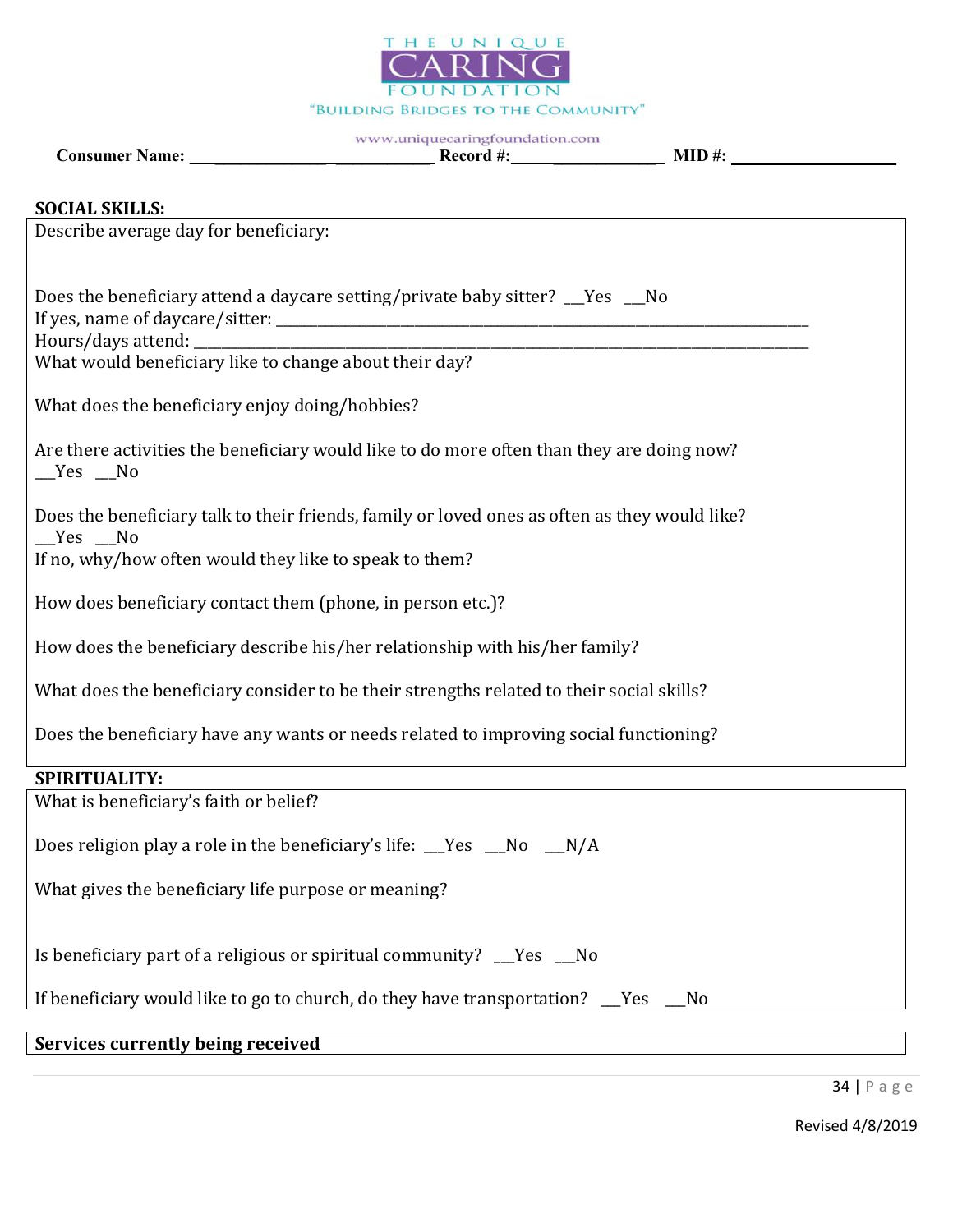

# Consumer Name: \_\_\_\_\_\_\_\_\_\_\_\_\_ \_\_\_\_\_\_\_\_\_\_\_ Record #: \_\_\_\_\_\_\_\_\_\_\_\_ MID #:

| <b>Consumer Name:</b> |  |
|-----------------------|--|
|                       |  |

# SOCIAL SKILLS:

| Describe average day for beneficiary:                                                                   |
|---------------------------------------------------------------------------------------------------------|
|                                                                                                         |
| Does the beneficiary attend a daycare setting/private baby sitter? __Yes __No                           |
| What would beneficiary like to change about their day?                                                  |
| What does the beneficiary enjoy doing/hobbies?                                                          |
| Are there activities the beneficiary would like to do more often than they are doing now?<br>$Yes$ No   |
| Does the beneficiary talk to their friends, family or loved ones as often as they would like?<br>Yes No |
| If no, why/how often would they like to speak to them?                                                  |
| How does beneficiary contact them (phone, in person etc.)?                                              |
| How does the beneficiary describe his/her relationship with his/her family?                             |
| What does the beneficiary consider to be their strengths related to their social skills?                |
| Does the beneficiary have any wants or needs related to improving social functioning?                   |
| SPIRITUALITY:                                                                                           |
| What is beneficiary's faith or belief?                                                                  |
| Does religion play a role in the beneficiary's life: Ves _No _N/A                                       |
| What gives the beneficiary life purpose or meaning?                                                     |
| Is beneficiary part of a religious or spiritual community? __Yes __No                                   |
| If beneficiary would like to go to church, do they have transportation?<br>Yes<br>No                    |

Services currently being received

34 | P a g e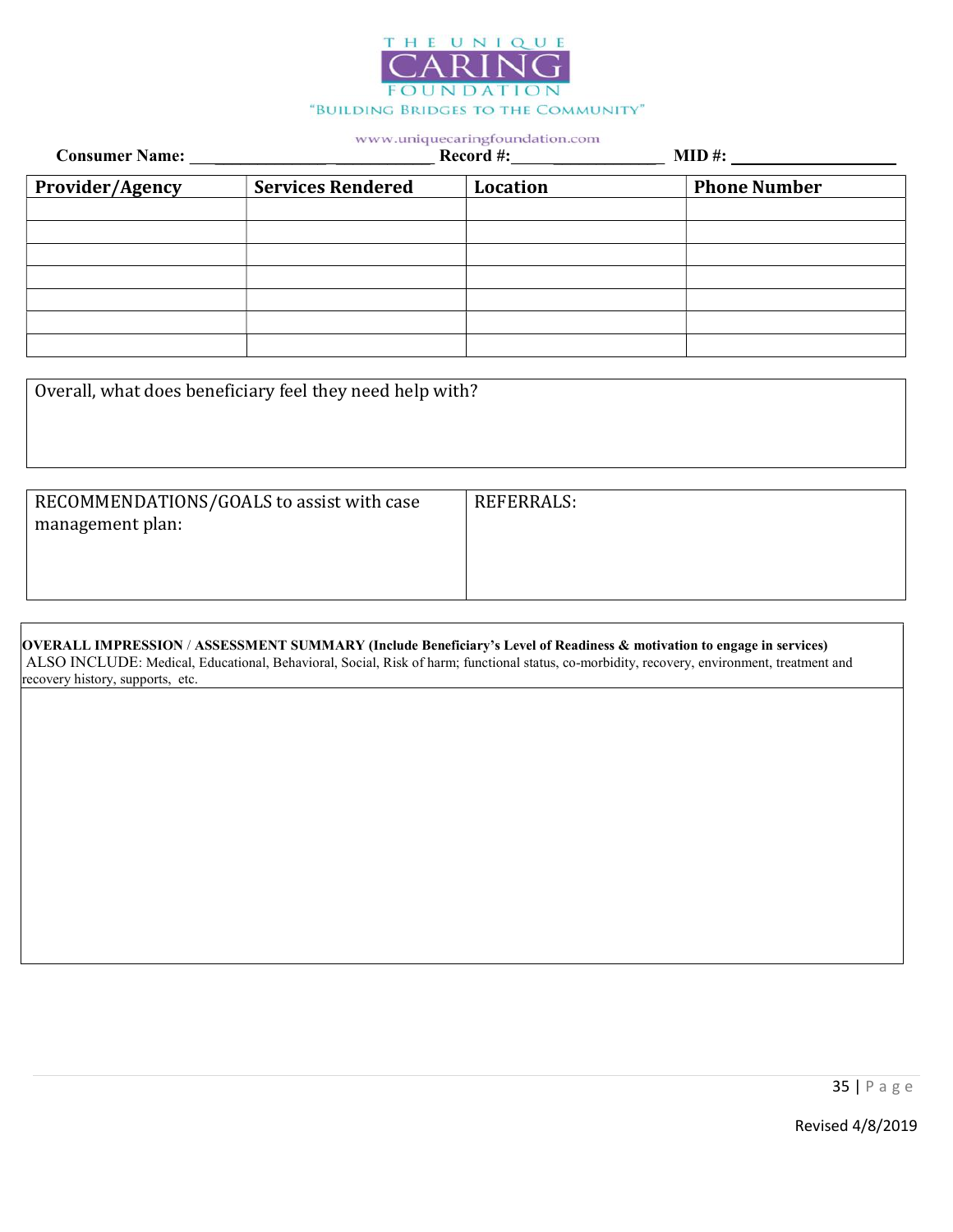

| <b>Consumer Name:</b> |                          | _____<br>Record #: | $MID$ #:            |
|-----------------------|--------------------------|--------------------|---------------------|
| Provider/Agency       | <b>Services Rendered</b> | Location           | <b>Phone Number</b> |
|                       |                          |                    |                     |
|                       |                          |                    |                     |
|                       |                          |                    |                     |
|                       |                          |                    |                     |
|                       |                          |                    |                     |
|                       |                          |                    |                     |
|                       |                          |                    |                     |

| Overall, what does beneficiary feel they need help with?      |            |
|---------------------------------------------------------------|------------|
| RECOMMENDATIONS/GOALS to assist with case<br>management plan: | REFERRALS: |

| OVERALL IMPRESSION / ASSESSMENT SUMMARY (Include Beneficiary's Level of Readiness & motivation to engage in services)                       |
|---------------------------------------------------------------------------------------------------------------------------------------------|
| ALSO INCLUDE: Medical, Educational, Behavioral, Social, Risk of harm; functional status, co-morbidity, recovery, environment, treatment and |
| recovery history, supports, etc.                                                                                                            |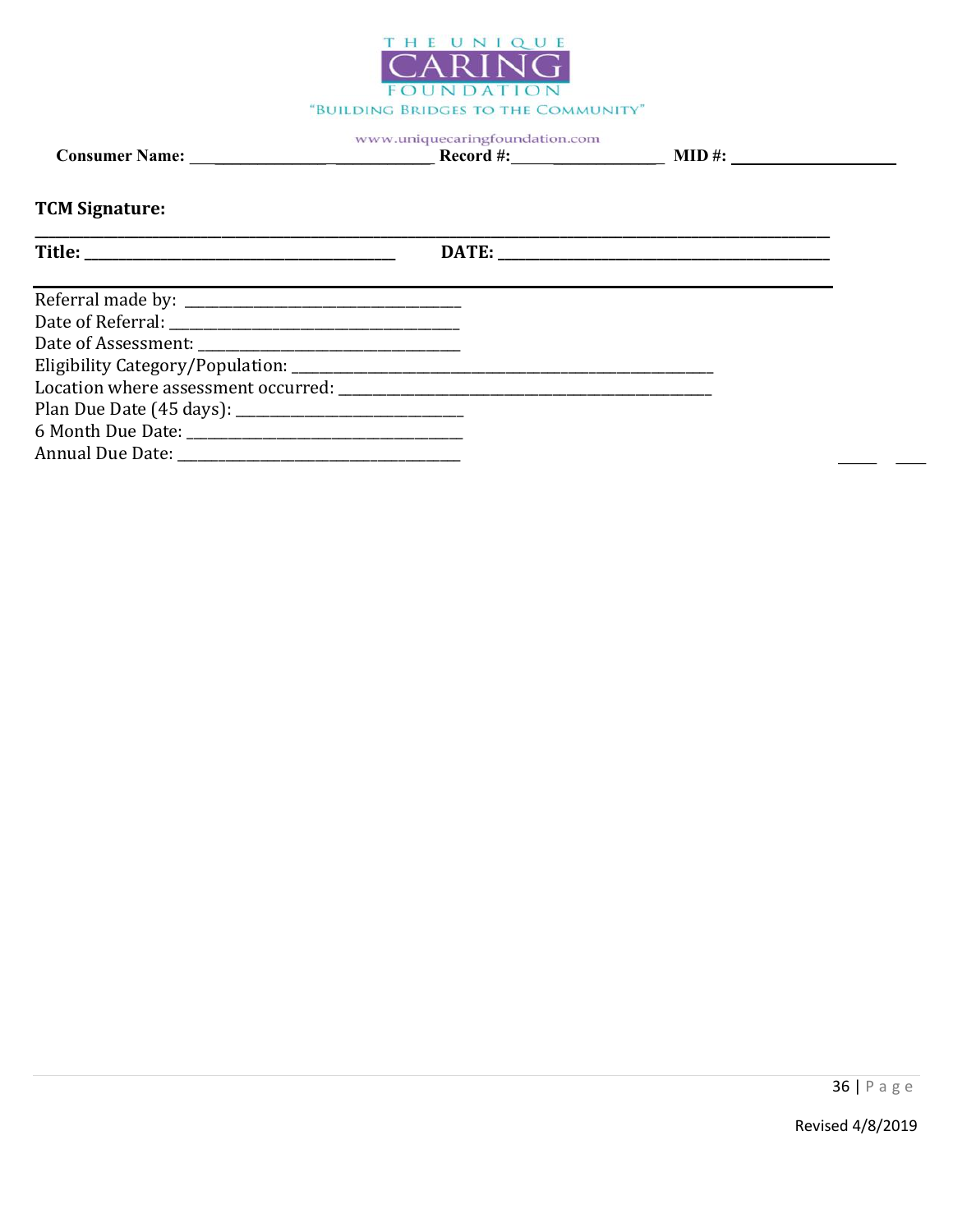

# **TCM Signature:**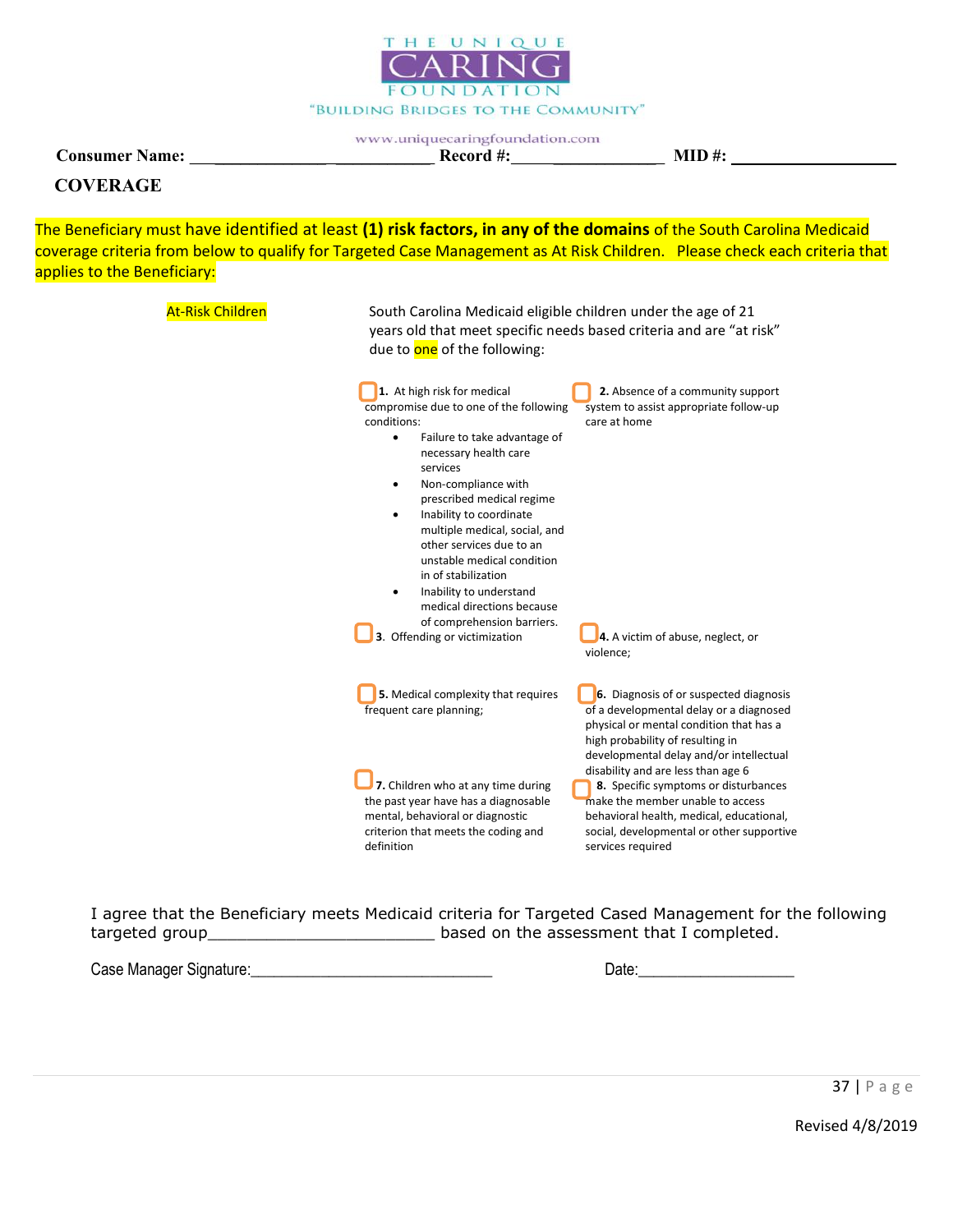

www.uniquecaringfoundation.com Consumer Name: \_\_\_\_\_\_\_\_\_\_\_\_\_ \_\_\_\_\_\_\_\_\_\_\_ Record #: \_\_\_\_\_\_\_\_\_\_\_\_ MID #:

#### **COVERAGE**

The Beneficiary must have identified at least (1) risk factors, in any of the domains of the South Carolina Medicaid coverage criteria from below to qualify for Targeted Case Management as At Risk Children. Please check each criteria that applies to the Beneficiary:

| <b>At-Risk Children</b> | South Carolina Medicaid eligible children under the age of 21<br>years old that meet specific needs based criteria and are "at risk"<br>due to one of the following:                                                                                                                                                                                                                                                                                                                                           |                                                                                                                                                                                                                              |  |  |  |  |
|-------------------------|----------------------------------------------------------------------------------------------------------------------------------------------------------------------------------------------------------------------------------------------------------------------------------------------------------------------------------------------------------------------------------------------------------------------------------------------------------------------------------------------------------------|------------------------------------------------------------------------------------------------------------------------------------------------------------------------------------------------------------------------------|--|--|--|--|
|                         | 1. At high risk for medical<br>compromise due to one of the following<br>conditions:<br>Failure to take advantage of<br>٠<br>necessary health care<br>services<br>Non-compliance with<br>٠<br>prescribed medical regime<br>Inability to coordinate<br>$\bullet$<br>multiple medical, social, and<br>other services due to an<br>unstable medical condition<br>in of stabilization<br>Inability to understand<br>٠<br>medical directions because<br>of comprehension barriers.<br>3. Offending or victimization | 2. Absence of a community support<br>system to assist appropriate follow-up<br>care at home<br>4. A victim of abuse, neglect, or<br>violence;                                                                                |  |  |  |  |
|                         | 5. Medical complexity that requires<br>frequent care planning;                                                                                                                                                                                                                                                                                                                                                                                                                                                 | 6. Diagnosis of or suspected diagnosis<br>of a developmental delay or a diagnosed<br>physical or mental condition that has a<br>high probability of resulting in<br>developmental delay and/or intellectual                  |  |  |  |  |
|                         | 7. Children who at any time during<br>the past year have has a diagnosable<br>mental, behavioral or diagnostic<br>criterion that meets the coding and<br>definition                                                                                                                                                                                                                                                                                                                                            | disability and are less than age 6<br>8. Specific symptoms or disturbances<br>make the member unable to access<br>behavioral health, medical, educational,<br>social, developmental or other supportive<br>services required |  |  |  |  |
|                         |                                                                                                                                                                                                                                                                                                                                                                                                                                                                                                                |                                                                                                                                                                                                                              |  |  |  |  |

I agree that the Beneficiary meets Medicaid criteria for Targeted Cased Management for the following targeted group\_\_\_\_\_\_\_\_\_\_\_\_\_\_\_\_\_\_\_\_\_\_\_\_\_\_\_\_\_\_\_ based on the assessment that I completed.

Case Manager Signature: etc. All and the contract of the Date: etc. All and the Case Manager Signature: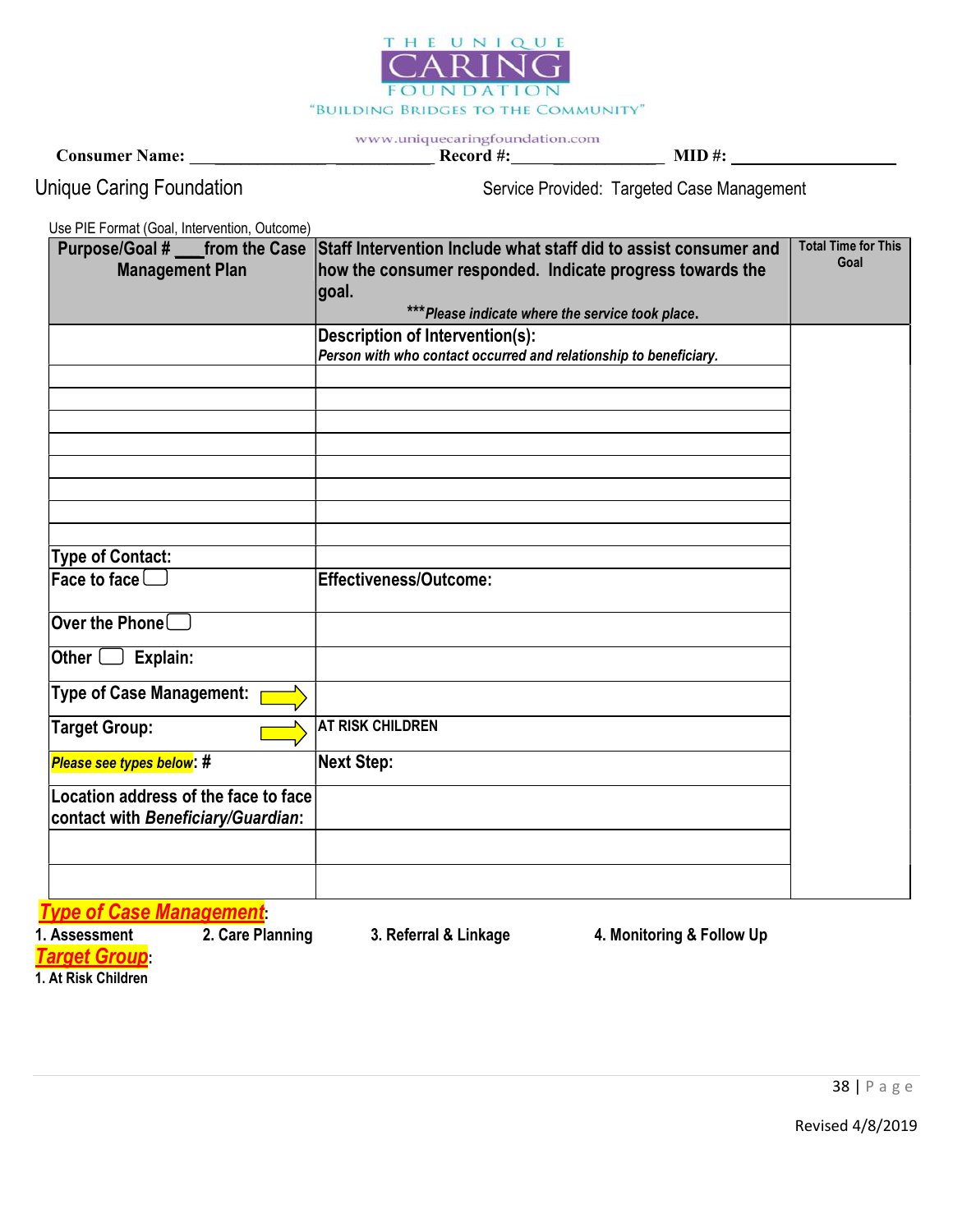

Consumer Name: \_\_\_\_\_\_\_\_\_\_\_\_\_ \_\_\_\_\_\_\_\_\_\_\_ Record #: \_\_\_\_\_\_\_\_\_\_\_\_ MID #:

Unique Caring Foundation Service Provided: Targeted Case Management

Use PIE Format (Goal, Intervention, Outcome)

| <b>Management Plan</b>               | Purpose/Goal # _____ from the Case Staff Intervention Include what staff did to assist consumer and<br>how the consumer responded. Indicate progress towards the | <b>Total Time for This</b><br>Goal |
|--------------------------------------|------------------------------------------------------------------------------------------------------------------------------------------------------------------|------------------------------------|
|                                      | goal.                                                                                                                                                            |                                    |
|                                      | *** Please indicate where the service took place.                                                                                                                |                                    |
|                                      | <b>Description of Intervention(s):</b>                                                                                                                           |                                    |
|                                      | Person with who contact occurred and relationship to beneficiary.                                                                                                |                                    |
|                                      |                                                                                                                                                                  |                                    |
|                                      |                                                                                                                                                                  |                                    |
|                                      |                                                                                                                                                                  |                                    |
|                                      |                                                                                                                                                                  |                                    |
|                                      |                                                                                                                                                                  |                                    |
|                                      |                                                                                                                                                                  |                                    |
|                                      |                                                                                                                                                                  |                                    |
|                                      |                                                                                                                                                                  |                                    |
| <b>Type of Contact:</b>              |                                                                                                                                                                  |                                    |
| Face to face $\square$               | Effectiveness/Outcome:                                                                                                                                           |                                    |
|                                      |                                                                                                                                                                  |                                    |
| Over the Phone $\square$             |                                                                                                                                                                  |                                    |
|                                      |                                                                                                                                                                  |                                    |
| Explain:<br><b>Other</b> l           |                                                                                                                                                                  |                                    |
| <b>Type of Case Management:</b>      |                                                                                                                                                                  |                                    |
| <b>Target Group:</b>                 | <b>AT RISK CHILDREN</b>                                                                                                                                          |                                    |
| Please see types below: #            | <b>Next Step:</b>                                                                                                                                                |                                    |
| Location address of the face to face |                                                                                                                                                                  |                                    |
| contact with Beneficiary/Guardian:   |                                                                                                                                                                  |                                    |
|                                      |                                                                                                                                                                  |                                    |
|                                      |                                                                                                                                                                  |                                    |
|                                      |                                                                                                                                                                  |                                    |
| <b>Type of Case Management</b>       |                                                                                                                                                                  |                                    |
| 2. Care Planning<br>1. Assessment    | 3. Referral & Linkage<br>4. Monitoring & Follow Up                                                                                                               |                                    |

Target Group:

1. At Risk Children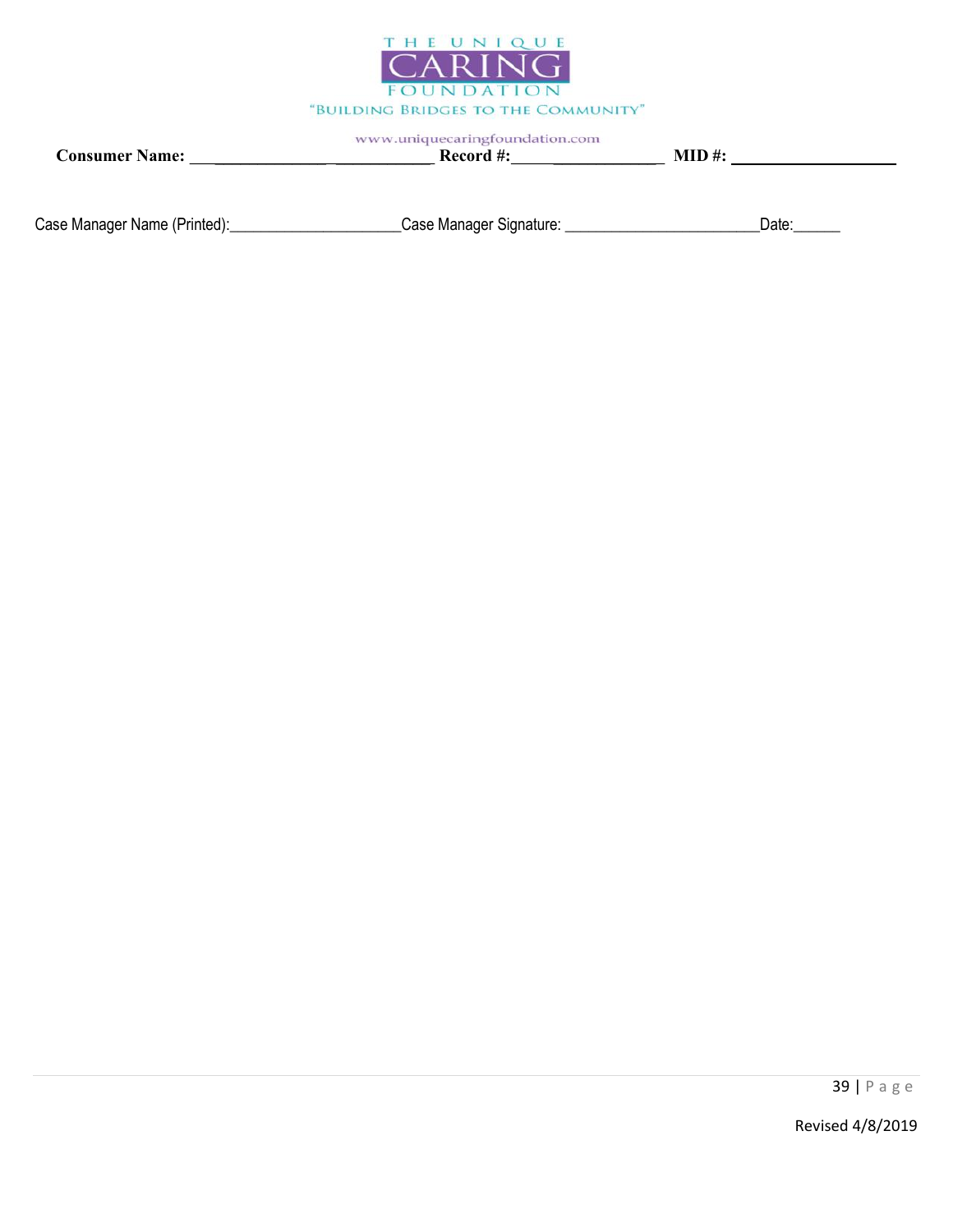

Consumer Name: \_\_\_\_\_\_\_\_\_\_\_\_\_ \_\_\_\_\_\_\_\_\_\_\_ Record #: \_\_\_\_\_\_\_\_\_\_\_\_ MID #:

Case Manager Name (Printed): \_\_\_\_\_\_\_\_\_\_\_\_\_\_\_\_\_\_\_\_\_\_\_\_Case Manager Signature: \_\_\_\_\_\_\_\_\_\_\_\_\_\_\_\_\_\_\_\_\_\_\_\_\_\_\_\_Date:\_\_\_\_\_\_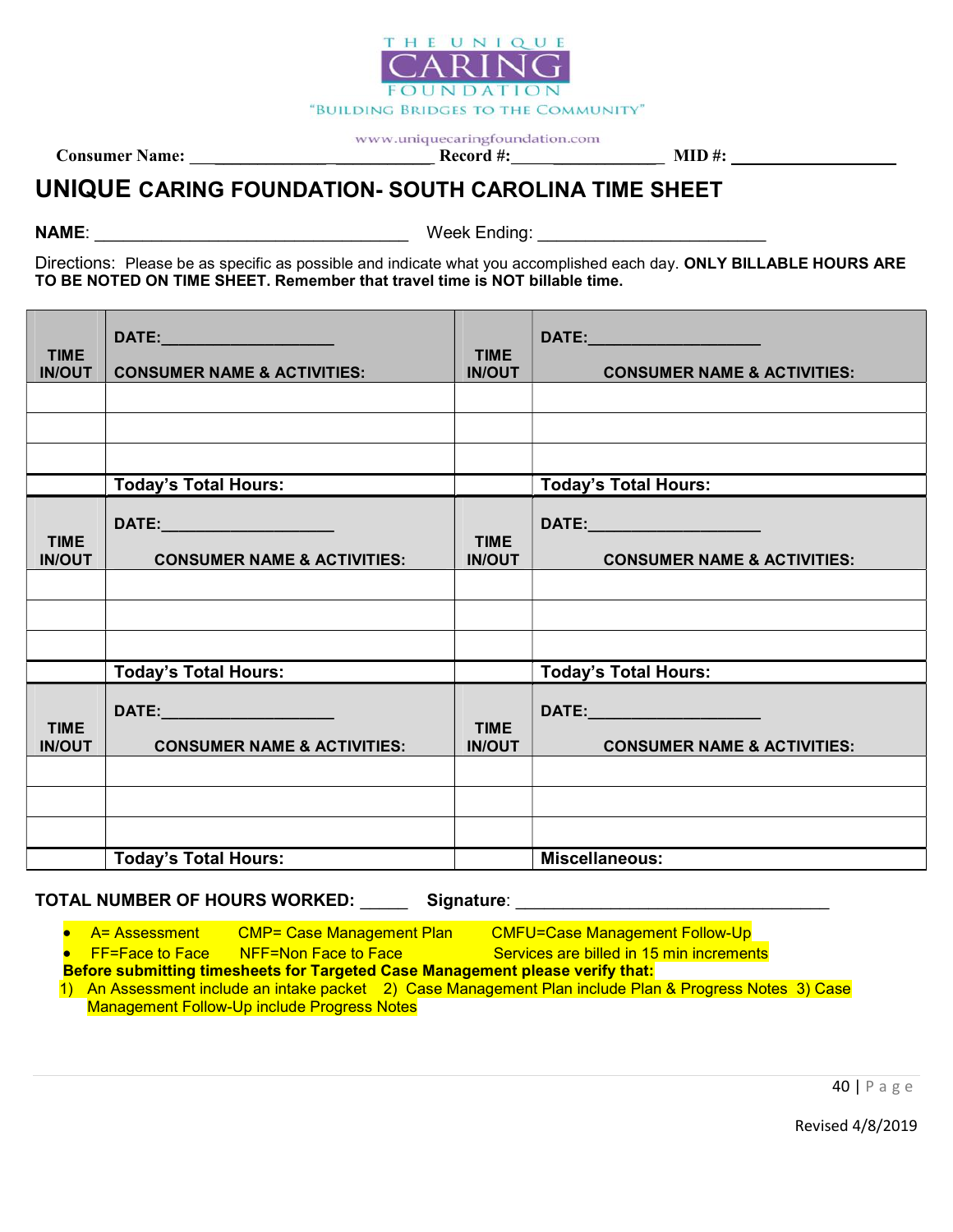

Consumer Name: \_\_\_\_\_\_\_\_\_\_\_\_\_ \_\_\_\_\_\_\_\_\_\_\_ Record #: \_\_\_\_\_\_\_\_\_\_\_\_ MID #:

# UNIQUE CARING FOUNDATION- SOUTH CAROLINA TIME SHEET

NAME: The contract of the contract of the contract of the Week Ending:  $\mathsf{W}\textup{eek}$  Ending:

Directions: Please be as specific as possible and indicate what you accomplished each day. ONLY BILLABLE HOURS ARE TO BE NOTED ON TIME SHEET. Remember that travel time is NOT billable time.

| <b>TIME</b><br><b>IN/OUT</b> | <b>CONSUMER NAME &amp; ACTIVITIES:</b>                                   | <b>TIME</b><br><b>IN/OUT</b> | DATE: ________________________<br><b>CONSUMER NAME &amp; ACTIVITIES:</b> |
|------------------------------|--------------------------------------------------------------------------|------------------------------|--------------------------------------------------------------------------|
|                              |                                                                          |                              |                                                                          |
|                              |                                                                          |                              |                                                                          |
|                              |                                                                          |                              |                                                                          |
|                              | <b>Today's Total Hours:</b>                                              |                              | <b>Today's Total Hours:</b>                                              |
| <b>TIME</b><br><b>IN/OUT</b> | DATE:_________________________<br><b>CONSUMER NAME &amp; ACTIVITIES:</b> | <b>TIME</b><br><b>IN/OUT</b> | DATE:_______________________<br><b>CONSUMER NAME &amp; ACTIVITIES:</b>   |
|                              |                                                                          |                              |                                                                          |
|                              |                                                                          |                              |                                                                          |
|                              |                                                                          |                              |                                                                          |
|                              | <b>Today's Total Hours:</b>                                              |                              | <b>Today's Total Hours:</b>                                              |
| <b>TIME</b><br><b>IN/OUT</b> | DATE: ______________________<br><b>CONSUMER NAME &amp; ACTIVITIES:</b>   | <b>TIME</b><br><b>IN/OUT</b> | DATE:_______________________<br><b>CONSUMER NAME &amp; ACTIVITIES:</b>   |
|                              |                                                                          |                              |                                                                          |
|                              |                                                                          |                              |                                                                          |
|                              |                                                                          |                              |                                                                          |
|                              | <b>Today's Total Hours:</b>                                              |                              | <b>Miscellaneous:</b>                                                    |

TOTAL NUMBER OF HOURS WORKED: Signature:

• A= Assessment CMP= Case Management Plan CMFU=Case Management Follow-Up

• FF=Face to Face NFF=Non Face to Face Services are billed in 15 min increments

Before submitting timesheets for Targeted Case Management please verify that:

1) An Assessment include an intake packet 2) Case Management Plan include Plan & Progress Notes 3) Case Management Follow-Up include Progress Notes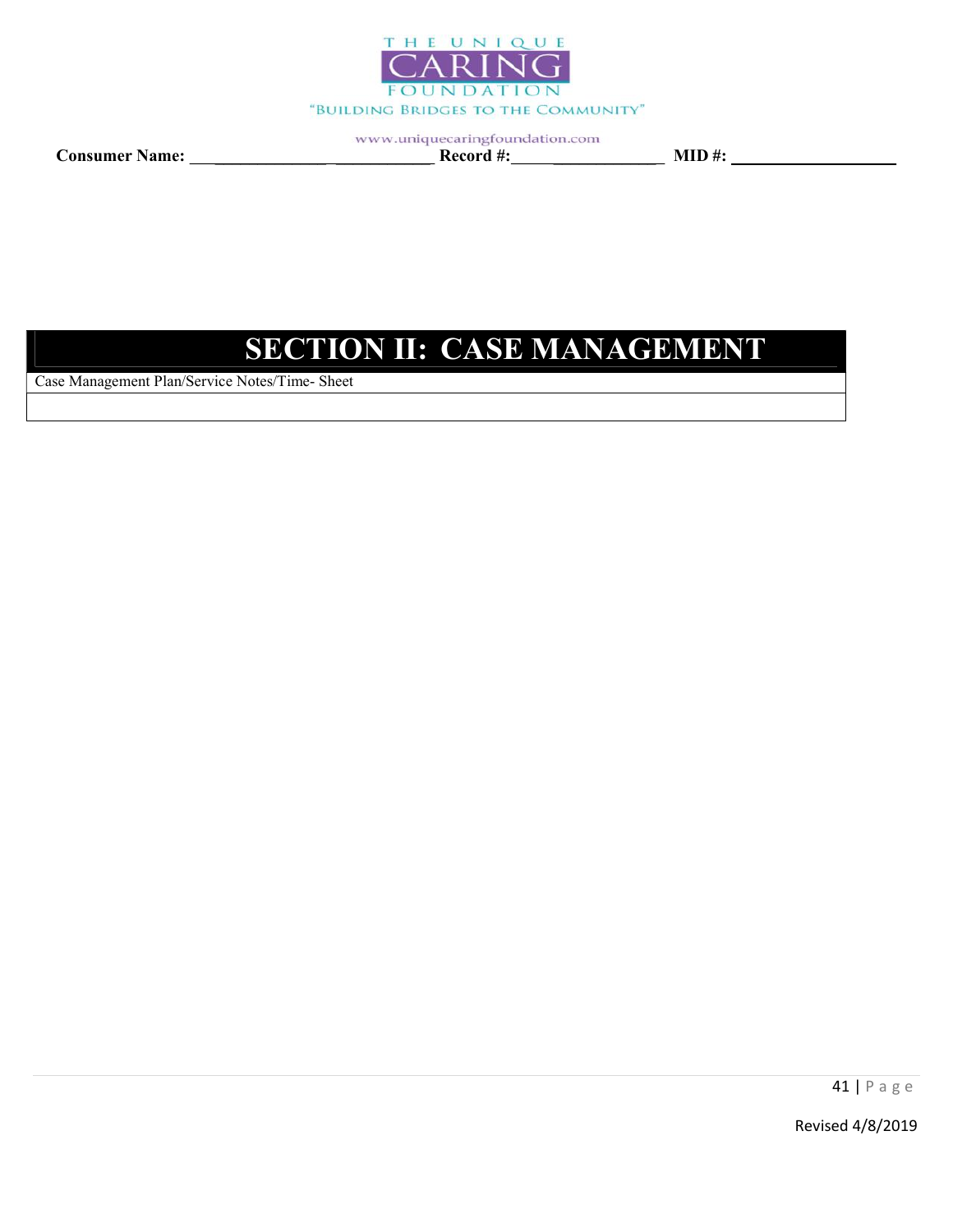

Consumer Name: \_\_\_\_\_\_\_\_\_\_\_\_\_ \_\_\_\_\_\_\_\_\_\_\_ Record #: \_\_\_\_\_\_\_\_\_\_\_\_ MID #:

# SECTION II: CASE MANAGEMENT

Case Management Plan/Service Notes/Time- Sheet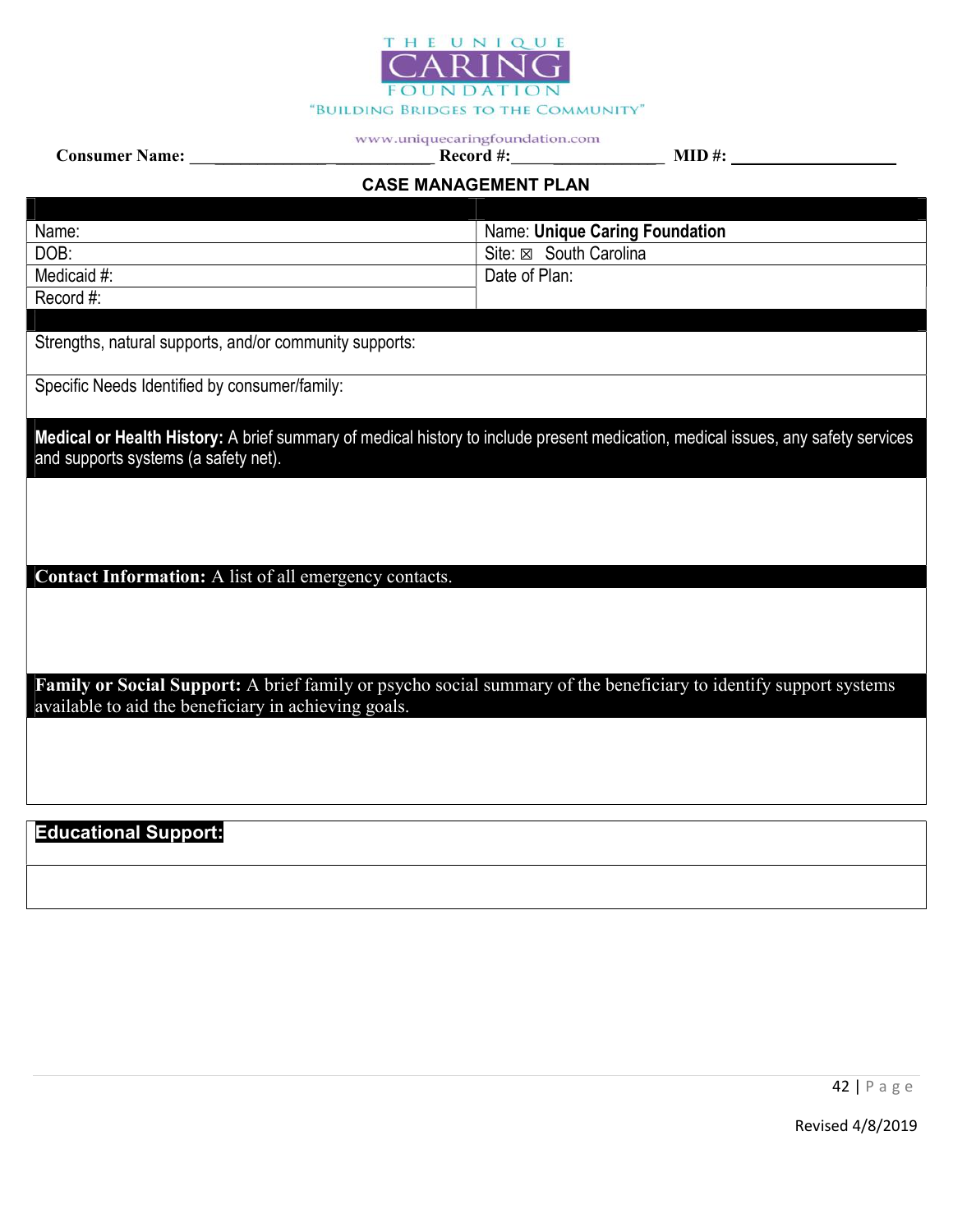

Consumer Name: \_\_\_\_\_\_\_\_\_\_\_\_\_ \_\_\_\_\_\_\_\_\_\_\_ Record #: \_\_\_\_\_\_\_\_\_\_\_\_ MID #:

# CASE MANAGEMENT PLAN

| Name:                                                                                                                                                                    | <b>Name: Unique Caring Foundation</b>                                                                                            |
|--------------------------------------------------------------------------------------------------------------------------------------------------------------------------|----------------------------------------------------------------------------------------------------------------------------------|
| DOB:                                                                                                                                                                     | Site: ⊠ South Carolina                                                                                                           |
| Medicaid #:                                                                                                                                                              | Date of Plan:                                                                                                                    |
| Record #:                                                                                                                                                                |                                                                                                                                  |
|                                                                                                                                                                          |                                                                                                                                  |
| Strengths, natural supports, and/or community supports:                                                                                                                  |                                                                                                                                  |
| Specific Needs Identified by consumer/family:                                                                                                                            |                                                                                                                                  |
| and supports systems (a safety net).                                                                                                                                     | Medical or Health History: A brief summary of medical history to include present medication, medical issues, any safety services |
| Contact Information: A list of all emergency contacts.                                                                                                                   |                                                                                                                                  |
|                                                                                                                                                                          |                                                                                                                                  |
|                                                                                                                                                                          |                                                                                                                                  |
| Family or Social Support: A brief family or psycho social summary of the beneficiary to identify support systems<br>available to aid the beneficiary in achieving goals. |                                                                                                                                  |
|                                                                                                                                                                          |                                                                                                                                  |
|                                                                                                                                                                          |                                                                                                                                  |
|                                                                                                                                                                          |                                                                                                                                  |
| <b>Educational Support:</b>                                                                                                                                              |                                                                                                                                  |
|                                                                                                                                                                          |                                                                                                                                  |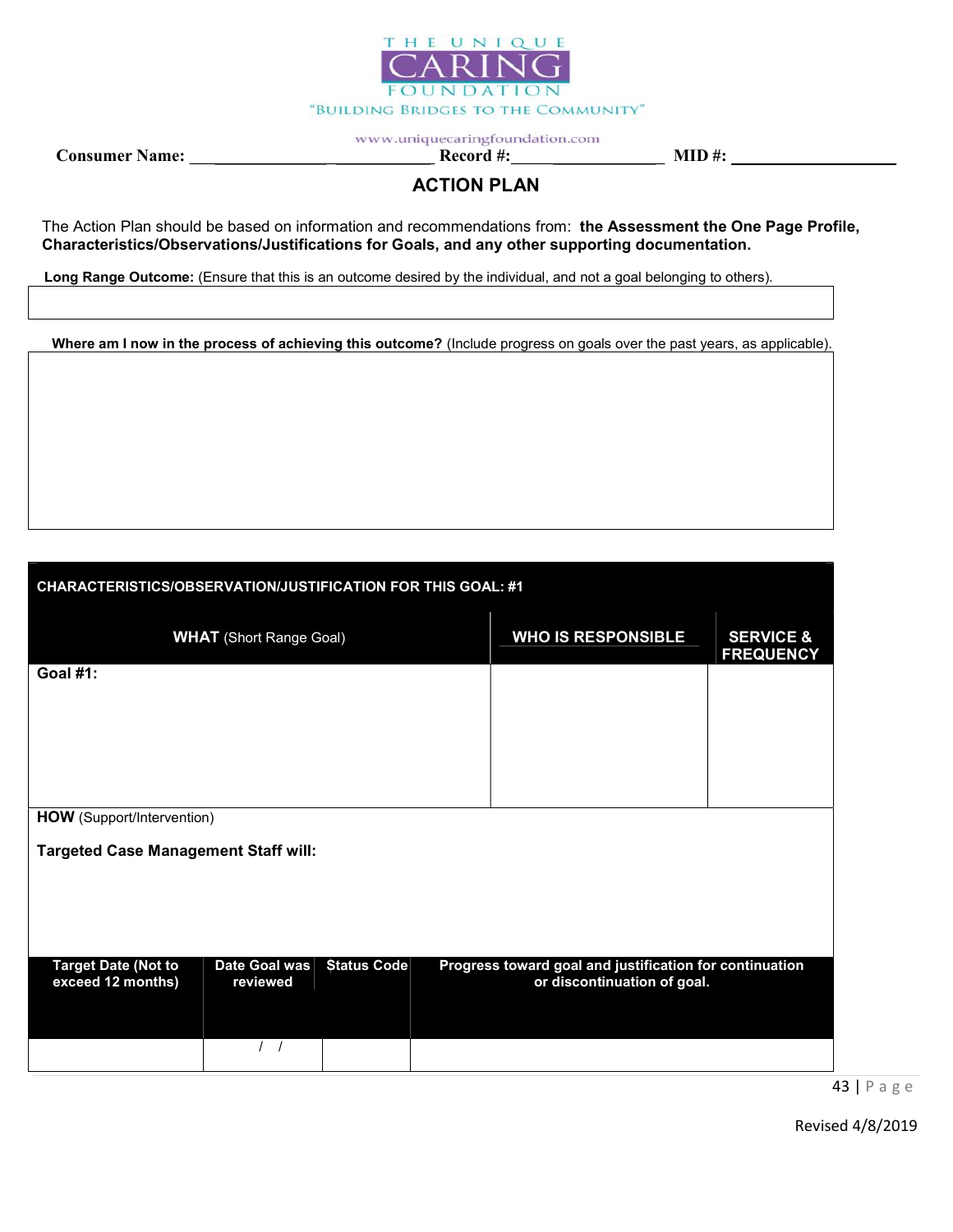

Consumer Name: \_\_\_\_\_\_\_\_\_\_\_\_\_ \_\_\_\_\_\_\_\_\_\_\_ Record #: \_\_\_\_\_\_\_\_\_\_\_\_ MID #:

# ACTION PLAN

The Action Plan should be based on information and recommendations from: the Assessment the One Page Profile, Characteristics/Observations/Justifications for Goals, and any other supporting documentation.

Long Range Outcome: (Ensure that this is an outcome desired by the individual, and not a goal belonging to others).

Where am I now in the process of achieving this outcome? (Include progress on goals over the past years, as applicable).

| <b>CHARACTERISTICS/OBSERVATION/JUSTIFICATION FOR THIS GOAL: #1</b> |                                |                    |  |  |                                                                                        |                                          |  |  |
|--------------------------------------------------------------------|--------------------------------|--------------------|--|--|----------------------------------------------------------------------------------------|------------------------------------------|--|--|
|                                                                    | <b>WHAT</b> (Short Range Goal) |                    |  |  | <b>WHO IS RESPONSIBLE</b>                                                              | <b>SERVICE &amp;</b><br><b>FREQUENCY</b> |  |  |
| <b>Goal #1:</b>                                                    |                                |                    |  |  |                                                                                        |                                          |  |  |
|                                                                    |                                |                    |  |  |                                                                                        |                                          |  |  |
|                                                                    |                                |                    |  |  |                                                                                        |                                          |  |  |
| <b>HOW</b> (Support/Intervention)                                  |                                |                    |  |  |                                                                                        |                                          |  |  |
| <b>Targeted Case Management Staff will:</b>                        |                                |                    |  |  |                                                                                        |                                          |  |  |
|                                                                    |                                |                    |  |  |                                                                                        |                                          |  |  |
|                                                                    |                                |                    |  |  |                                                                                        |                                          |  |  |
| <b>Target Date (Not to</b><br>exceed 12 months)                    | Date Goal was<br>reviewed      | <b>Status Code</b> |  |  | Progress toward goal and justification for continuation<br>or discontinuation of goal. |                                          |  |  |
|                                                                    |                                |                    |  |  |                                                                                        |                                          |  |  |

43 | P a g e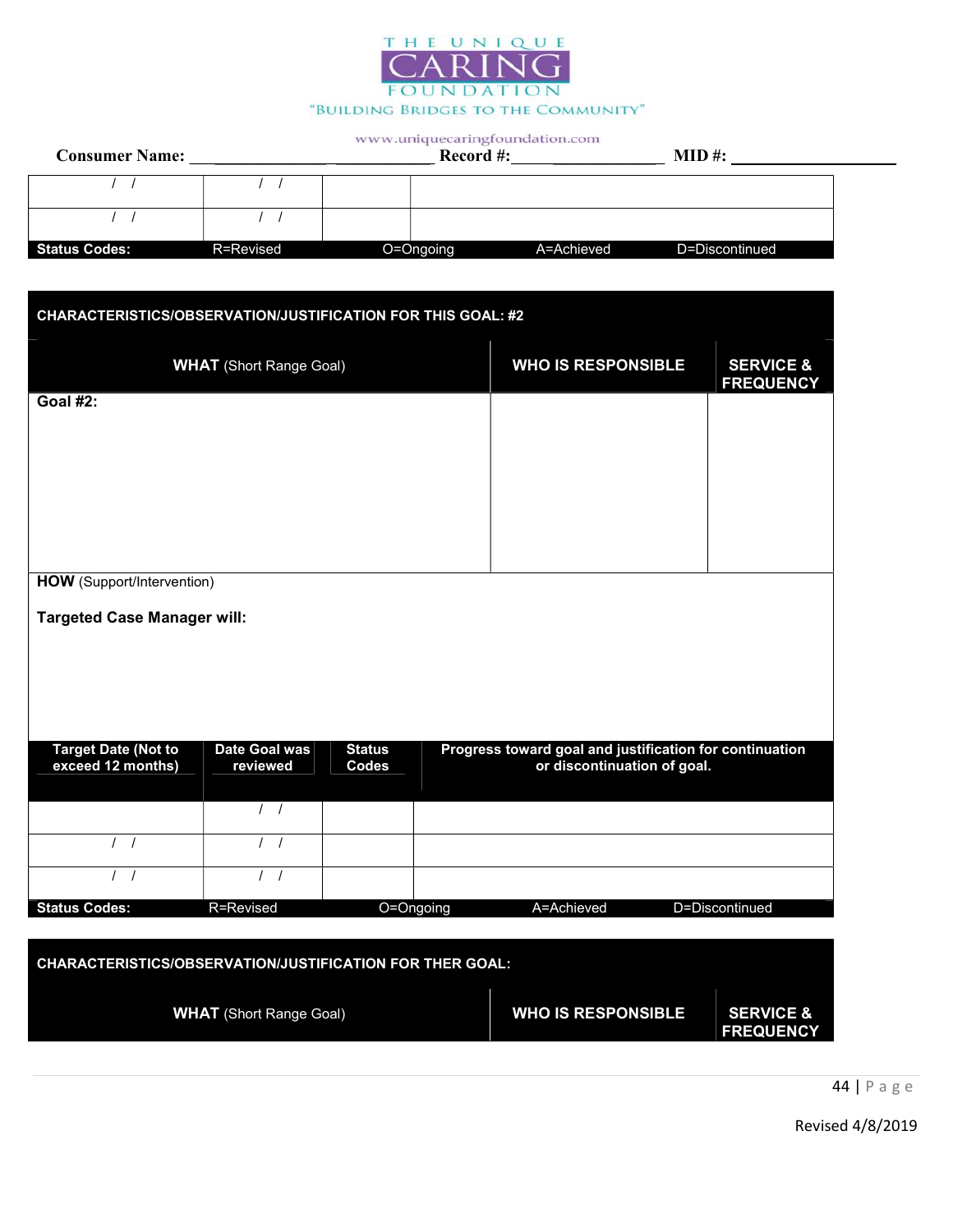

| <b>Consumer Name:</b> |           | $\sim$<br>Record #: | $MID$ #:   |                |  |
|-----------------------|-----------|---------------------|------------|----------------|--|
|                       |           |                     |            |                |  |
|                       |           |                     |            |                |  |
| <b>Status Codes:</b>  | R=Revised | O=Ongoing           | A=Achieved | D=Discontinued |  |

| <b>CHARACTERISTICS/OBSERVATION/JUSTIFICATION FOR THIS GOAL: #2</b> |                                |               |  |                                                         |                                          |  |
|--------------------------------------------------------------------|--------------------------------|---------------|--|---------------------------------------------------------|------------------------------------------|--|
|                                                                    | <b>WHAT</b> (Short Range Goal) |               |  | <b>WHO IS RESPONSIBLE</b>                               | <b>SERVICE &amp;</b><br><b>FREQUENCY</b> |  |
| <b>Goal #2:</b>                                                    |                                |               |  |                                                         |                                          |  |
|                                                                    |                                |               |  |                                                         |                                          |  |
|                                                                    |                                |               |  |                                                         |                                          |  |
|                                                                    |                                |               |  |                                                         |                                          |  |
|                                                                    |                                |               |  |                                                         |                                          |  |
|                                                                    |                                |               |  |                                                         |                                          |  |
| <b>HOW</b> (Support/Intervention)                                  |                                |               |  |                                                         |                                          |  |
| <b>Targeted Case Manager will:</b>                                 |                                |               |  |                                                         |                                          |  |
|                                                                    |                                |               |  |                                                         |                                          |  |
|                                                                    |                                |               |  |                                                         |                                          |  |
|                                                                    |                                |               |  |                                                         |                                          |  |
| <b>Target Date (Not to</b>                                         | Date Goal was                  | <b>Status</b> |  | Progress toward goal and justification for continuation |                                          |  |
| exceed 12 months)                                                  | reviewed                       | <b>Codes</b>  |  | or discontinuation of goal.                             |                                          |  |
|                                                                    | $\sqrt{1}$                     |               |  |                                                         |                                          |  |
|                                                                    | $\prime$<br>$\prime$           |               |  |                                                         |                                          |  |
| $\prime$<br>$\prime$                                               | $\left  \right $               |               |  |                                                         |                                          |  |
|                                                                    |                                |               |  |                                                         |                                          |  |
| <b>Status Codes:</b>                                               | R=Revised                      | O=Ongoing     |  | A=Achieved                                              | D=Discontinued                           |  |
| <b>CHARACTERISTICS/OBSERVATION/JUSTIFICATION FOR THER GOAL:</b>    |                                |               |  |                                                         |                                          |  |
|                                                                    |                                |               |  |                                                         |                                          |  |
| <b>WHAT</b> (Short Range Goal)                                     |                                |               |  | <b>WHO IS RESPONSIBLE</b>                               | <b>SERVICE &amp;</b><br><b>FREQUENCY</b> |  |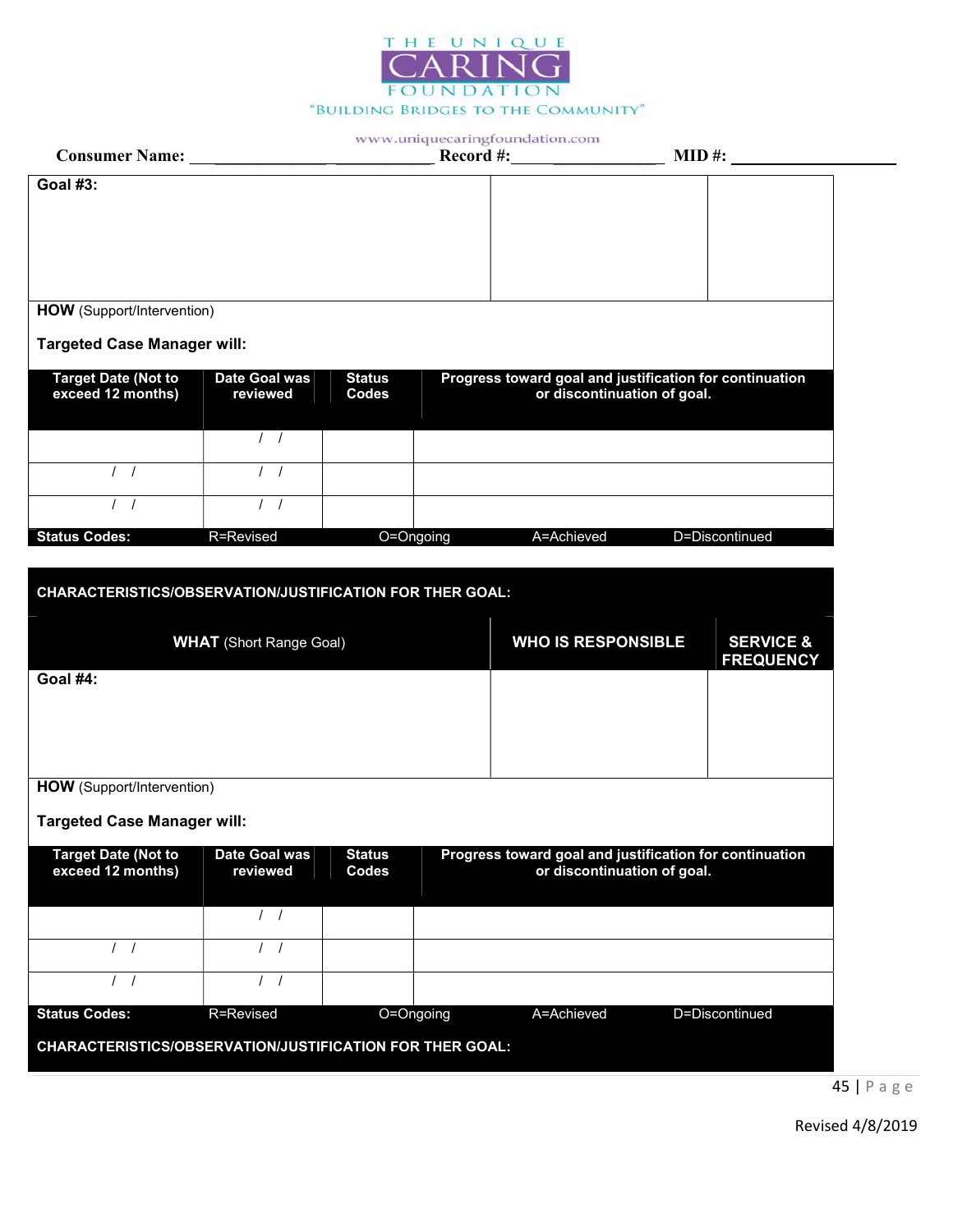

|                                                                 |                                  |                        | www.uniquecaringfoundation.com                                                         |                |                      |
|-----------------------------------------------------------------|----------------------------------|------------------------|----------------------------------------------------------------------------------------|----------------|----------------------|
|                                                                 |                                  |                        |                                                                                        |                |                      |
| <b>Goal #3:</b>                                                 |                                  |                        |                                                                                        |                |                      |
|                                                                 |                                  |                        |                                                                                        |                |                      |
|                                                                 |                                  |                        |                                                                                        |                |                      |
|                                                                 |                                  |                        |                                                                                        |                |                      |
|                                                                 |                                  |                        |                                                                                        |                |                      |
| <b>HOW</b> (Support/Intervention)                               |                                  |                        |                                                                                        |                |                      |
| <b>Targeted Case Manager will:</b>                              |                                  |                        |                                                                                        |                |                      |
|                                                                 |                                  |                        |                                                                                        |                |                      |
| <b>Target Date (Not to</b><br>exceed 12 months)                 | <b>Date Goal was</b><br>reviewed | <b>Status</b><br>Codes | Progress toward goal and justification for continuation<br>or discontinuation of goal. |                |                      |
|                                                                 |                                  |                        |                                                                                        |                |                      |
|                                                                 | $\frac{1}{2}$                    |                        |                                                                                        |                |                      |
|                                                                 | 1 <sub>1</sub>                   |                        |                                                                                        |                |                      |
|                                                                 |                                  |                        |                                                                                        |                |                      |
| $\sqrt{ }$                                                      | $\left  \right $                 |                        |                                                                                        |                |                      |
| <b>Status Codes:</b>                                            | R=Revised                        | O=Ongoing              | A=Achieved                                                                             | D=Discontinued |                      |
|                                                                 |                                  |                        |                                                                                        |                |                      |
| <b>CHARACTERISTICS/OBSERVATION/JUSTIFICATION FOR THER GOAL:</b> |                                  |                        |                                                                                        |                |                      |
|                                                                 |                                  |                        |                                                                                        |                |                      |
|                                                                 | <b>WHAT</b> (Short Range Goal)   |                        | <b>WHO IS RESPONSIBLE</b>                                                              |                | <b>SERVICE &amp;</b> |
|                                                                 |                                  |                        |                                                                                        |                | <b>FREQUENCY</b>     |
| Goal #4:                                                        |                                  |                        |                                                                                        |                |                      |
|                                                                 |                                  |                        |                                                                                        |                |                      |
|                                                                 |                                  |                        |                                                                                        |                |                      |
|                                                                 |                                  |                        |                                                                                        |                |                      |
| <b>HOW</b> (Support/Intervention)                               |                                  |                        |                                                                                        |                |                      |

Targeted Case Manager will:

| <b>Target Date (Not to</b><br>exceed 12 months)                 | Date Goal was<br>reviewed | <b>Status</b><br><b>Codes</b> | Progress toward goal and justification for continuation<br>or discontinuation of goal. |            |                |  |  |  |
|-----------------------------------------------------------------|---------------------------|-------------------------------|----------------------------------------------------------------------------------------|------------|----------------|--|--|--|
|                                                                 |                           |                               |                                                                                        |            |                |  |  |  |
|                                                                 |                           |                               |                                                                                        |            |                |  |  |  |
|                                                                 |                           |                               |                                                                                        |            |                |  |  |  |
| <b>Status Codes:</b>                                            | R=Revised                 |                               | O=Ongoing                                                                              | A=Achieved | D=Discontinued |  |  |  |
| <b>CHARACTERISTICS/OBSERVATION/JUSTIFICATION FOR THER GOAL:</b> |                           |                               |                                                                                        |            |                |  |  |  |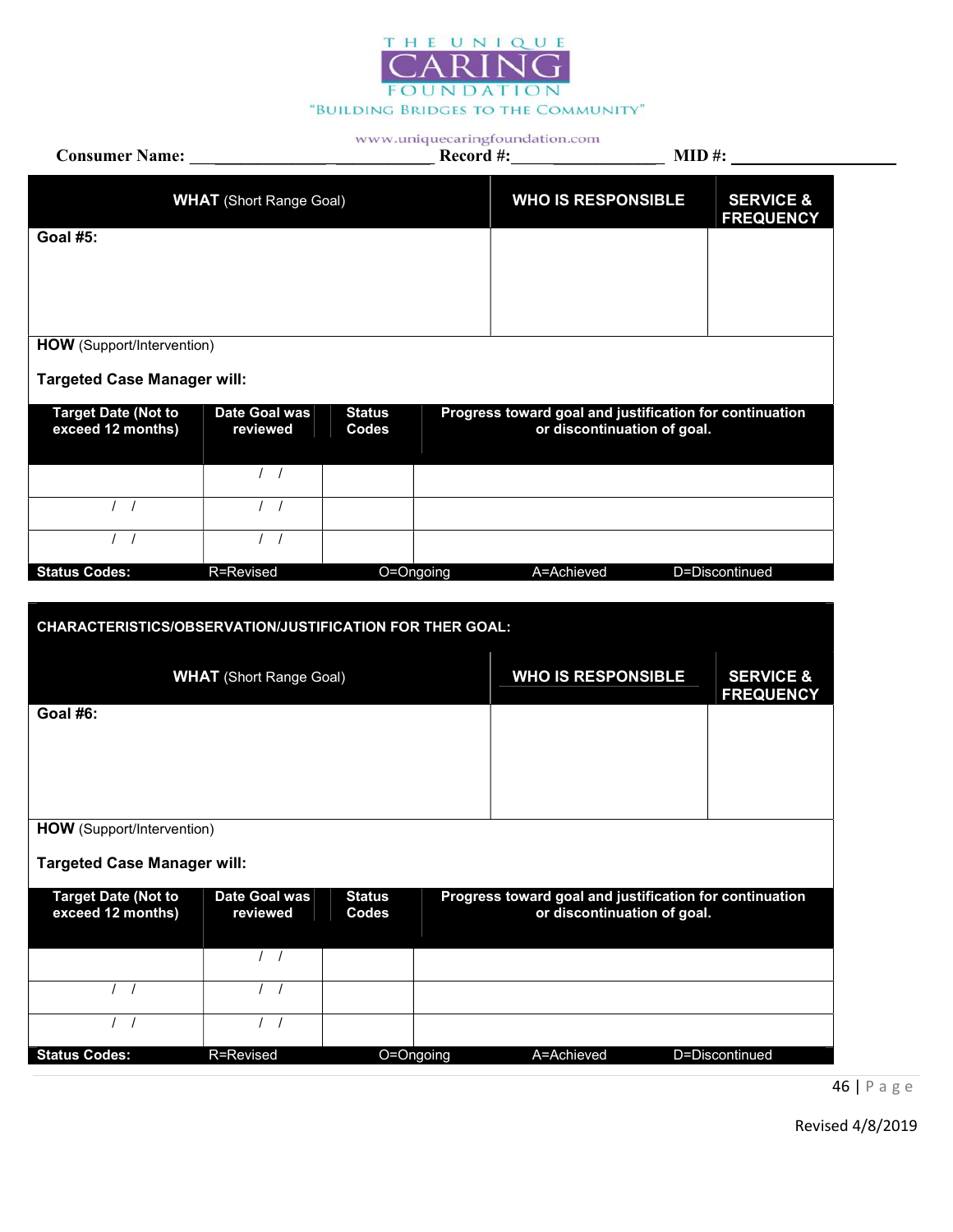

| <b>Consumer Name:</b> Name:                                     |                                |                        |           | www.uniquecaringfoundation.com<br>Record #:             |                             | $MID \#$ :                               |
|-----------------------------------------------------------------|--------------------------------|------------------------|-----------|---------------------------------------------------------|-----------------------------|------------------------------------------|
|                                                                 | <b>WHAT</b> (Short Range Goal) |                        |           | <b>WHO IS RESPONSIBLE</b>                               |                             | <b>SERVICE &amp;</b>                     |
| <b>Goal #5:</b>                                                 |                                |                        |           |                                                         |                             | <b>FREQUENCY</b>                         |
|                                                                 |                                |                        |           |                                                         |                             |                                          |
|                                                                 |                                |                        |           |                                                         |                             |                                          |
| HOW (Support/Intervention)                                      |                                |                        |           |                                                         |                             |                                          |
| <b>Targeted Case Manager will:</b>                              |                                |                        |           |                                                         |                             |                                          |
| <b>Target Date (Not to</b><br>exceed 12 months)                 | Date Goal was<br>reviewed      | <b>Status</b><br>Codes |           | Progress toward goal and justification for continuation | or discontinuation of goal. |                                          |
|                                                                 | $\overline{1}$ /               |                        |           |                                                         |                             |                                          |
| $\left  \right $                                                | $\frac{1}{2}$                  |                        |           |                                                         |                             |                                          |
| 1 <sup>1</sup>                                                  | $\left  \right $               |                        |           |                                                         |                             |                                          |
| <b>Status Codes:</b>                                            | R=Revised                      |                        | O=Ongoing | A=Achieved                                              |                             | D=Discontinued                           |
| <b>CHARACTERISTICS/OBSERVATION/JUSTIFICATION FOR THER GOAL:</b> | <b>WHAT</b> (Short Range Goal) |                        |           | <b>WHO IS RESPONSIBLE</b>                               |                             | <b>SERVICE &amp;</b><br><b>FREQUENCY</b> |
| <b>Goal #6:</b>                                                 |                                |                        |           |                                                         |                             |                                          |
|                                                                 |                                |                        |           |                                                         |                             |                                          |
|                                                                 |                                |                        |           |                                                         |                             |                                          |
| <b>HOW</b> (Support/Intervention)                               |                                |                        |           |                                                         |                             |                                          |
| <b>Targeted Case Manager will:</b>                              |                                |                        |           |                                                         |                             |                                          |
|                                                                 |                                |                        |           |                                                         |                             |                                          |
| <b>Target Date (Not to</b><br>exceed 12 months)                 | Date Goal was<br>reviewed      | <b>Status</b><br>Codes |           | Progress toward goal and justification for continuation | or discontinuation of goal. |                                          |
|                                                                 | $\left  \right $               |                        |           |                                                         |                             |                                          |
| $\prime$                                                        | $\prime$                       |                        |           |                                                         |                             |                                          |
| $\prime$                                                        | $\prime$<br>$\overline{1}$     |                        |           |                                                         |                             |                                          |
| <b>Status Codes:</b>                                            | R=Revised                      |                        | O=Ongoing | A=Achieved                                              |                             | D=Discontinued                           |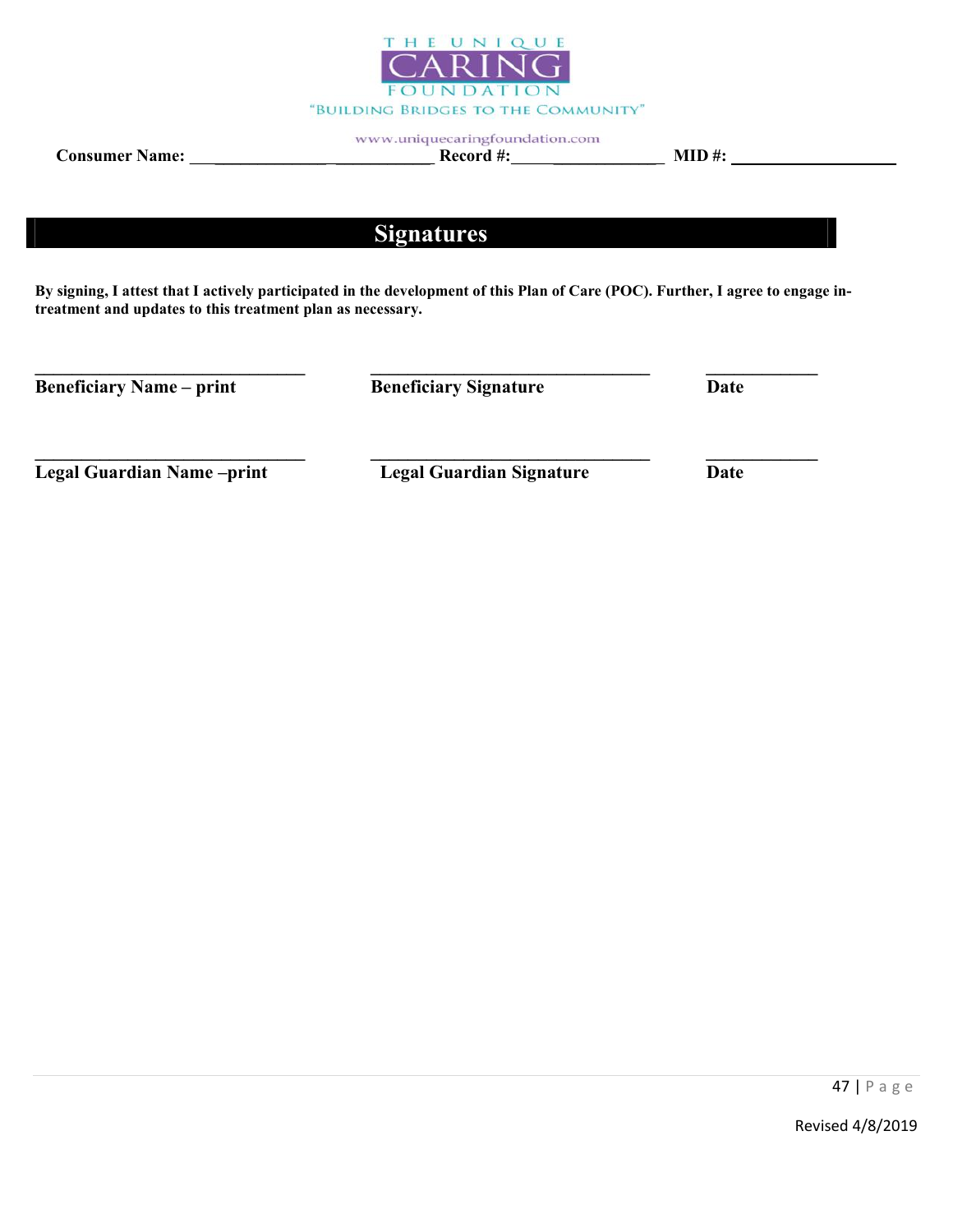

Consumer Name: \_\_\_\_\_\_\_\_\_\_\_\_\_ \_\_\_\_\_\_\_\_\_\_\_ Record #: \_\_\_\_\_\_\_\_\_\_\_\_ MID #:

# Signatures

By signing, I attest that I actively participated in the development of this Plan of Care (POC). Further, I agree to engage intreatment and updates to this treatment plan as necessary.

\_\_\_\_\_\_\_\_\_\_\_\_\_\_\_\_\_\_\_\_\_\_\_\_\_\_\_\_\_ \_\_\_\_\_\_\_\_\_\_\_\_\_\_\_\_\_\_\_\_\_\_\_\_\_\_\_\_\_\_ \_\_\_\_\_\_\_\_\_\_\_\_

\_\_\_\_\_\_\_\_\_\_\_\_\_\_\_\_\_\_\_\_\_\_\_\_\_\_\_\_\_ \_\_\_\_\_\_\_\_\_\_\_\_\_\_\_\_\_\_\_\_\_\_\_\_\_\_\_\_\_\_ \_\_\_\_\_\_\_\_\_\_\_\_

Beneficiary Name – print Beneficiary Signature Date

Legal Guardian Name –print Legal Guardian Signature Date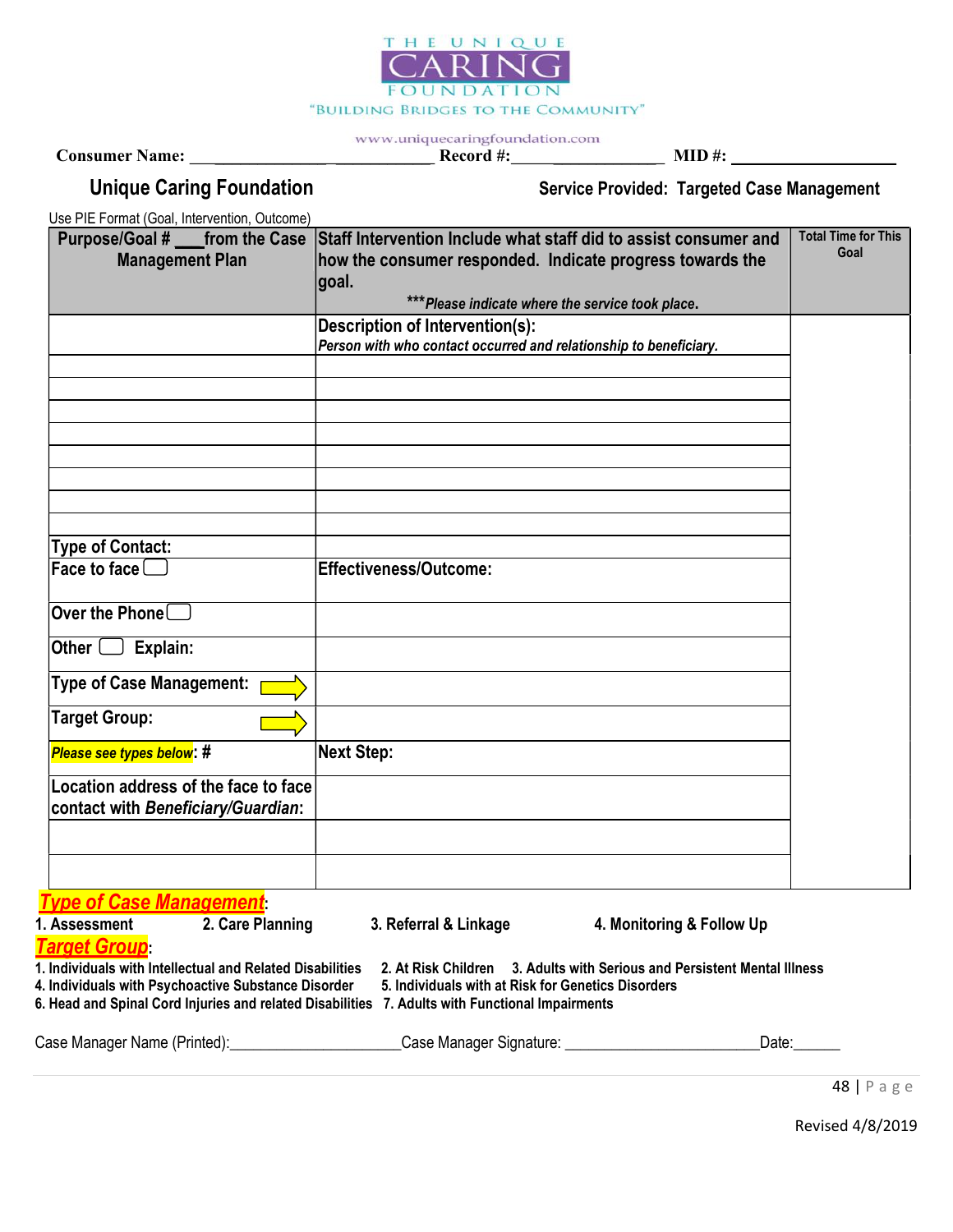

Consumer Name: \_\_\_\_\_\_\_\_\_\_\_\_\_ \_\_\_\_\_\_\_\_\_\_\_ Record #: \_\_\_\_\_\_\_\_\_\_\_\_ MID #:

Unique Caring Foundation Service Provided: Targeted Case Management

Use PIE Format (Goal, Intervention, Outcome)

|                                                         | Purpose/Goal # ___ from the Case Staff Intervention Include what staff did to assist consumer and | <b>Total Time for This</b> |
|---------------------------------------------------------|---------------------------------------------------------------------------------------------------|----------------------------|
| <b>Management Plan</b>                                  | how the consumer responded. Indicate progress towards the                                         | Goal                       |
|                                                         | goal.                                                                                             |                            |
|                                                         | *** Please indicate where the service took place.                                                 |                            |
|                                                         | <b>Description of Intervention(s):</b>                                                            |                            |
|                                                         | Person with who contact occurred and relationship to beneficiary.                                 |                            |
|                                                         |                                                                                                   |                            |
|                                                         |                                                                                                   |                            |
|                                                         |                                                                                                   |                            |
|                                                         |                                                                                                   |                            |
|                                                         |                                                                                                   |                            |
|                                                         |                                                                                                   |                            |
|                                                         |                                                                                                   |                            |
|                                                         |                                                                                                   |                            |
| <b>Type of Contact:</b>                                 |                                                                                                   |                            |
| Face to face $\Box$                                     | Effectiveness/Outcome:                                                                            |                            |
| $\mathsf{lower}$ the Phone $\Box$                       |                                                                                                   |                            |
| Explain:<br>Other (                                     |                                                                                                   |                            |
| Type of Case Management:                                |                                                                                                   |                            |
| <b>Target Group:</b>                                    |                                                                                                   |                            |
| Please see types below: #                               | <b>Next Step:</b>                                                                                 |                            |
| Location address of the face to face                    |                                                                                                   |                            |
| contact with Beneficiary/Guardian:                      |                                                                                                   |                            |
|                                                         |                                                                                                   |                            |
|                                                         |                                                                                                   |                            |
|                                                         |                                                                                                   |                            |
| $\mathbf{A}$ $\mathbf{A}$ and $\mathbf{M}$ are a second |                                                                                                   |                            |

Type of Case Management:

| 1. Assessment                                       | 2. Care Planning                                          | 3. Referral & Linkage | 4. Monitoring & Follow Up                                      |
|-----------------------------------------------------|-----------------------------------------------------------|-----------------------|----------------------------------------------------------------|
| <b>Target Group</b>                                 |                                                           |                       |                                                                |
|                                                     | 1. Individuals with Intellectual and Related Disabilities |                       | 2. At Risk Children 3. Adults with Serious and Persistent Ment |
| 4. Individuals with Psychoactive Substance Disorder |                                                           |                       | 5. Individuals with at Risk for Genetics Disorders             |

t Risk Children 3. Adults with Serious and Persistent Mental Illness dividuals with at Risk for Genetics Disorders

6. Head and Spinal Cord Injuries and related Disabilities 7. Adults with Functional Impairments

| Case Manager Name (Printed): | Case Manager Signature: | Date: |
|------------------------------|-------------------------|-------|
|                              |                         |       |

48 | P a g e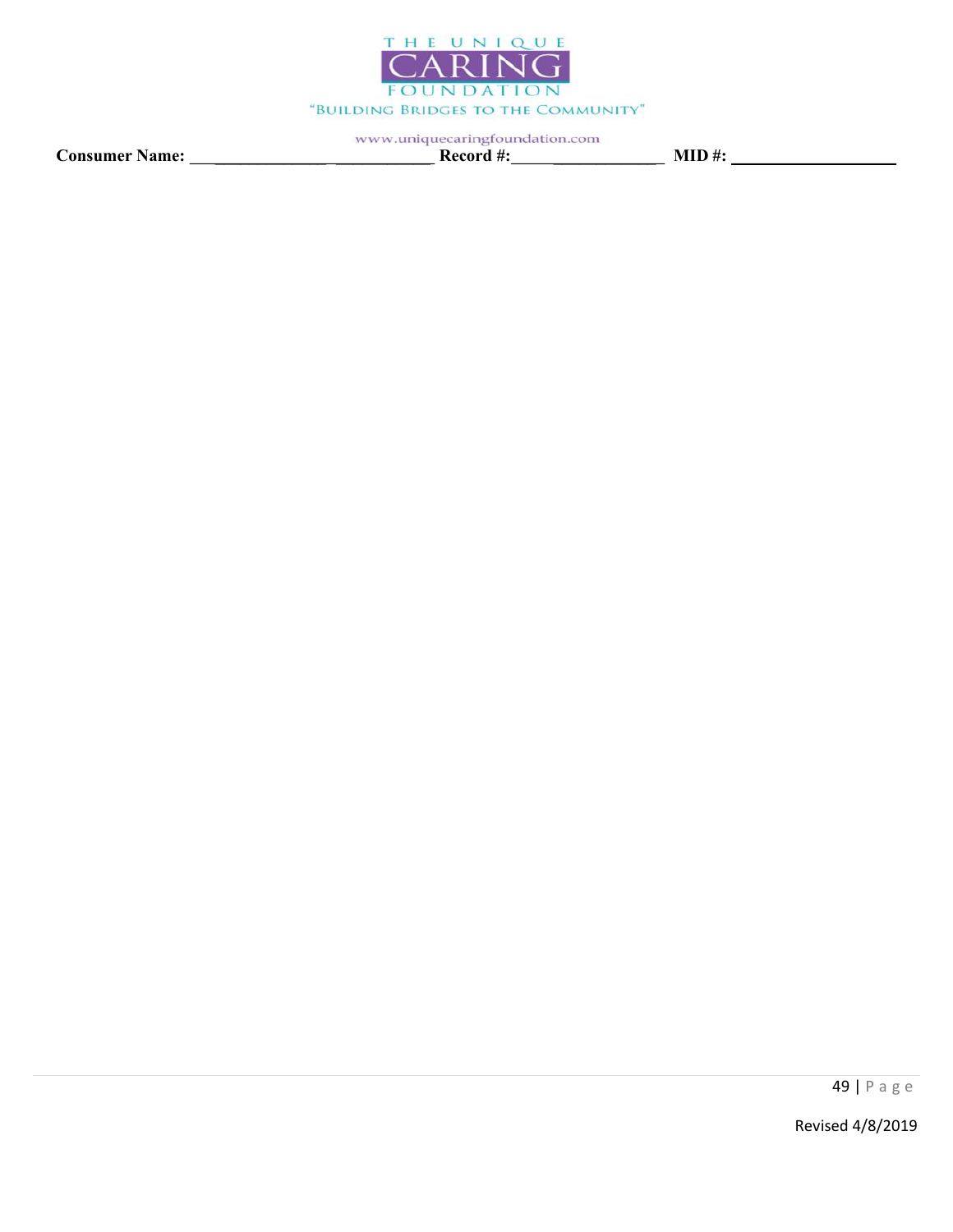

Consumer Name: \_\_\_\_\_\_\_\_\_\_\_\_\_ \_\_\_\_\_\_\_\_\_\_\_ Record #: \_\_\_\_\_\_\_\_\_\_\_\_ MID #: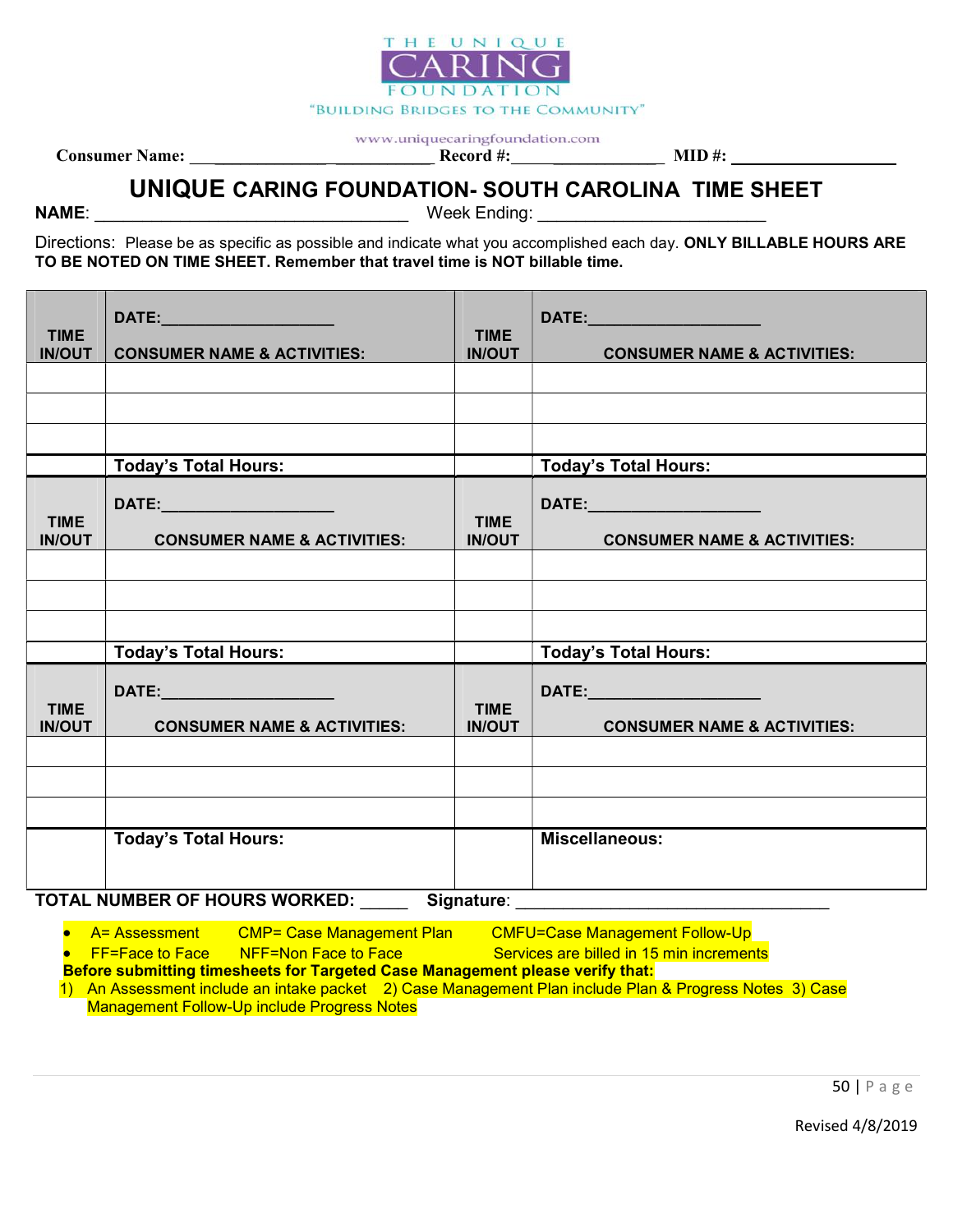

Consumer Name: \_\_\_\_\_\_\_\_\_\_\_\_\_ \_\_\_\_\_\_\_\_\_\_\_ Record #: \_\_\_\_\_\_\_\_\_\_\_\_ MID #:

# UNIQUE CARING FOUNDATION- SOUTH CAROLINA TIME SHEET

NAME: Week Ending:

Directions: Please be as specific as possible and indicate what you accomplished each day. ONLY BILLABLE HOURS ARE TO BE NOTED ON TIME SHEET. Remember that travel time is NOT billable time.

| <b>TIME</b><br><b>IN/OUT</b>                | <b>CONSUMER NAME &amp; ACTIVITIES:</b>                                | <b>TIME</b><br><b>IN/OUT</b> | <b>CONSUMER NAME &amp; ACTIVITIES:</b>                                  |
|---------------------------------------------|-----------------------------------------------------------------------|------------------------------|-------------------------------------------------------------------------|
|                                             |                                                                       |                              |                                                                         |
|                                             |                                                                       |                              |                                                                         |
|                                             |                                                                       |                              |                                                                         |
|                                             | <b>Today's Total Hours:</b>                                           |                              | <b>Today's Total Hours:</b>                                             |
| <b>TIME</b><br><b>IN/OUT</b>                | DATE:______________________<br><b>CONSUMER NAME &amp; ACTIVITIES:</b> | <b>TIME</b><br><b>IN/OUT</b> | DATE:________________________<br><b>CONSUMER NAME &amp; ACTIVITIES:</b> |
|                                             |                                                                       |                              |                                                                         |
|                                             |                                                                       |                              |                                                                         |
|                                             |                                                                       |                              |                                                                         |
|                                             | <b>Today's Total Hours:</b>                                           |                              | <b>Today's Total Hours:</b>                                             |
| <b>TIME</b><br><b>IN/OUT</b>                | <b>CONSUMER NAME &amp; ACTIVITIES:</b>                                | <b>TIME</b><br><b>IN/OUT</b> | DATE:________________________<br><b>CONSUMER NAME &amp; ACTIVITIES:</b> |
|                                             |                                                                       |                              |                                                                         |
|                                             |                                                                       |                              |                                                                         |
|                                             |                                                                       |                              |                                                                         |
|                                             | <b>Today's Total Hours:</b>                                           |                              | <b>Miscellaneous:</b>                                                   |
| TOTAL NUMBER OF HOURS WORKED:<br>Signature: |                                                                       |                              |                                                                         |

A= Assessment CMP= Case Management Plan CMFU=Case Management Follow-Up

• FF=Face to Face NFF=Non Face to Face Services are billed in 15 min increments

Before submitting timesheets for Targeted Case Management please verify that: 1) An Assessment include an intake packet 2) Case Management Plan include Plan & Progress Notes 3) Case

Management Follow-Up include Progress Notes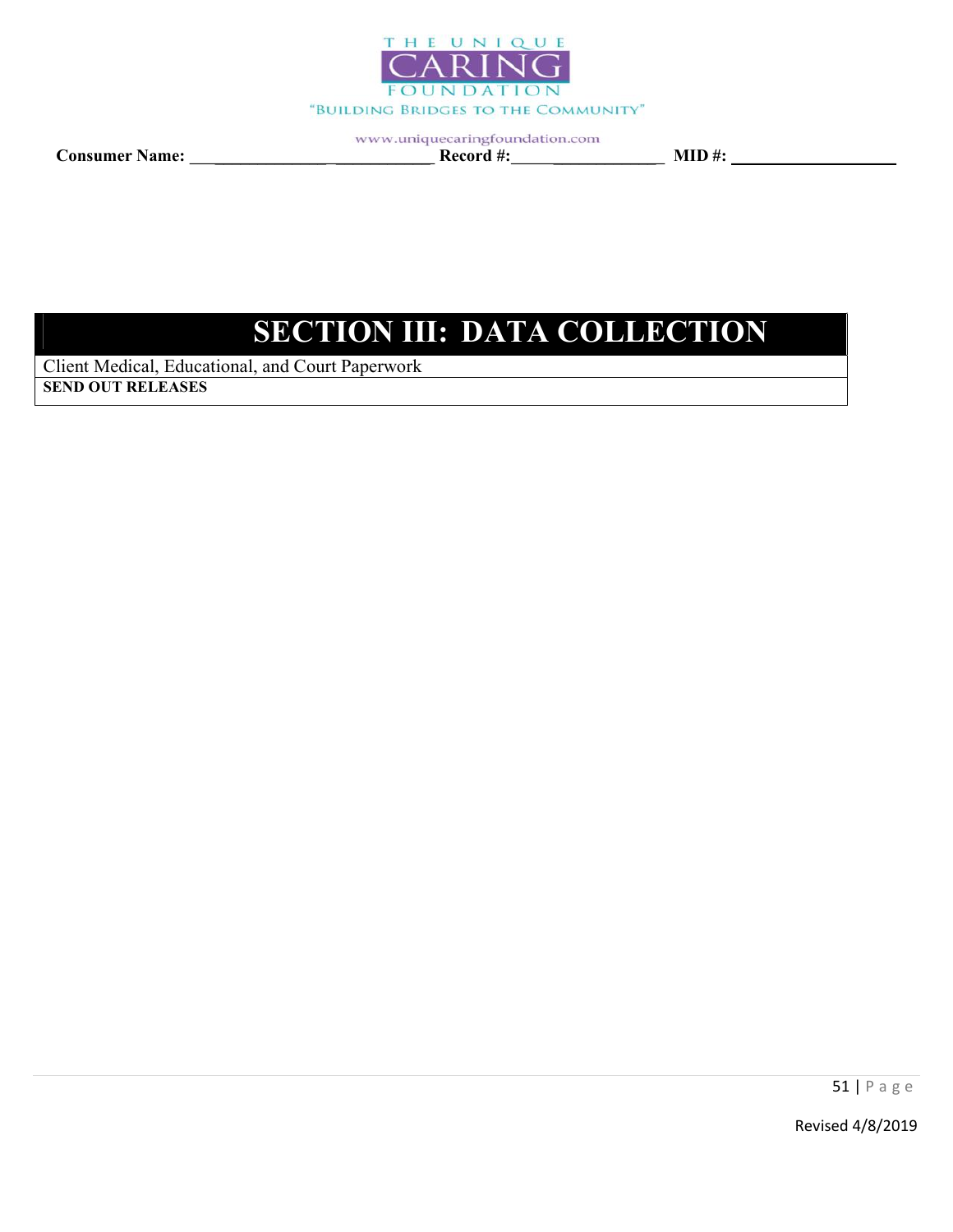

Consumer Name: \_\_\_\_\_\_\_\_\_\_\_\_\_ \_\_\_\_\_\_\_\_\_\_\_ Record #: \_\_\_\_\_\_\_\_\_\_\_\_ MID #:

# SECTION III: DATA COLLECTION

Client Medical, Educational, and Court Paperwork SEND OUT RELEASES

51 | P a g e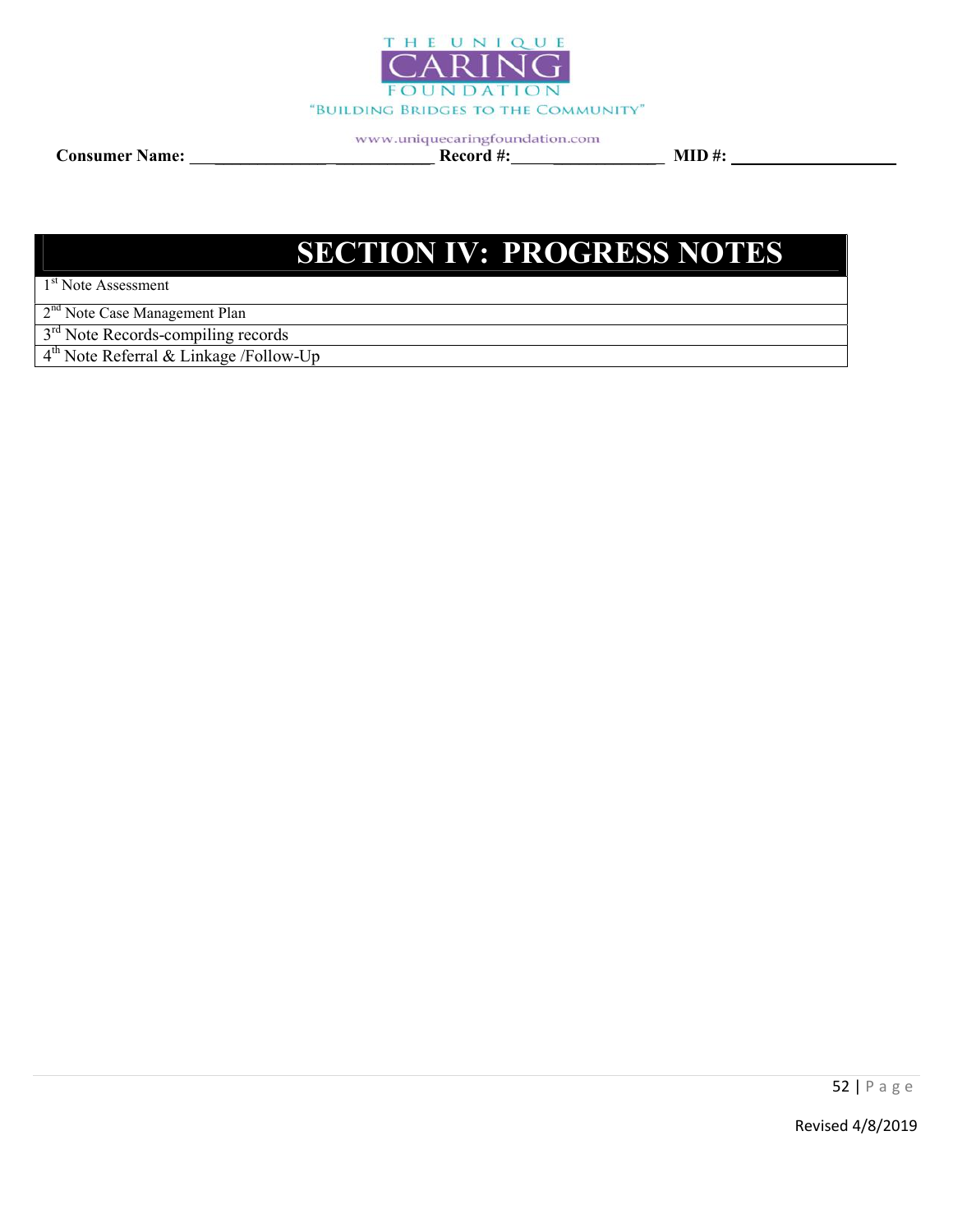

Consumer Name: \_\_\_\_\_\_\_\_\_\_\_\_\_ \_\_\_\_\_\_\_\_\_\_\_ Record #: \_\_\_\_\_\_\_\_\_\_\_\_ MID #:

# SECTION IV: PROGRESS NOTES

1<sup>st</sup> Note Assessment

2<sup>nd</sup> Note Case Management Plan

3<sup>rd</sup> Note Records-compiling records

4<sup>th</sup> Note Referral & Linkage /Follow-Up